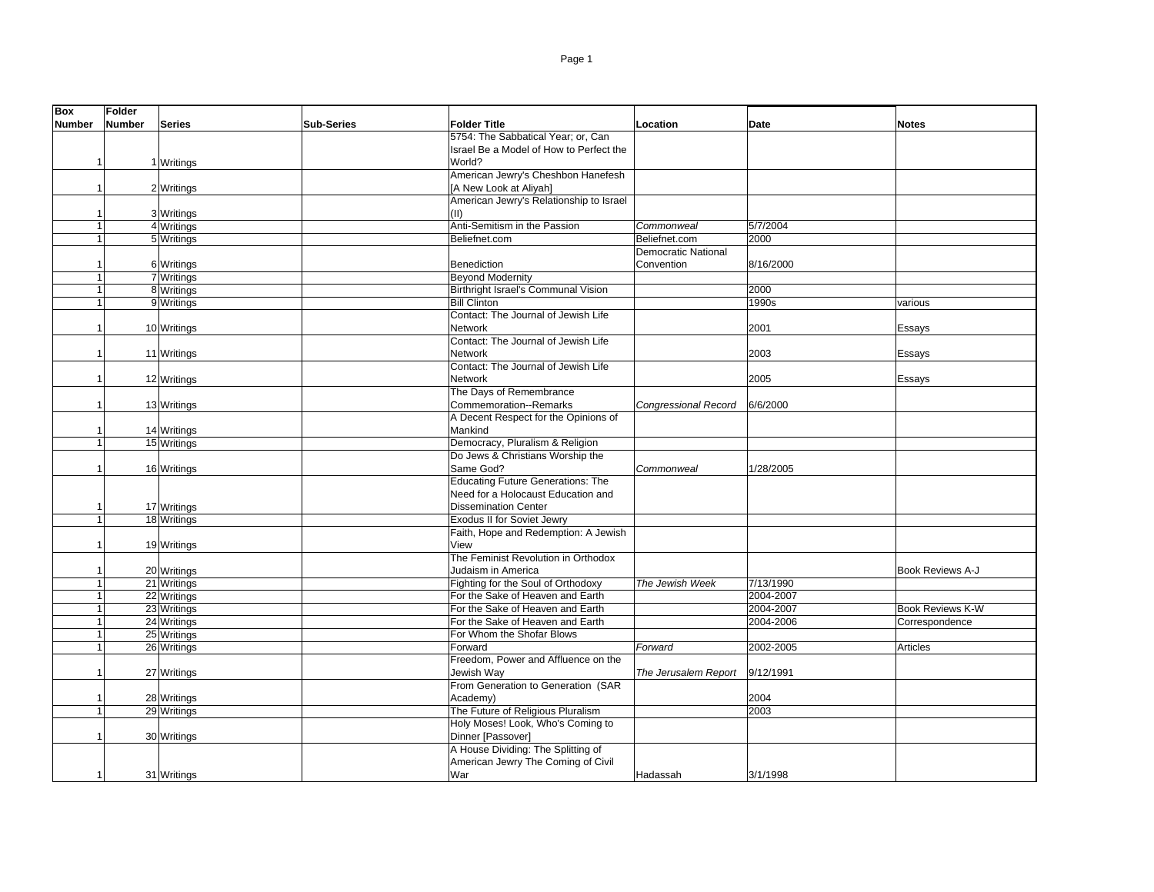| <b>Box</b>     | <b>Folder</b> |               |                   |                                          |                            |             |                         |
|----------------|---------------|---------------|-------------------|------------------------------------------|----------------------------|-------------|-------------------------|
| <b>Number</b>  | <b>Number</b> | <b>Series</b> | <b>Sub-Series</b> | <b>Folder Title</b>                      | Location                   | <b>Date</b> | <b>Notes</b>            |
|                |               |               |                   | 5754: The Sabbatical Year; or, Can       |                            |             |                         |
|                |               |               |                   | Israel Be a Model of How to Perfect the  |                            |             |                         |
|                |               | 1 Writings    |                   | World?                                   |                            |             |                         |
|                |               |               |                   | American Jewry's Cheshbon Hanefesh       |                            |             |                         |
|                |               | 2 Writings    |                   | [A New Look at Aliyah]                   |                            |             |                         |
|                |               |               |                   | American Jewry's Relationship to Israel  |                            |             |                         |
|                |               | 3 Writings    |                   | (II)                                     |                            |             |                         |
|                |               | 4 Writings    |                   | Anti-Semitism in the Passion             | Commonweal                 | 5/7/2004    |                         |
|                |               | 5 Writings    |                   | Beliefnet.com                            | Beliefnet.com              | 2000        |                         |
|                |               |               |                   |                                          | <b>Democratic National</b> |             |                         |
|                |               | 6 Writings    |                   | <b>Benediction</b>                       | Convention                 | 8/16/2000   |                         |
|                |               | 7 Writings    |                   | <b>Beyond Modernity</b>                  |                            |             |                         |
|                |               | 8 Writings    |                   | Birthright Israel's Communal Vision      |                            | 2000        |                         |
|                |               | 9 Writings    |                   | <b>Bill Clinton</b>                      |                            | 1990s       | various                 |
|                |               |               |                   | Contact: The Journal of Jewish Life      |                            |             |                         |
| 1              |               | 10 Writings   |                   | Network                                  |                            | 2001        | Essays                  |
|                |               |               |                   | Contact: The Journal of Jewish Life      |                            |             |                         |
|                |               | 11 Writings   |                   | Network                                  |                            | 2003        | Essays                  |
|                |               |               |                   | Contact: The Journal of Jewish Life      |                            |             |                         |
|                |               | 12 Writings   |                   | Network                                  |                            | 2005        | Essays                  |
|                |               |               |                   | The Days of Remembrance                  |                            |             |                         |
|                |               | 13 Writings   |                   | Commemoration--Remarks                   | Congressional Record       | 6/6/2000    |                         |
|                |               |               |                   | A Decent Respect for the Opinions of     |                            |             |                         |
|                |               | 14 Writings   |                   | Mankind                                  |                            |             |                         |
|                |               | 15 Writings   |                   | Democracy, Pluralism & Religion          |                            |             |                         |
|                |               |               |                   | Do Jews & Christians Worship the         |                            |             |                         |
|                |               | 16 Writings   |                   | Same God?                                | Commonweal                 | 1/28/2005   |                         |
|                |               |               |                   | <b>Educating Future Generations: The</b> |                            |             |                         |
|                |               |               |                   | Need for a Holocaust Education and       |                            |             |                         |
|                |               | 17 Writings   |                   | <b>Dissemination Center</b>              |                            |             |                         |
| $\overline{1}$ |               | 18 Writings   |                   | Exodus II for Soviet Jewry               |                            |             |                         |
|                |               |               |                   | Faith, Hope and Redemption: A Jewish     |                            |             |                         |
|                |               | 19 Writings   |                   | View                                     |                            |             |                         |
|                |               |               |                   | The Feminist Revolution in Orthodox      |                            |             |                         |
|                |               | 20 Writings   |                   | Judaism in America                       |                            |             | Book Reviews A-J        |
|                |               | 21 Writings   |                   | Fighting for the Soul of Orthodoxy       | The Jewish Week            | 7/13/1990   |                         |
|                |               | 22 Writings   |                   | For the Sake of Heaven and Earth         |                            | 2004-2007   |                         |
|                |               | 23 Writings   |                   | For the Sake of Heaven and Earth         |                            | 2004-2007   | <b>Book Reviews K-W</b> |
|                |               | 24 Writings   |                   | For the Sake of Heaven and Earth         |                            | 2004-2006   | Correspondence          |
|                |               | 25 Writings   |                   | For Whom the Shofar Blows                |                            |             |                         |
| $\overline{1}$ |               | 26 Writings   |                   | Forward                                  | Forward                    | 2002-2005   | Articles                |
|                |               |               |                   | Freedom, Power and Affluence on the      |                            |             |                         |
|                |               | 27 Writings   |                   | Jewish Way                               | The Jerusalem Report       | 9/12/1991   |                         |
|                |               |               |                   | From Generation to Generation (SAR       |                            |             |                         |
|                |               | 28 Writings   |                   | Academy)                                 |                            | 2004        |                         |
|                |               | 29 Writings   |                   | The Future of Religious Pluralism        |                            | 2003        |                         |
|                |               |               |                   | Holy Moses! Look, Who's Coming to        |                            |             |                         |
|                |               | 30 Writings   |                   | Dinner [Passover]                        |                            |             |                         |
|                |               |               |                   | A House Dividing: The Splitting of       |                            |             |                         |
|                |               |               |                   | American Jewry The Coming of Civil       |                            |             |                         |
| 1              |               | 31 Writings   |                   | War                                      | Hadassah                   | 3/1/1998    |                         |
|                |               |               |                   |                                          |                            |             |                         |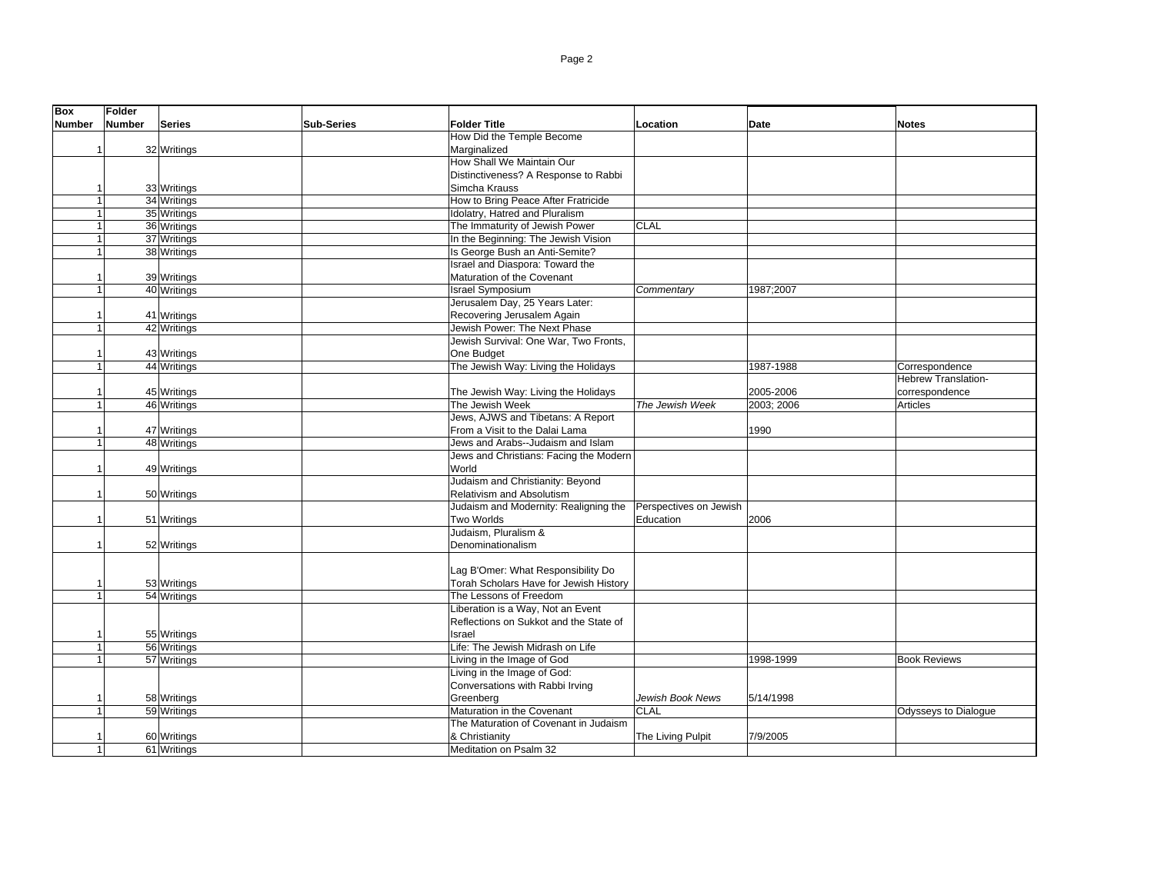| <b>Box</b>    | Folder        |               |                   |                                        |                        |             |                      |
|---------------|---------------|---------------|-------------------|----------------------------------------|------------------------|-------------|----------------------|
| <b>Number</b> | <b>Number</b> | <b>Series</b> | <b>Sub-Series</b> | <b>Folder Title</b>                    | Location               | <b>Date</b> | <b>Notes</b>         |
|               |               |               |                   | How Did the Temple Become              |                        |             |                      |
|               |               | 32 Writings   |                   | Marginalized                           |                        |             |                      |
|               |               |               |                   | How Shall We Maintain Our              |                        |             |                      |
|               |               |               |                   | Distinctiveness? A Response to Rabbi   |                        |             |                      |
|               |               | 33 Writings   |                   | Simcha Krauss                          |                        |             |                      |
|               |               | 34 Writings   |                   | How to Bring Peace After Fratricide    |                        |             |                      |
|               |               | 35 Writings   |                   | Idolatry, Hatred and Pluralism         |                        |             |                      |
|               |               | 36 Writings   |                   | The Immaturity of Jewish Power         | <b>CLAL</b>            |             |                      |
|               |               | 37 Writings   |                   | In the Beginning: The Jewish Vision    |                        |             |                      |
|               |               | 38 Writings   |                   | Is George Bush an Anti-Semite?         |                        |             |                      |
|               |               |               |                   | Israel and Diaspora: Toward the        |                        |             |                      |
|               |               | 39 Writings   |                   | Maturation of the Covenant             |                        |             |                      |
| 1             |               | 40 Writings   |                   | <b>Israel Symposium</b>                | Commentary             | 1987;2007   |                      |
|               |               |               |                   | Jerusalem Day, 25 Years Later:         |                        |             |                      |
|               |               | 41 Writings   |                   | Recovering Jerusalem Again             |                        |             |                      |
| 1             |               | 42 Writings   |                   | Jewish Power: The Next Phase           |                        |             |                      |
|               |               |               |                   | Jewish Survival: One War, Two Fronts,  |                        |             |                      |
|               |               | 43 Writings   |                   | One Budget                             |                        |             |                      |
| 1             |               | 44 Writings   |                   | The Jewish Way: Living the Holidays    |                        | 1987-1988   | Correspondence       |
|               |               |               |                   |                                        |                        |             | Hebrew Translation-  |
|               |               | 45 Writings   |                   | The Jewish Way: Living the Holidays    |                        | 2005-2006   | correspondence       |
|               |               | 46 Writings   |                   | The Jewish Week                        | The Jewish Week        | 2003; 2006  | Articles             |
|               |               |               |                   | Jews, AJWS and Tibetans: A Report      |                        |             |                      |
|               |               | 47 Writings   |                   | From a Visit to the Dalai Lama         |                        | 1990        |                      |
|               |               | 48 Writings   |                   | Jews and Arabs--Judaism and Islam      |                        |             |                      |
|               |               |               |                   | Jews and Christians: Facing the Modern |                        |             |                      |
| 1             |               | 49 Writings   |                   | World                                  |                        |             |                      |
|               |               |               |                   | Judaism and Christianity: Beyond       |                        |             |                      |
| 1             |               | 50 Writings   |                   | Relativism and Absolutism              |                        |             |                      |
|               |               |               |                   | Judaism and Modernity: Realigning the  | Perspectives on Jewish |             |                      |
| 1             |               | 51 Writings   |                   | Two Worlds                             | Education              | 2006        |                      |
|               |               |               |                   | Judaism, Pluralism &                   |                        |             |                      |
|               |               | 52 Writings   |                   | Denominationalism                      |                        |             |                      |
|               |               |               |                   |                                        |                        |             |                      |
|               |               |               |                   | Lag B'Omer: What Responsibility Do     |                        |             |                      |
|               |               | 53 Writings   |                   | Torah Scholars Have for Jewish History |                        |             |                      |
|               |               | 54 Writings   |                   | The Lessons of Freedom                 |                        |             |                      |
|               |               |               |                   | Liberation is a Way, Not an Event      |                        |             |                      |
|               |               |               |                   | Reflections on Sukkot and the State of |                        |             |                      |
|               |               | 55 Writings   |                   | Israel                                 |                        |             |                      |
|               |               | 56 Writings   |                   | Life: The Jewish Midrash on Life       |                        |             |                      |
|               |               | 57 Writings   |                   | Living in the Image of God             |                        | 1998-1999   | <b>Book Reviews</b>  |
|               |               |               |                   | Living in the Image of God:            |                        |             |                      |
|               |               |               |                   | Conversations with Rabbi Irving        |                        |             |                      |
|               |               | 58 Writings   |                   | Greenberg                              | Jewish Book News       | 5/14/1998   |                      |
|               |               | 59 Writings   |                   | Maturation in the Covenant             | <b>CLAL</b>            |             | Odysseys to Dialogue |
|               |               |               |                   | The Maturation of Covenant in Judaism  |                        |             |                      |
|               |               | 60 Writings   |                   | & Christianity                         | The Living Pulpit      | 7/9/2005    |                      |
|               |               | 61 Writings   |                   | Meditation on Psalm 32                 |                        |             |                      |
|               |               |               |                   |                                        |                        |             |                      |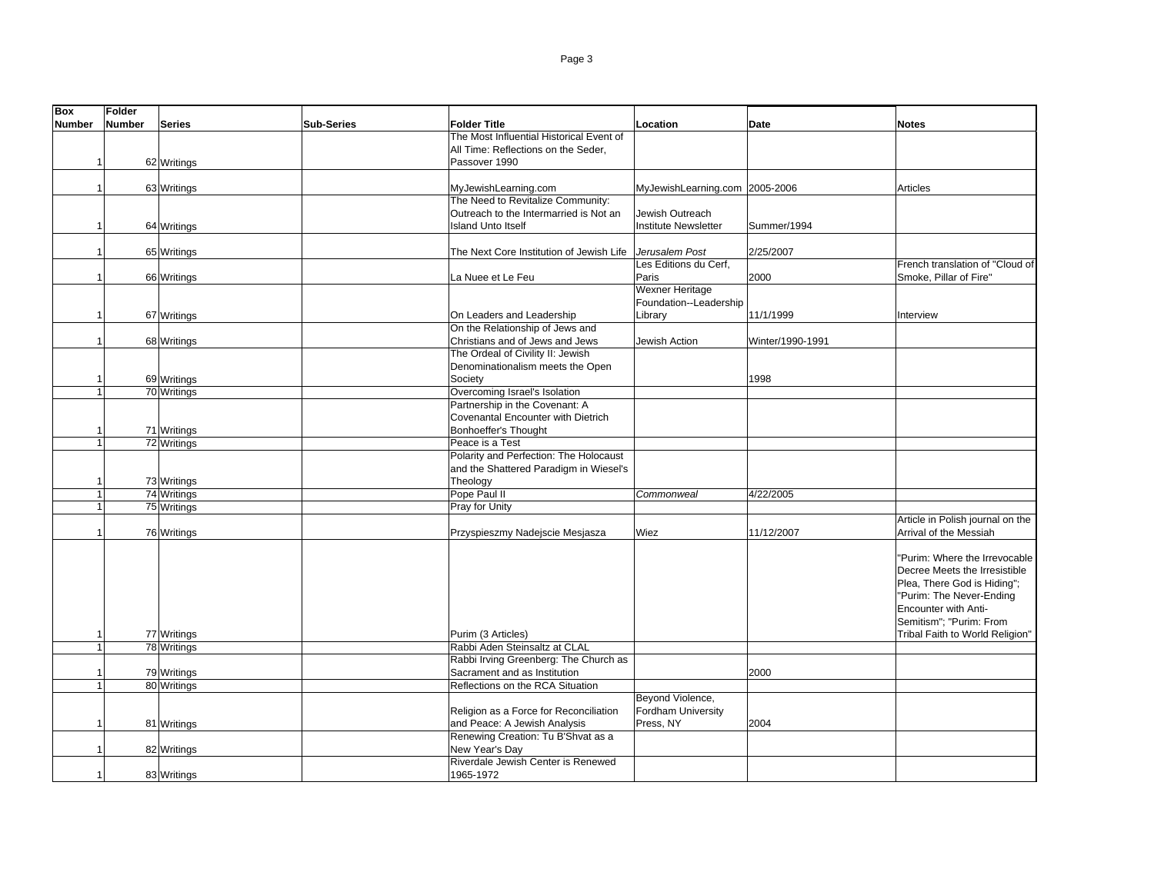| <b>Box</b>    | Folder                         |                   |                                          |                                         |                  |                                                            |
|---------------|--------------------------------|-------------------|------------------------------------------|-----------------------------------------|------------------|------------------------------------------------------------|
| <b>Number</b> | <b>Number</b><br><b>Series</b> | <b>Sub-Series</b> | <b>Folder Title</b>                      | Location                                | <b>Date</b>      | <b>Notes</b>                                               |
|               |                                |                   | The Most Influential Historical Event of |                                         |                  |                                                            |
|               |                                |                   | All Time: Reflections on the Seder,      |                                         |                  |                                                            |
|               | 62 Writings                    |                   | Passover 1990                            |                                         |                  |                                                            |
|               |                                |                   |                                          |                                         |                  |                                                            |
|               | 63 Writings                    |                   | MyJewishLearning.com                     | MyJewishLearning.com 2005-2006          |                  | Articles                                                   |
|               |                                |                   | The Need to Revitalize Community:        |                                         |                  |                                                            |
|               |                                |                   | Outreach to the Intermarried is Not an   | Jewish Outreach                         |                  |                                                            |
|               | 64 Writings                    |                   | <b>Island Unto Itself</b>                | <b>Institute Newsletter</b>             | Summer/1994      |                                                            |
|               |                                |                   |                                          |                                         |                  |                                                            |
|               | 65 Writings                    |                   | The Next Core Institution of Jewish Life | Jerusalem Post<br>Les Editions du Cerf, | 2/25/2007        | French translation of "Cloud of                            |
|               | 66 Writings                    |                   | La Nuee et Le Feu                        | Paris                                   | 2000             | Smoke, Pillar of Fire"                                     |
|               |                                |                   |                                          | Wexner Heritage                         |                  |                                                            |
|               |                                |                   |                                          | Foundation--Leadership                  |                  |                                                            |
|               | 67 Writings                    |                   | On Leaders and Leadership                | Library                                 | 11/1/1999        | Interview                                                  |
|               |                                |                   | On the Relationship of Jews and          |                                         |                  |                                                            |
|               | 68 Writings                    |                   | Christians and of Jews and Jews          | Jewish Action                           | Winter/1990-1991 |                                                            |
|               |                                |                   | The Ordeal of Civility II: Jewish        |                                         |                  |                                                            |
|               |                                |                   | Denominationalism meets the Open         |                                         |                  |                                                            |
|               | 69 Writings                    |                   | Society                                  |                                         | 1998             |                                                            |
| -1            | 70 Writings                    |                   | Overcoming Israel's Isolation            |                                         |                  |                                                            |
|               |                                |                   | Partnership in the Covenant: A           |                                         |                  |                                                            |
|               |                                |                   | Covenantal Encounter with Dietrich       |                                         |                  |                                                            |
|               | 71 Writings                    |                   | Bonhoeffer's Thought                     |                                         |                  |                                                            |
|               | 72 Writings                    |                   | Peace is a Test                          |                                         |                  |                                                            |
|               |                                |                   | Polarity and Perfection: The Holocaust   |                                         |                  |                                                            |
|               |                                |                   | and the Shattered Paradigm in Wiesel's   |                                         |                  |                                                            |
|               | 73 Writings                    |                   | Theology                                 |                                         |                  |                                                            |
|               | 74 Writings                    |                   | Pope Paul II                             | Commonweal                              | 4/22/2005        |                                                            |
|               | 75 Writings                    |                   | Pray for Unity                           |                                         |                  |                                                            |
|               |                                |                   |                                          | Wiez                                    | 11/12/2007       | Article in Polish journal on the<br>Arrival of the Messiah |
|               | 76 Writings                    |                   | Przyspieszmy Nadejscie Mesjasza          |                                         |                  |                                                            |
|               |                                |                   |                                          |                                         |                  | "Purim: Where the Irrevocable                              |
|               |                                |                   |                                          |                                         |                  | Decree Meets the Irresistible                              |
|               |                                |                   |                                          |                                         |                  | Plea, There God is Hiding";                                |
|               |                                |                   |                                          |                                         |                  | "Purim: The Never-Ending                                   |
|               |                                |                   |                                          |                                         |                  | Encounter with Anti-                                       |
|               |                                |                   |                                          |                                         |                  | Semitism": "Purim: From                                    |
|               | 77 Writings                    |                   | Purim (3 Articles)                       |                                         |                  | Tribal Faith to World Religion"                            |
|               | 78 Writings                    |                   | Rabbi Aden Steinsaltz at CLAL            |                                         |                  |                                                            |
|               |                                |                   | Rabbi Irving Greenberg: The Church as    |                                         |                  |                                                            |
|               | 79 Writings                    |                   | Sacrament and as Institution             |                                         | 2000             |                                                            |
|               | 80 Writings                    |                   | Reflections on the RCA Situation         |                                         |                  |                                                            |
|               |                                |                   |                                          | Beyond Violence,                        |                  |                                                            |
|               |                                |                   | Religion as a Force for Reconciliation   | Fordham University                      |                  |                                                            |
|               | 81 Writings                    |                   | and Peace: A Jewish Analysis             | Press, NY                               | 2004             |                                                            |
|               |                                |                   | Renewing Creation: Tu B'Shvat as a       |                                         |                  |                                                            |
|               | 82 Writings                    |                   | New Year's Day                           |                                         |                  |                                                            |
|               |                                |                   | Riverdale Jewish Center is Renewed       |                                         |                  |                                                            |
|               | 83 Writings                    |                   | 1965-1972                                |                                         |                  |                                                            |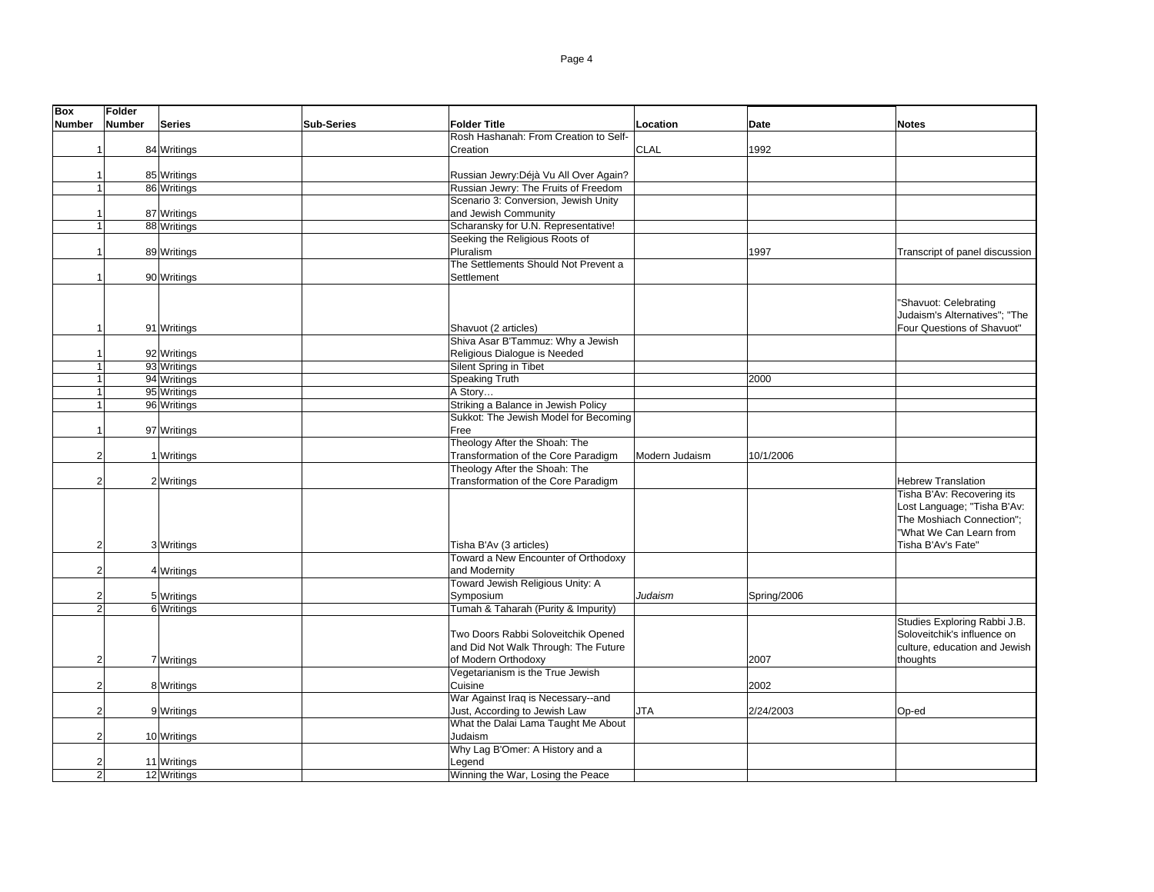| <b>Box</b>     | <b>Folder</b>  |               |                   |                                        |                |             |                                |
|----------------|----------------|---------------|-------------------|----------------------------------------|----------------|-------------|--------------------------------|
| <b>Number</b>  | <b>Number</b>  | <b>Series</b> | <b>Sub-Series</b> | <b>Folder Title</b>                    | Location       | <b>Date</b> | <b>Notes</b>                   |
|                |                |               |                   | Rosh Hashanah: From Creation to Self-  |                |             |                                |
| 1              |                | 84 Writings   |                   | Creation                               | CLAL           | 1992        |                                |
|                |                |               |                   |                                        |                |             |                                |
|                |                | 85 Writings   |                   | Russian Jewry: Déjà Vu All Over Again? |                |             |                                |
|                | $\overline{1}$ | 86 Writings   |                   | Russian Jewry: The Fruits of Freedom   |                |             |                                |
|                |                |               |                   | Scenario 3: Conversion, Jewish Unity   |                |             |                                |
|                |                | 87 Writings   |                   | and Jewish Community                   |                |             |                                |
|                | $\mathbf{1}$   | 88 Writings   |                   | Scharansky for U.N. Representative!    |                |             |                                |
|                |                |               |                   | Seeking the Religious Roots of         |                |             |                                |
| -1             |                | 89 Writings   |                   | Pluralism                              |                | 1997        | Transcript of panel discussion |
|                |                |               |                   | The Settlements Should Not Prevent a   |                |             |                                |
| -1             |                |               |                   | Settlement                             |                |             |                                |
|                |                | 90 Writings   |                   |                                        |                |             |                                |
|                |                |               |                   |                                        |                |             |                                |
|                |                |               |                   |                                        |                |             | "Shavuot: Celebrating          |
|                |                |               |                   |                                        |                |             | Judaism's Alternatives"; "The  |
| $\overline{1}$ |                | 91 Writings   |                   | Shavuot (2 articles)                   |                |             | Four Questions of Shavuot"     |
|                |                |               |                   | Shiva Asar B'Tammuz: Why a Jewish      |                |             |                                |
| -1             |                | 92 Writings   |                   | Religious Dialogue is Needed           |                |             |                                |
| $\overline{1}$ |                | 93 Writings   |                   | Silent Spring in Tibet                 |                |             |                                |
| $\overline{1}$ |                | 94 Writings   |                   | Speaking Truth                         |                | 2000        |                                |
|                | $\mathbf{1}$   | 95 Writings   |                   | A Story                                |                |             |                                |
|                | $\mathbf{1}$   | 96 Writings   |                   | Striking a Balance in Jewish Policy    |                |             |                                |
|                |                |               |                   | Sukkot: The Jewish Model for Becoming  |                |             |                                |
| $\overline{1}$ |                | 97 Writings   |                   | Free                                   |                |             |                                |
|                |                |               |                   | Theology After the Shoah: The          |                |             |                                |
|                | $\overline{2}$ | 1 Writings    |                   | Transformation of the Core Paradigm    | Modern Judaism | 10/1/2006   |                                |
|                |                |               |                   | Theology After the Shoah: The          |                |             |                                |
|                | $\overline{2}$ | 2 Writings    |                   | Transformation of the Core Paradigm    |                |             | <b>Hebrew Translation</b>      |
|                |                |               |                   |                                        |                |             | Tisha B'Av: Recovering its     |
|                |                |               |                   |                                        |                |             | Lost Language; "Tisha B'Av:    |
|                |                |               |                   |                                        |                |             | The Moshiach Connection";      |
|                |                |               |                   |                                        |                |             | "What We Can Learn from        |
|                | $\overline{2}$ | 3 Writings    |                   | Tisha B'Av (3 articles)                |                |             | Tisha B'Av's Fate"             |
|                |                |               |                   | Toward a New Encounter of Orthodoxy    |                |             |                                |
|                | $\overline{2}$ | 4 Writings    |                   | and Modernity                          |                |             |                                |
|                |                |               |                   | Toward Jewish Religious Unity: A       |                |             |                                |
|                | $\overline{2}$ | 5 Writings    |                   | Symposium                              | Judaism        | Spring/2006 |                                |
|                | $\overline{2}$ | 6 Writings    |                   | Tumah & Taharah (Purity & Impurity)    |                |             |                                |
|                |                |               |                   |                                        |                |             | Studies Exploring Rabbi J.B.   |
|                |                |               |                   | Two Doors Rabbi Soloveitchik Opened    |                |             | Soloveitchik's influence on    |
|                |                |               |                   | and Did Not Walk Through: The Future   |                |             | culture, education and Jewish  |
|                | $\overline{2}$ | 7 Writings    |                   | of Modern Orthodoxy                    |                | 2007        | thoughts                       |
|                |                |               |                   | Vegetarianism is the True Jewish       |                |             |                                |
|                | $\overline{2}$ | 8 Writings    |                   | Cuisine                                |                | 2002        |                                |
|                |                |               |                   | War Against Iraq is Necessary--and     |                |             |                                |
|                | $\overline{2}$ | 9 Writings    |                   | Just, According to Jewish Law          | JTA            | 2/24/2003   | Op-ed                          |
|                |                |               |                   | What the Dalai Lama Taught Me About    |                |             |                                |
|                | $\overline{2}$ | 10 Writings   |                   | Judaism                                |                |             |                                |
|                |                |               |                   | Why Lag B'Omer: A History and a        |                |             |                                |
|                | $\overline{2}$ | 11 Writings   |                   | Legend                                 |                |             |                                |
|                | $\overline{2}$ |               |                   | Winning the War, Losing the Peace      |                |             |                                |
|                |                | 12 Writings   |                   |                                        |                |             |                                |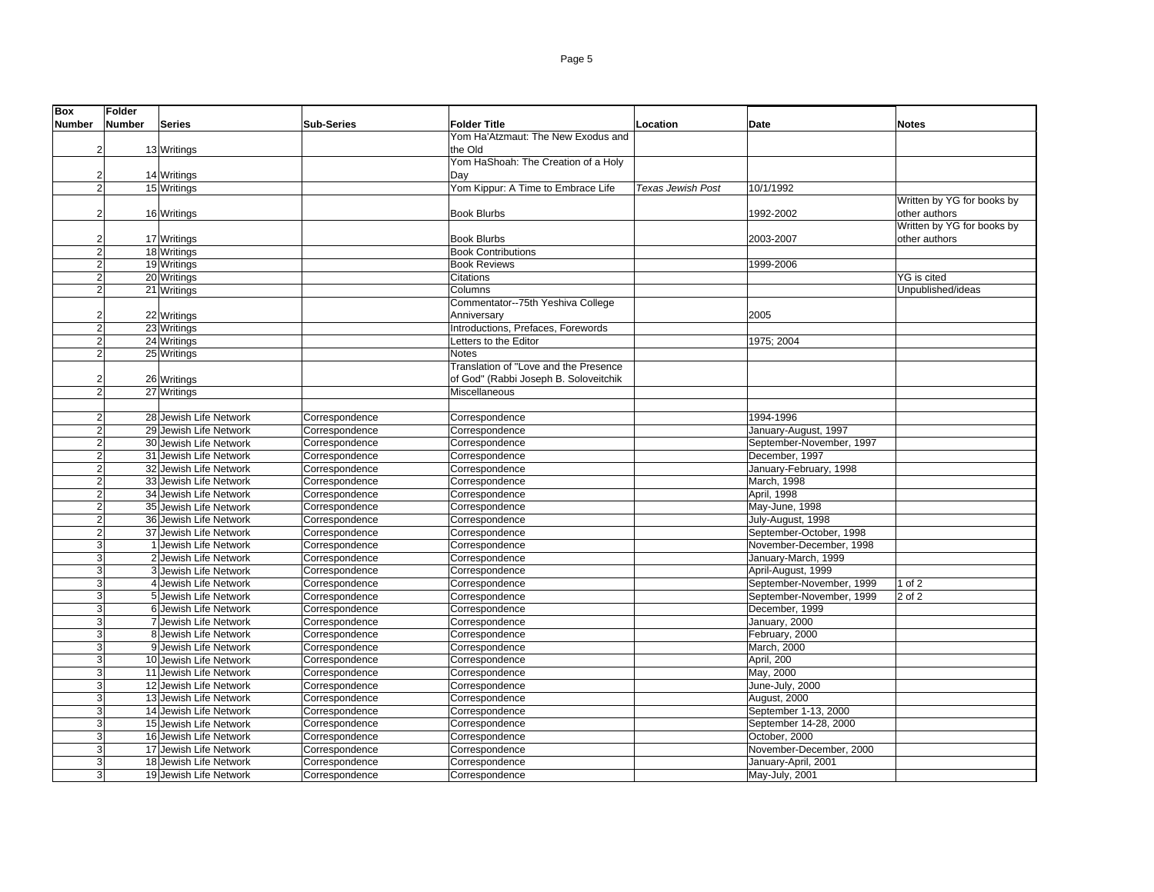| <b>Box</b>     | <b>Folder</b> |                        |                   |                                       |                          |                          |                            |
|----------------|---------------|------------------------|-------------------|---------------------------------------|--------------------------|--------------------------|----------------------------|
| <b>Number</b>  | <b>Number</b> | <b>Series</b>          | <b>Sub-Series</b> | <b>Folder Title</b>                   | Location                 | Date                     | <b>Notes</b>               |
|                |               |                        |                   | Yom Ha'Atzmaut: The New Exodus and    |                          |                          |                            |
| $\overline{2}$ |               | 13 Writings            |                   | the Old                               |                          |                          |                            |
|                |               |                        |                   | Yom HaShoah: The Creation of a Holy   |                          |                          |                            |
| $\overline{2}$ |               | 14 Writings            |                   | Dav                                   |                          |                          |                            |
| $\overline{2}$ |               | 15 Writings            |                   | Yom Kippur: A Time to Embrace Life    | <b>Texas Jewish Post</b> | 10/1/1992                |                            |
|                |               |                        |                   |                                       |                          |                          | Written by YG for books by |
|                |               |                        |                   |                                       |                          |                          |                            |
| $\overline{2}$ |               | 16 Writings            |                   | <b>Book Blurbs</b>                    |                          | 1992-2002                | other authors              |
|                |               |                        |                   |                                       |                          |                          | Written by YG for books by |
| $\overline{2}$ |               | 17 Writings            |                   | <b>Book Blurbs</b>                    |                          | 2003-2007                | other authors              |
| $\overline{2}$ |               | 18 Writings            |                   | <b>Book Contributions</b>             |                          |                          |                            |
| $\overline{2}$ |               | 19 Writings            |                   | <b>Book Reviews</b>                   |                          | 1999-2006                |                            |
| $\overline{a}$ |               | 20 Writings            |                   | Citations                             |                          |                          | YG is cited                |
| $\overline{2}$ |               | 21 Writings            |                   | Columns                               |                          |                          | Unpublished/ideas          |
|                |               |                        |                   | Commentator--75th Yeshiva College     |                          |                          |                            |
| $\overline{2}$ |               | 22 Writings            |                   | Anniversary                           |                          | 2005                     |                            |
| $\overline{2}$ |               | 23 Writings            |                   | Introductions, Prefaces, Forewords    |                          |                          |                            |
| $\overline{2}$ |               | 24 Writings            |                   | Letters to the Editor                 |                          | 1975; 2004               |                            |
| $\overline{2}$ |               | 25 Writings            |                   | Notes                                 |                          |                          |                            |
|                |               |                        |                   | Translation of "Love and the Presence |                          |                          |                            |
| $\overline{2}$ |               | 26 Writings            |                   | of God" (Rabbi Joseph B. Soloveitchik |                          |                          |                            |
| $\overline{2}$ |               | 27 Writings            |                   | <b>Miscellaneous</b>                  |                          |                          |                            |
|                |               |                        |                   |                                       |                          |                          |                            |
| $\overline{2}$ |               | 28 Jewish Life Network | Correspondence    | Correspondence                        |                          | 1994-1996                |                            |
| $\overline{2}$ |               | 29 Jewish Life Network | Correspondence    | Correspondence                        |                          | January-August, 1997     |                            |
| $\overline{2}$ |               | 30 Jewish Life Network | Correspondence    | Correspondence                        |                          | September-November, 1997 |                            |
| $\overline{2}$ |               | 31 Jewish Life Network | Correspondence    | Correspondence                        |                          | December, 1997           |                            |
| $\overline{2}$ |               | 32 Jewish Life Network | Correspondence    | Correspondence                        |                          | January-February, 1998   |                            |
| $\overline{2}$ |               | 33 Jewish Life Network | Correspondence    | Correspondence                        |                          | March, 1998              |                            |
| $\overline{2}$ |               | 34 Jewish Life Network | Correspondence    | Correspondence                        |                          | April, 1998              |                            |
| $\overline{2}$ |               | 35 Jewish Life Network | Correspondence    | Correspondence                        |                          | May-June, 1998           |                            |
| $\overline{2}$ |               | 36 Jewish Life Network | Correspondence    | Correspondence                        |                          | July-August, 1998        |                            |
| $\overline{a}$ |               | 37 Jewish Life Network | Correspondence    | Correspondence                        |                          | September-October, 1998  |                            |
| 3              |               | 1 Jewish Life Network  | Correspondence    | Correspondence                        |                          | November-December, 1998  |                            |
| 3              |               | 2 Jewish Life Network  | Correspondence    | Correspondence                        |                          | January-March, 1999      |                            |
| 3              |               | 3 Jewish Life Network  | Correspondence    | Correspondence                        |                          | April-August, 1999       |                            |
| 3              |               | 4 Jewish Life Network  | Correspondence    | Correspondence                        |                          | September-November, 1999 | 1 of $2$                   |
| 3              |               | 5 Jewish Life Network  |                   |                                       |                          | September-November, 1999 | 2 of 2                     |
| 3              |               | 6 Jewish Life Network  | Correspondence    | Correspondence                        |                          | December, 1999           |                            |
|                |               |                        | Correspondence    | Correspondence                        |                          |                          |                            |
| 3              |               | 7 Jewish Life Network  | Correspondence    | Correspondence                        |                          | January, 2000            |                            |
| 3              |               | 8 Jewish Life Network  | Correspondence    | Correspondence                        |                          | February, 2000           |                            |
| 3              |               | 9 Jewish Life Network  | Correspondence    | Correspondence                        |                          | March, 2000              |                            |
| 3 <sup>1</sup> |               | 10 Jewish Life Network | Correspondence    | Correspondence                        |                          | April, 200               |                            |
| 3              |               | 11 Jewish Life Network | Correspondence    | Correspondence                        |                          | May, 2000                |                            |
| 3              |               | 12 Jewish Life Network | Correspondence    | Correspondence                        |                          | June-July, 2000          |                            |
| 3              |               | 13 Jewish Life Network | Correspondence    | Correspondence                        |                          | August, 2000             |                            |
| 3              |               | 14 Jewish Life Network | Correspondence    | Correspondence                        |                          | September 1-13, 2000     |                            |
| 3              |               | 15 Jewish Life Network | Correspondence    | Correspondence                        |                          | September 14-28, 2000    |                            |
| 3              |               | 16 Jewish Life Network | Correspondence    | Correspondence                        |                          | October, 2000            |                            |
| 3              |               | 17 Jewish Life Network | Correspondence    | Correspondence                        |                          | November-December, 2000  |                            |
| 3              |               | 18 Jewish Life Network | Correspondence    | Correspondence                        |                          | January-April, 2001      |                            |
| $\mathbf{3}$   |               | 19 Jewish Life Network | Correspondence    | Correspondence                        |                          | May-July, 2001           |                            |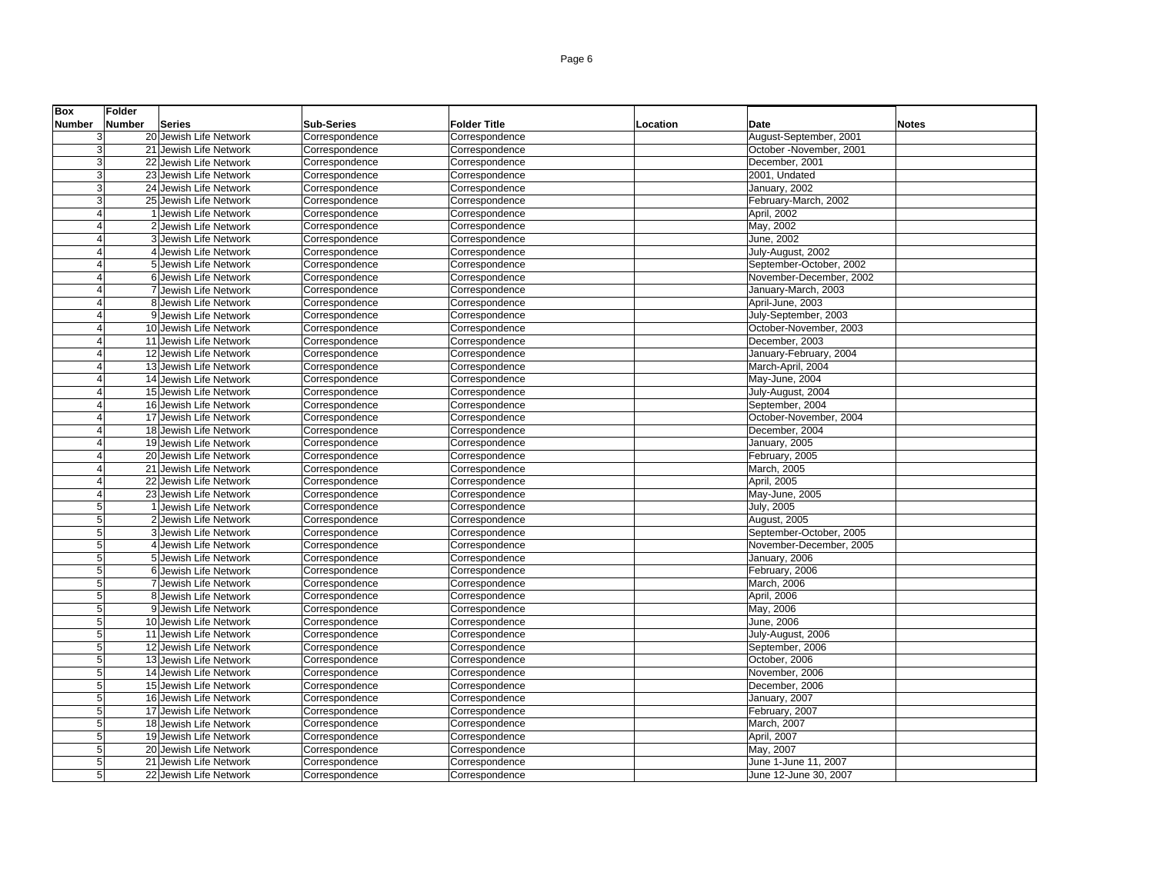| <b>Box</b>               | <b>Folder</b>                  |                   |                     |          |                                               |
|--------------------------|--------------------------------|-------------------|---------------------|----------|-----------------------------------------------|
| <b>Number</b>            | <b>Number</b><br><b>Series</b> | <b>Sub-Series</b> | <b>Folder Title</b> | Location | Date<br><b>Notes</b>                          |
| 3                        | 20 Jewish Life Network         | Correspondence    | Correspondence      |          | August-September, 2001                        |
| 3                        | 21 Jewish Life Network         | Correspondence    | Correspondence      |          | October -November, 2001                       |
| 3                        | 22 Jewish Life Network         | Correspondence    | Correspondence      |          | December, 2001                                |
| 3                        | 23 Jewish Life Network         | Correspondence    | Correspondence      |          | 2001, Undated                                 |
| 3                        | 24 Jewish Life Network         | Correspondence    | Correspondence      |          | January, 2002                                 |
| 3                        | 25 Jewish Life Network         | Correspondence    | Correspondence      |          | February-March, 2002                          |
| $\overline{4}$           | 1 Jewish Life Network          | Correspondence    | Correspondence      |          | April, 2002                                   |
| $\boldsymbol{\varDelta}$ | 2 Jewish Life Network          | Correspondence    | Correspondence      |          | May, 2002                                     |
| $\overline{4}$           | 3 Jewish Life Network          | Correspondence    | Correspondence      |          | June, 2002                                    |
| $\overline{4}$           | 4 Jewish Life Network          | Correspondence    | Correspondence      |          | July-August, 2002                             |
| $\overline{4}$           | 5 Jewish Life Network          | Correspondence    | Correspondence      |          | September-October, 2002                       |
| $\overline{4}$           | 6 Jewish Life Network          | Correspondence    | Correspondence      |          | November-December, 2002                       |
| $\boldsymbol{\varDelta}$ | 7 Jewish Life Network          | Correspondence    | Correspondence      |          | January-March, 2003                           |
| $\overline{4}$           | 8 Jewish Life Network          | Correspondence    | Correspondence      |          | April-June, 2003                              |
| $\overline{4}$           | 9 Jewish Life Network          | Correspondence    | Correspondence      |          | July-September, 2003                          |
| $\overline{4}$           | 10 Jewish Life Network         | Correspondence    | Correspondence      |          | October-November, 2003                        |
| $\overline{4}$           | 11 Jewish Life Network         | Correspondence    | Correspondence      |          | December, 2003                                |
| $\boldsymbol{\varDelta}$ | 12 Jewish Life Network         | Correspondence    | Correspondence      |          | January-February, 2004                        |
| $\boldsymbol{\varDelta}$ | 13 Jewish Life Network         | Correspondence    | Correspondence      |          | March-April, 2004                             |
| $\overline{4}$           | 14 Jewish Life Network         | Correspondence    | Correspondence      |          | May-June, 2004                                |
| $\boldsymbol{\varDelta}$ | 15 Jewish Life Network         | Correspondence    | Correspondence      |          | July-August, 2004                             |
| $\overline{4}$           | 16 Jewish Life Network         | Correspondence    | Correspondence      |          | September, 2004                               |
| $\overline{4}$           | 17 Jewish Life Network         | Correspondence    | Correspondence      |          | October-November, 2004                        |
| $\overline{4}$           | 18 Jewish Life Network         | Correspondence    | Correspondence      |          | December, 2004                                |
| $\overline{4}$           | 19 Jewish Life Network         | Correspondence    | Correspondence      |          | January, 2005                                 |
| $\overline{4}$           | 20 Jewish Life Network         | Correspondence    | Correspondence      |          | February, 2005                                |
| $\overline{4}$           | 21 Jewish Life Network         | Correspondence    | Correspondence      |          | March, 2005                                   |
|                          | 22 Jewish Life Network         | Correspondence    | Correspondence      |          | April, 2005                                   |
| $\boldsymbol{\Lambda}$   | 23 Jewish Life Network         | Correspondence    | Correspondence      |          | May-June, 2005                                |
| 5                        | 1 Jewish Life Network          | Correspondence    | Correspondence      |          | July, 2005                                    |
| 5                        | 2 Jewish Life Network          | Correspondence    | Correspondence      |          | <b>August, 2005</b>                           |
| $\overline{5}$           | 3 Jewish Life Network          | Correspondence    | Correspondence      |          | September-October, 2005                       |
| 5                        | 4 Jewish Life Network          | Correspondence    | Correspondence      |          | November-December, 2005                       |
| 5                        | 5 Jewish Life Network          | Correspondence    | Correspondence      |          | January, 2006                                 |
| 5                        | 6 Jewish Life Network          | Correspondence    | Correspondence      |          | February, 2006                                |
| 5                        | 7 Jewish Life Network          | Correspondence    | Correspondence      |          | March, 2006                                   |
| 5                        | 8 Jewish Life Network          | Correspondence    | Correspondence      |          | <b>April, 2006</b>                            |
| 5                        | 9 Jewish Life Network          | Correspondence    | Correspondence      |          | May, 2006                                     |
| 5                        | 10 Jewish Life Network         | Correspondence    | Correspondence      |          | June. 2006                                    |
| $\overline{5}$           | 11 Jewish Life Network         | Correspondence    | Correspondence      |          | July-August, 2006                             |
| 5                        | 12 Jewish Life Network         | Correspondence    | Correspondence      |          | September, 2006                               |
| 5                        | 13 Jewish Life Network         | Correspondence    | Correspondence      |          | October, 2006                                 |
| $\overline{5}$           | 14 Jewish Life Network         | Correspondence    | Correspondence      |          | November, 2006                                |
| 5                        | 15 Jewish Life Network         | Correspondence    | Correspondence      |          | December, 2006                                |
| 5                        | 16 Jewish Life Network         | Correspondence    | Correspondence      |          | January, 2007                                 |
| 5                        | 17 Jewish Life Network         | Correspondence    | Correspondence      |          | February, 2007                                |
| 5                        | 18 Jewish Life Network         | Correspondence    | Correspondence      |          | March, 2007                                   |
| 5                        | 19 Jewish Life Network         | Correspondence    | Correspondence      |          | April, 2007                                   |
| 5                        | 20 Jewish Life Network         | Correspondence    | Correspondence      |          | May, 2007                                     |
| 5                        | 21 Jewish Life Network         | Correspondence    | Correspondence      |          | June 1-June 11, 2007<br>June 12-June 30, 2007 |
| $\overline{5}$           | 22 Jewish Life Network         | Correspondence    | Correspondence      |          |                                               |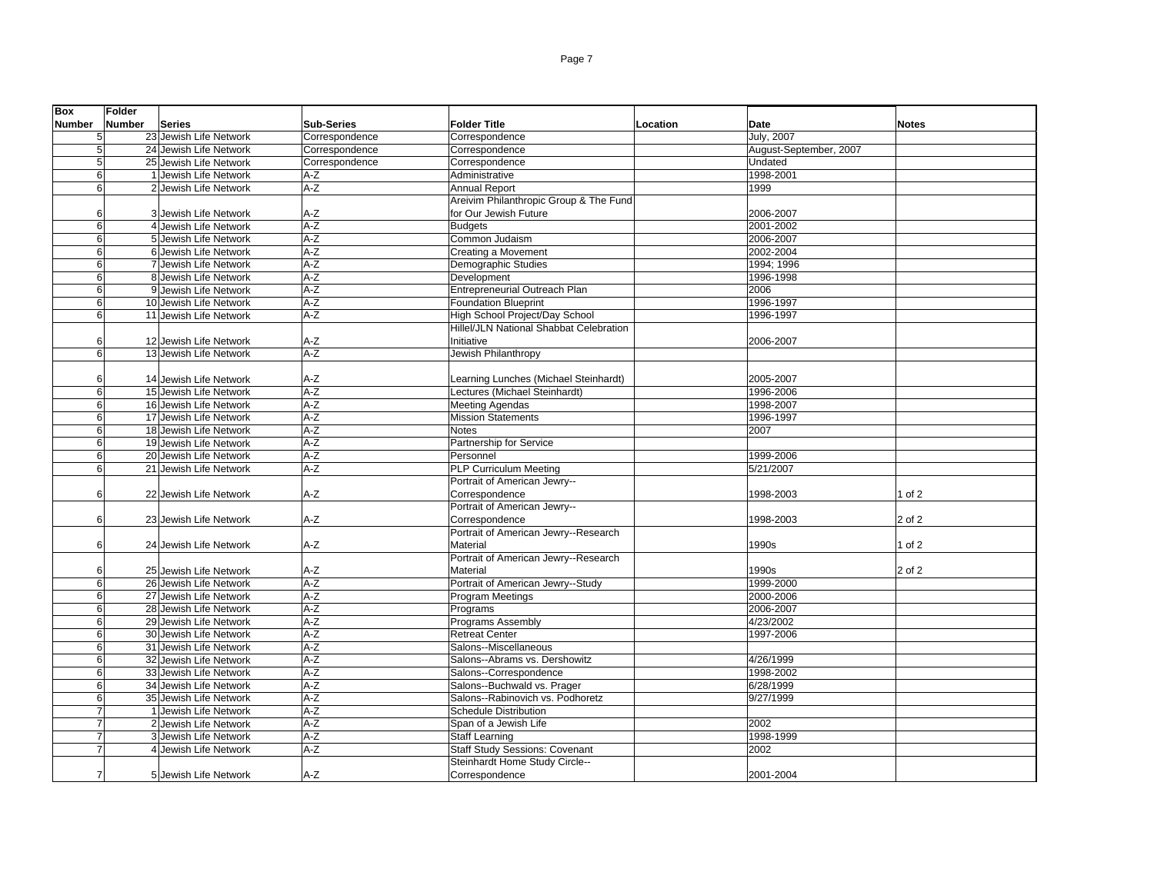| <b>Box</b>      | <b>Folder</b> |                        |                   |                                         |          |                        |              |
|-----------------|---------------|------------------------|-------------------|-----------------------------------------|----------|------------------------|--------------|
| <b>Number</b>   | <b>Number</b> | <b>Series</b>          | <b>Sub-Series</b> | <b>Folder Title</b>                     | Location | Date                   | <b>Notes</b> |
| 5 <sub>l</sub>  |               | 23 Jewish Life Network | Correspondence    | Correspondence                          |          | July, 2007             |              |
| $5\overline{)}$ |               | 24 Jewish Life Network | Correspondence    | Correspondence                          |          | August-September, 2007 |              |
| 5               |               | 25 Jewish Life Network | Correspondence    | Correspondence                          |          | Undated                |              |
| 6               |               | 1 Jewish Life Network  | A-Z               | Administrative                          |          | 1998-2001              |              |
| 6               |               | 2 Jewish Life Network  | $A-Z$             | <b>Annual Report</b>                    |          | 1999                   |              |
|                 |               |                        |                   | Areivim Philanthropic Group & The Fund  |          |                        |              |
| 6               |               | 3 Jewish Life Network  | A-Z               | for Our Jewish Future                   |          | 2006-2007              |              |
| $6\overline{6}$ |               | 4 Jewish Life Network  | $A-Z$             | <b>Budgets</b>                          |          | 2001-2002              |              |
| 6 <sup>1</sup>  |               | 5 Jewish Life Network  | $A-Z$             | Common Judaism                          |          | 2006-2007              |              |
| 6               |               | 6 Jewish Life Network  | $A-Z$             | Creating a Movement                     |          | 2002-2004              |              |
| 6               |               | 7 Jewish Life Network  | $A-Z$             | Demographic Studies                     |          | 1994; 1996             |              |
| 6               |               | 8 Jewish Life Network  | $A-Z$             | Development                             |          | 1996-1998              |              |
| 6               |               | 9 Jewish Life Network  | $A-Z$             | Entrepreneurial Outreach Plan           |          | 2006                   |              |
| 6 <sup>1</sup>  |               | 10 Jewish Life Network | $A-Z$             | <b>Foundation Blueprint</b>             |          | 1996-1997              |              |
| 6               |               | 11 Jewish Life Network | $A-Z$             | High School Project/Day School          |          | 1996-1997              |              |
|                 |               |                        |                   | Hillel/JLN National Shabbat Celebration |          |                        |              |
| 6               |               | 12 Jewish Life Network | $A-Z$             | Initiative                              |          | 2006-2007              |              |
| 6               |               | 13 Jewish Life Network | $A-Z$             | Jewish Philanthropy                     |          |                        |              |
|                 |               |                        |                   |                                         |          |                        |              |
| 6               |               | 14 Jewish Life Network | A-Z               | Learning Lunches (Michael Steinhardt)   |          | 2005-2007              |              |
| 6               |               | 15 Jewish Life Network | $A-Z$             | Lectures (Michael Steinhardt)           |          | 1996-2006              |              |
| 6 <sup>1</sup>  |               | 16 Jewish Life Network | $A-Z$             | <b>Meeting Agendas</b>                  |          | 1998-2007              |              |
| 6               |               | 17 Jewish Life Network | $A-Z$             | <b>Mission Statements</b>               |          | 1996-1997              |              |
| 6 <sup>1</sup>  |               | 18 Jewish Life Network | $A-Z$             | <b>Notes</b>                            |          | 2007                   |              |
| 6               |               | 19 Jewish Life Network | $A-Z$             | Partnership for Service                 |          |                        |              |
| 6               |               | 20 Jewish Life Network | $A-Z$             | Personnel                               |          | 1999-2006              |              |
| 6               |               | 21 Jewish Life Network | $A-Z$             | <b>PLP Curriculum Meeting</b>           |          | 5/21/2007              |              |
|                 |               |                        |                   | Portrait of American Jewry--            |          |                        |              |
| 6               |               | 22 Jewish Life Network | A-Z               | Correspondence                          |          | 1998-2003              | of 2         |
|                 |               |                        |                   | Portrait of American Jewry--            |          |                        |              |
| 6               |               | 23 Jewish Life Network | $A-Z$             | Correspondence                          |          | 1998-2003              | 2 of 2       |
|                 |               |                        |                   | Portrait of American Jewry--Research    |          |                        |              |
| 6               |               | 24 Jewish Life Network | A-Z               | Material                                |          | 1990s                  | 1 of 2       |
|                 |               |                        |                   | Portrait of American Jewry--Research    |          |                        |              |
| 6               |               | 25 Jewish Life Network | A-Z               | Material                                |          | 1990s                  | 2 of 2       |
| 6               |               | 26 Jewish Life Network | $A-Z$             | Portrait of American Jewry--Study       |          | 1999-2000              |              |
| 6               |               | 27 Jewish Life Network | $A-Z$             | Program Meetings                        |          | 2000-2006              |              |
| 6               |               | 28 Jewish Life Network | $A-Z$             | Programs                                |          | 2006-2007              |              |
| 6 <sup>1</sup>  |               | 29 Jewish Life Network | $A-Z$             | <b>Programs Assembly</b>                |          | 4/23/2002              |              |
| 6               |               | 30 Jewish Life Network | $A-Z$             | <b>Retreat Center</b>                   |          | 1997-2006              |              |
| 6               |               | 31 Jewish Life Network | $A-Z$             | Salons--Miscellaneous                   |          |                        |              |
| 6 <sup>1</sup>  |               | 32 Jewish Life Network | $A-Z$             | Salons--Abrams vs. Dershowitz           |          | 4/26/1999              |              |
| 6               |               | 33 Jewish Life Network | $A-Z$             | Salons--Correspondence                  |          | 1998-2002              |              |
| 6               |               | 34 Jewish Life Network | $A-Z$             | Salons--Buchwald vs. Prager             |          | 6/28/1999              |              |
| 6               |               | 35 Jewish Life Network | $A-Z$             | Salons--Rabinovich vs. Podhoretz        |          | 9/27/1999              |              |
| $\overline{7}$  |               | 1 Jewish Life Network  | $A-Z$             | <b>Schedule Distribution</b>            |          |                        |              |
| $\overline{7}$  |               | 2 Jewish Life Network  | $A-Z$             | Span of a Jewish Life                   |          |                        |              |
| 7               |               |                        | $A-Z$             |                                         |          | 2002<br>1998-1999      |              |
| $\overline{7}$  |               | 3 Jewish Life Network  |                   | <b>Staff Learning</b>                   |          |                        |              |
|                 |               | 4 Jewish Life Network  | $A-Z$             | <b>Staff Study Sessions: Covenant</b>   |          | 2002                   |              |
|                 |               |                        |                   | Steinhardt Home Study Circle--          |          |                        |              |
| $\overline{7}$  |               | 5 Jewish Life Network  | $A-Z$             | Correspondence                          |          | 2001-2004              |              |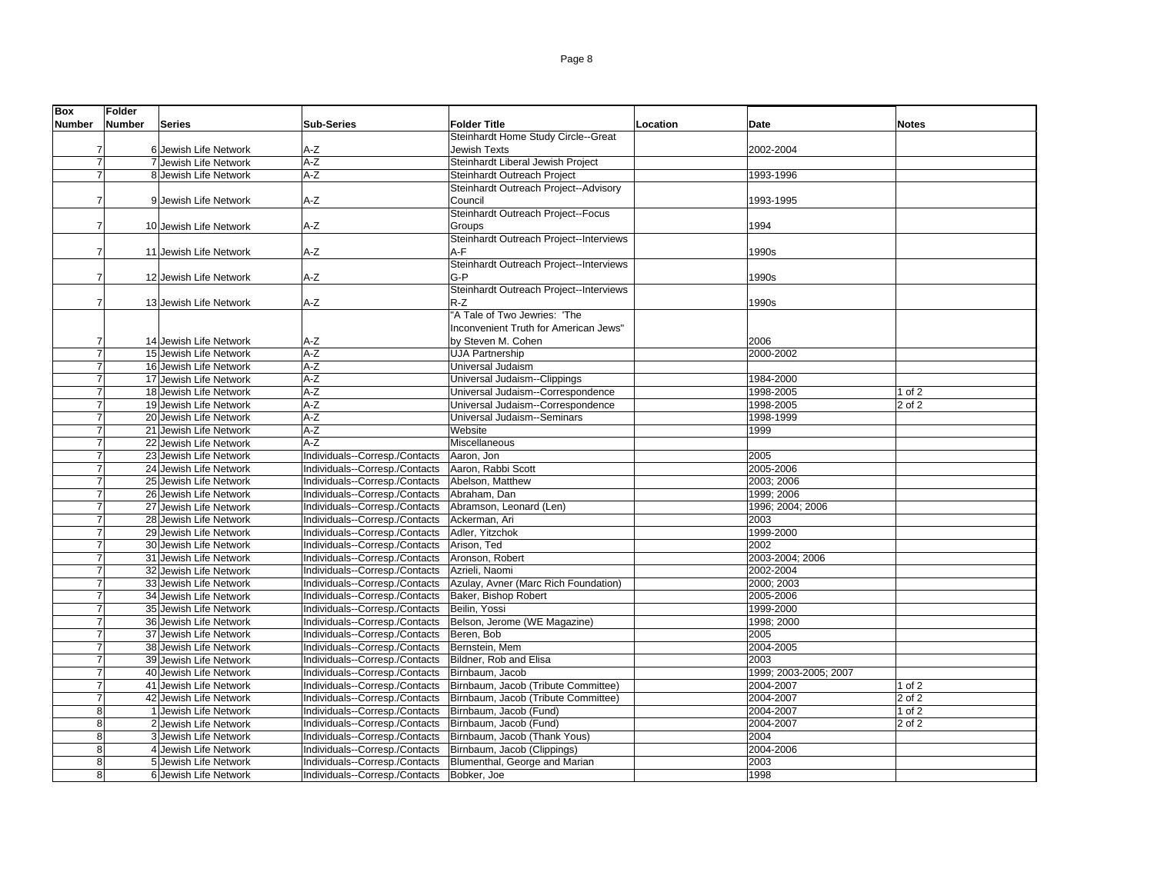| <b>Box</b>     | <b>Folder</b> |                        |                                |                                         |          |                       |              |
|----------------|---------------|------------------------|--------------------------------|-----------------------------------------|----------|-----------------------|--------------|
| <b>Number</b>  | <b>Number</b> | <b>Series</b>          | <b>Sub-Series</b>              | <b>Folder Title</b>                     | Location | Date                  | <b>Notes</b> |
|                |               |                        |                                | Steinhardt Home Study Circle--Great     |          |                       |              |
| 7              |               | 6 Jewish Life Network  | $A-Z$                          | Jewish Texts                            |          | 2002-2004             |              |
| $\overline{7}$ |               | 7 Jewish Life Network  | $A-Z$                          | Steinhardt Liberal Jewish Project       |          |                       |              |
| $\overline{7}$ |               | 8 Jewish Life Network  | $A-Z$                          | Steinhardt Outreach Project             |          | 1993-1996             |              |
|                |               |                        |                                | Steinhardt Outreach Project--Advisory   |          |                       |              |
| 7              |               | 9 Jewish Life Network  | $A-Z$                          | Council                                 |          | 1993-1995             |              |
|                |               |                        |                                | Steinhardt Outreach Project--Focus      |          |                       |              |
| $\overline{7}$ |               | 10 Jewish Life Network | $A-Z$                          | Groups                                  |          |                       |              |
|                |               |                        |                                | Steinhardt Outreach Project--Interviews |          | 1994                  |              |
|                |               |                        |                                |                                         |          |                       |              |
| $\overline{7}$ |               | 11 Jewish Life Network | $A-Z$                          | A-F                                     |          | 1990s                 |              |
|                |               |                        |                                | Steinhardt Outreach Project--Interviews |          |                       |              |
| $\overline{7}$ |               | 12 Jewish Life Network | $A-Z$                          | G-P                                     |          | 1990s                 |              |
|                |               |                        |                                | Steinhardt Outreach Project--Interviews |          |                       |              |
| $\overline{7}$ |               | 13 Jewish Life Network | $A-Z$                          | $R-Z$                                   |          | 1990s                 |              |
|                |               |                        |                                | "A Tale of Two Jewries: 'The            |          |                       |              |
|                |               |                        |                                | Inconvenient Truth for American Jews"   |          |                       |              |
| 7              |               | 14 Jewish Life Network | $A-Z$                          | by Steven M. Cohen                      |          | 2006                  |              |
| 7              |               | 15 Jewish Life Network | $A-Z$                          | <b>UJA Partnership</b>                  |          | 2000-2002             |              |
|                |               | 16 Jewish Life Network | $A-Z$                          | Universal Judaism                       |          |                       |              |
| $\overline{7}$ |               | 17 Jewish Life Network | $A-Z$                          | Universal Judaism--Clippings            |          | 1984-2000             |              |
| $\overline{7}$ |               | 18 Jewish Life Network | $A-Z$                          | Universal Judaism--Correspondence       |          | 1998-2005             | $1$ of $2$   |
| 7              |               | 19 Jewish Life Network | $A-Z$                          | Universal Judaism--Correspondence       |          | 1998-2005             | 2 of 2       |
| 7              |               | 20 Jewish Life Network | $A-Z$                          | Universal Judaism--Seminars             |          | 1998-1999             |              |
| 7              |               | 21 Jewish Life Network | $A-Z$                          | Website                                 |          | 1999                  |              |
| $\overline{7}$ |               | 22 Jewish Life Network | $A-Z$                          | Miscellaneous                           |          |                       |              |
| $\overline{7}$ |               | 23 Jewish Life Network | Individuals--Corresp./Contacts | Aaron, Jon                              |          | 2005                  |              |
| $\overline{7}$ |               | 24 Jewish Life Network | Individuals--Corresp./Contacts | Aaron, Rabbi Scott                      |          | 2005-2006             |              |
| $\overline{7}$ |               | 25 Jewish Life Network | Individuals--Corresp./Contacts | Abelson, Matthew                        |          | 2003; 2006            |              |
|                |               | 26 Jewish Life Network | Individuals--Corresp./Contacts | Abraham, Dan                            |          | 1999; 2006            |              |
| $\overline{7}$ |               | 27 Jewish Life Network | Individuals--Corresp./Contacts | Abramson, Leonard (Len)                 |          | 1996; 2004; 2006      |              |
| $\overline{7}$ |               | 28 Jewish Life Network | Individuals--Corresp./Contacts | Ackerman, Ari                           |          | 2003                  |              |
| $\overline{7}$ |               | 29 Jewish Life Network | Individuals--Corresp./Contacts | Adler, Yitzchok                         |          | 1999-2000             |              |
| 7              |               | 30 Jewish Life Network | Individuals--Corresp./Contacts | Arison, Ted                             |          | 2002                  |              |
|                |               | 31 Jewish Life Network | Individuals--Corresp./Contacts | Aronson, Robert                         |          | 2003-2004; 2006       |              |
| $\overline{7}$ |               | 32 Jewish Life Network | Individuals--Corresp./Contacts | Azrieli, Naomi                          |          | 2002-2004             |              |
| $\overline{7}$ |               | 33 Jewish Life Network | Individuals--Corresp./Contacts | Azulay, Avner (Marc Rich Foundation)    |          | 2000; 2003            |              |
| $\overline{7}$ |               | 34 Jewish Life Network | Individuals--Corresp./Contacts | Baker, Bishop Robert                    |          | 2005-2006             |              |
| $\overline{7}$ |               | 35 Jewish Life Network | Individuals--Corresp./Contacts | Beilin, Yossi                           |          | 1999-2000             |              |
| 7              |               | 36 Jewish Life Network | Individuals--Corresp./Contacts | Belson, Jerome (WE Magazine)            |          | 1998; 2000            |              |
| $\overline{7}$ |               | 37 Jewish Life Network | Individuals--Corresp./Contacts | Beren, Bob                              |          | 2005                  |              |
| $\overline{7}$ |               | 38 Jewish Life Network | Individuals--Corresp./Contacts | Bernstein, Mem                          |          | 2004-2005             |              |
| $\overline{7}$ |               | 39 Jewish Life Network | Individuals--Corresp./Contacts | Bildner, Rob and Elisa                  |          | 2003                  |              |
| $\overline{7}$ |               | 40 Jewish Life Network | Individuals--Corresp./Contacts | Birnbaum, Jacob                         |          | 1999; 2003-2005; 2007 |              |
| 7              |               | 41 Jewish Life Network | Individuals--Corresp./Contacts | Birnbaum, Jacob (Tribute Committee)     |          | 2004-2007             | 1 of 2       |
| $\overline{7}$ |               | 42 Jewish Life Network | Individuals--Corresp./Contacts | Birnbaum, Jacob (Tribute Committee)     |          | 2004-2007             | 2 of 2       |
| 8              |               | 1 Jewish Life Network  | Individuals--Corresp./Contacts | Birnbaum, Jacob (Fund)                  |          | 2004-2007             | 1 of 2       |
| 8              |               | 2 Jewish Life Network  | Individuals--Corresp./Contacts | Birnbaum, Jacob (Fund)                  |          | 2004-2007             | $2$ of $2$   |
| $\overline{8}$ |               | 3 Jewish Life Network  | Individuals--Corresp./Contacts | Birnbaum, Jacob (Thank Yous)            |          | 2004                  |              |
| 8              |               | 4 Jewish Life Network  | Individuals--Corresp./Contacts | Birnbaum, Jacob (Clippings)             |          | 2004-2006             |              |
| 8              |               | 5 Jewish Life Network  | Individuals--Corresp./Contacts | Blumenthal, George and Marian           |          | 2003                  |              |
| 8              |               | 6 Jewish Life Network  | Individuals--Corresp./Contacts | Bobker, Joe                             |          | 1998                  |              |
|                |               |                        |                                |                                         |          |                       |              |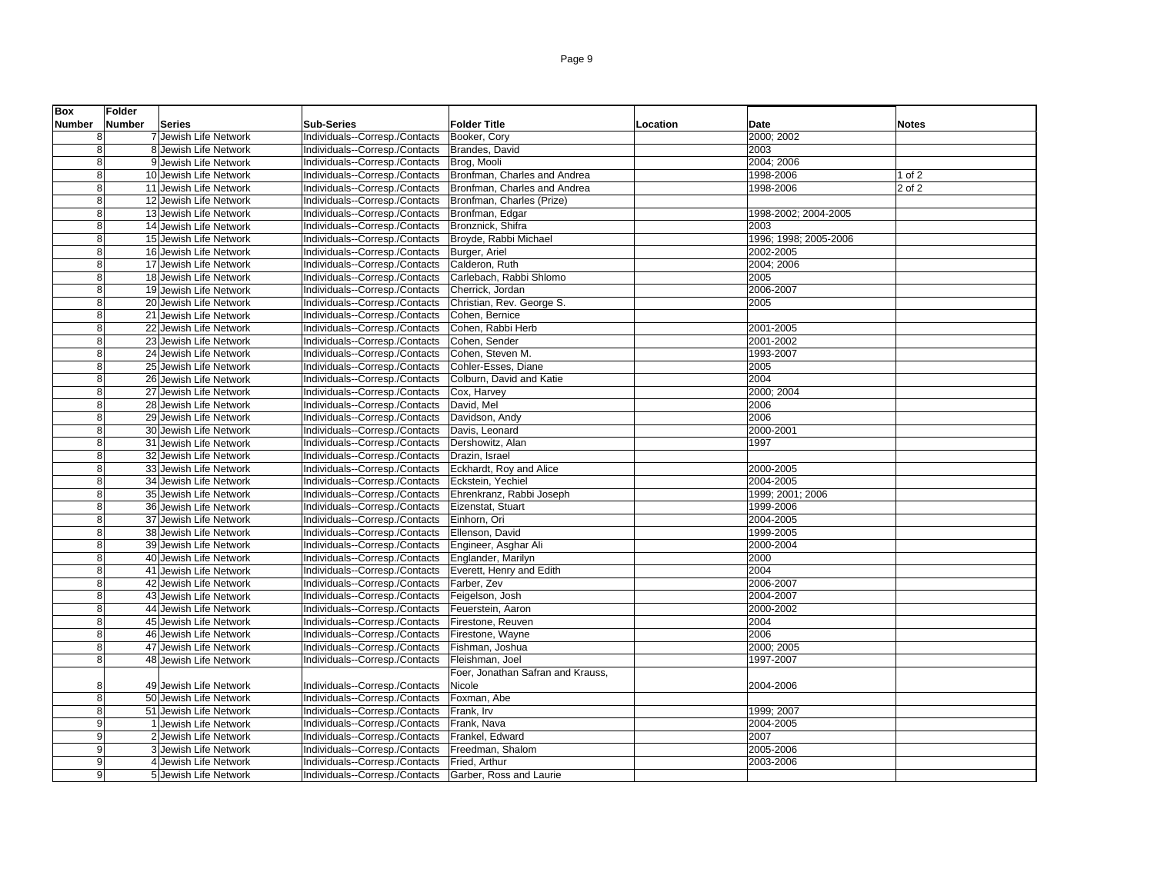| <b>Box</b>     | <b>Folder</b> |                        |                                |                                   |          |                       |              |
|----------------|---------------|------------------------|--------------------------------|-----------------------------------|----------|-----------------------|--------------|
| <b>Number</b>  | Number        | <b>Series</b>          | <b>Sub-Series</b>              | <b>Folder Title</b>               | Location | <b>Date</b>           | <b>Notes</b> |
| 8              |               | 7 Jewish Life Network  | Individuals--Corresp./Contacts | Booker, Cory                      |          | 2000; 2002            |              |
| 8              |               | 8 Jewish Life Network  | Individuals--Corresp./Contacts | Brandes, David                    |          | 2003                  |              |
| $\overline{8}$ |               | 9 Jewish Life Network  | Individuals--Corresp./Contacts | Brog, Mooli                       |          | 2004; 2006            |              |
| 8              |               | 10 Jewish Life Network | Individuals--Corresp./Contacts | Bronfman, Charles and Andrea      |          | 1998-2006             | $1$ of $2$   |
| 8              |               | 11 Jewish Life Network | Individuals--Corresp./Contacts | Bronfman, Charles and Andrea      |          | 1998-2006             | 2 of 2       |
| 8              |               | 12 Jewish Life Network | Individuals--Corresp./Contacts | Bronfman, Charles (Prize)         |          |                       |              |
| 8              |               | 13 Jewish Life Network | Individuals--Corresp./Contacts | Bronfman, Edgar                   |          | 1998-2002; 2004-2005  |              |
| $\overline{8}$ |               | 14 Jewish Life Network | Individuals--Corresp./Contacts | Bronznick, Shifra                 |          | 2003                  |              |
| 8              |               | 15 Jewish Life Network | Individuals--Corresp./Contacts | Broyde, Rabbi Michael             |          | 1996; 1998; 2005-2006 |              |
| 8              |               | 16 Jewish Life Network | Individuals--Corresp./Contacts | Burger, Ariel                     |          | 2002-2005             |              |
| 8              |               | 17 Jewish Life Network | Individuals--Corresp./Contacts | Calderon, Ruth                    |          | 2004; 2006            |              |
| 8              |               | 18 Jewish Life Network | Individuals--Corresp./Contacts | Carlebach, Rabbi Shlomo           |          | 2005                  |              |
| 8              |               | 19 Jewish Life Network | Individuals--Corresp./Contacts | Cherrick, Jordan                  |          | 2006-2007             |              |
| 8              |               | 20 Jewish Life Network | Individuals--Corresp./Contacts | Christian, Rev. George S.         |          | 2005                  |              |
| 8              |               | 21 Jewish Life Network | Individuals--Corresp./Contacts | Cohen, Bernice                    |          |                       |              |
| 8              |               | 22 Jewish Life Network | Individuals--Corresp./Contacts | Cohen, Rabbi Herb                 |          | 2001-2005             |              |
| 8              |               | 23 Jewish Life Network | Individuals--Corresp./Contacts | Cohen, Sender                     |          | 2001-2002             |              |
| $\overline{8}$ |               | 24 Jewish Life Network | Individuals--Corresp./Contacts | Cohen, Steven M.                  |          | 1993-2007             |              |
| 8              |               | 25 Jewish Life Network | Individuals--Corresp./Contacts | Cohler-Esses, Diane               |          | 2005                  |              |
| 8              |               | 26 Jewish Life Network | Individuals--Corresp./Contacts | Colburn, David and Katie          |          | 2004                  |              |
| 8              |               | 27 Jewish Life Network | Individuals--Corresp./Contacts | Cox, Harvey                       |          | 2000; 2004            |              |
| 8              |               | 28 Jewish Life Network | Individuals--Corresp./Contacts | David, Mel                        |          | 2006                  |              |
| 8              |               | 29 Jewish Life Network | Individuals--Corresp./Contacts | Davidson, Andy                    |          | 2006                  |              |
| 8              |               | 30 Jewish Life Network | Individuals--Corresp./Contacts | Davis, Leonard                    |          | 2000-2001             |              |
| 8              |               | 31 Jewish Life Network | Individuals--Corresp./Contacts | Dershowitz, Alan                  |          | 1997                  |              |
| 8              |               | 32 Jewish Life Network | Individuals--Corresp./Contacts | Drazin, Israel                    |          |                       |              |
| 8              |               | 33 Jewish Life Network | Individuals--Corresp./Contacts | Eckhardt, Roy and Alice           |          | 2000-2005             |              |
| 8              |               | 34 Jewish Life Network | Individuals--Corresp./Contacts | Eckstein, Yechiel                 |          | 2004-2005             |              |
| 8              |               | 35 Jewish Life Network | Individuals--Corresp./Contacts | Ehrenkranz, Rabbi Joseph          |          | 1999; 2001; 2006      |              |
| 8              |               | 36 Jewish Life Network | Individuals--Corresp./Contacts | Eizenstat, Stuart                 |          | 1999-2006             |              |
| 8              |               | 37 Jewish Life Network | Individuals--Corresp./Contacts | Einhorn, Ori                      |          | 2004-2005             |              |
| 8              |               | 38 Jewish Life Network | Individuals--Corresp./Contacts | Ellenson, David                   |          | 1999-2005             |              |
| 8              |               | 39 Jewish Life Network | Individuals--Corresp./Contacts | Engineer, Asghar Ali              |          | 2000-2004             |              |
| 8              |               | 40 Jewish Life Network | Individuals--Corresp./Contacts | Englander, Marilyn                |          | 2000                  |              |
| 8              |               | 41 Jewish Life Network | Individuals--Corresp./Contacts | Everett, Henry and Edith          |          | 2004                  |              |
| $\overline{8}$ |               | 42 Jewish Life Network | Individuals--Corresp./Contacts | Farber, Zev                       |          | 2006-2007             |              |
| 8              |               | 43 Jewish Life Network | Individuals--Corresp./Contacts | Feigelson, Josh                   |          | 2004-2007             |              |
| 8              |               | 44 Jewish Life Network | Individuals--Corresp./Contacts | Feuerstein, Aaron                 |          | 2000-2002             |              |
| 8              |               | 45 Jewish Life Network | Individuals--Corresp./Contacts | Firestone, Reuven                 |          | 2004                  |              |
| 8              |               | 46 Jewish Life Network | Individuals--Corresp./Contacts | Firestone, Wayne                  |          | 2006                  |              |
| 8              |               | 47 Jewish Life Network | Individuals--Corresp./Contacts | Fishman, Joshua                   |          | 2000; 2005            |              |
| 8              |               | 48 Jewish Life Network | Individuals--Corresp./Contacts | Fleishman, Joel                   |          | 1997-2007             |              |
|                |               |                        |                                | Foer, Jonathan Safran and Krauss, |          |                       |              |
| 8              |               | 49 Jewish Life Network | Individuals--Corresp./Contacts | Nicole                            |          | 2004-2006             |              |
| 8              |               | 50 Jewish Life Network | Individuals--Corresp./Contacts | Foxman, Abe                       |          |                       |              |
| 8              |               | 51 Jewish Life Network | Individuals--Corresp./Contacts | Frank, Irv                        |          | 1999; 2007            |              |
| 9              |               | 1 Jewish Life Network  | Individuals--Corresp./Contacts | Frank, Nava                       |          | 2004-2005             |              |
| 9              |               | 2 Jewish Life Network  | Individuals--Corresp./Contacts | Frankel, Edward                   |          | 2007                  |              |
| 9              |               | 3 Jewish Life Network  | Individuals--Corresp./Contacts | Freedman, Shalom                  |          | 2005-2006             |              |
| 9              |               | 4 Jewish Life Network  | Individuals--Corresp./Contacts | Fried, Arthur                     |          | 2003-2006             |              |
| $\overline{9}$ |               | 5 Jewish Life Network  | Individuals--Corresp./Contacts | Garber, Ross and Laurie           |          |                       |              |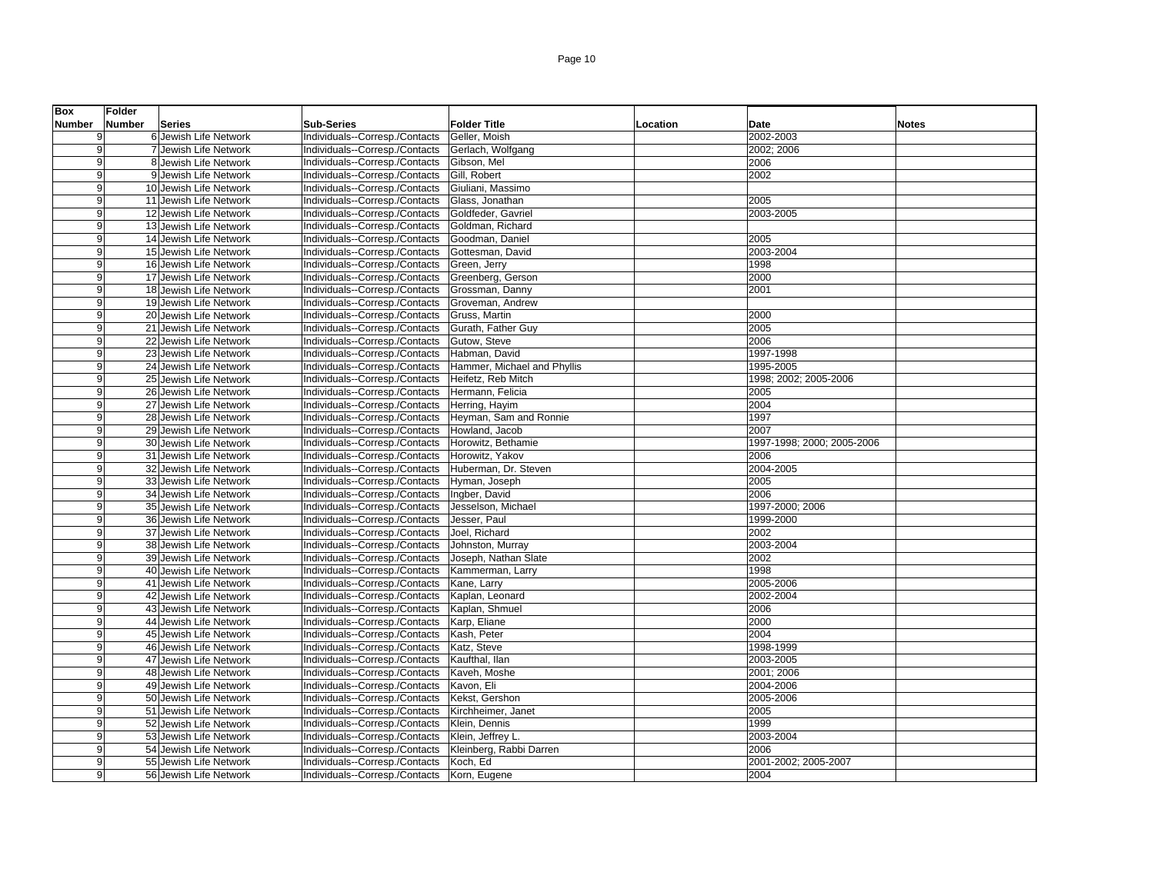| <b>Box</b>     | Folder |                        |                                |                             |          |                            |              |
|----------------|--------|------------------------|--------------------------------|-----------------------------|----------|----------------------------|--------------|
| <b>Number</b>  | Number | <b>Series</b>          | <b>Sub-Series</b>              | <b>Folder Title</b>         | Location | <b>Date</b>                | <b>Notes</b> |
| 9 <sup>1</sup> |        | 6 Jewish Life Network  | Individuals--Corresp./Contacts | Geller, Moish               |          | 2002-2003                  |              |
| 9              |        | 7 Jewish Life Network  | Individuals--Corresp./Contacts | Gerlach, Wolfgang           |          | 2002; 2006                 |              |
| 9              |        | 8 Jewish Life Network  | Individuals--Corresp./Contacts | Gibson, Mel                 |          | 2006                       |              |
| 9              |        | 9 Jewish Life Network  | Individuals--Corresp./Contacts | Gill, Robert                |          | 2002                       |              |
| 9              |        | 10 Jewish Life Network | Individuals--Corresp./Contacts | Giuliani, Massimo           |          |                            |              |
| 9              |        | 11 Jewish Life Network | Individuals--Corresp./Contacts | Glass, Jonathan             |          | 2005                       |              |
| 9              |        | 12 Jewish Life Network | Individuals--Corresp./Contacts | Goldfeder, Gavriel          |          | 2003-2005                  |              |
| $\overline{9}$ |        | 13 Jewish Life Network | Individuals--Corresp./Contacts | Goldman, Richard            |          |                            |              |
| 9              |        | 14 Jewish Life Network | Individuals--Corresp./Contacts | Goodman, Daniel             |          | 2005                       |              |
| 9              |        | 15 Jewish Life Network | Individuals--Corresp./Contacts | Gottesman, David            |          | 2003-2004                  |              |
| 9              |        | 16 Jewish Life Network | Individuals--Corresp./Contacts | Green, Jerry                |          | 1998                       |              |
| 9              |        | 17 Jewish Life Network | Individuals--Corresp./Contacts | Greenberg, Gerson           |          | 2000                       |              |
| 9              |        | 18 Jewish Life Network | Individuals--Corresp./Contacts | Grossman, Danny             |          | 2001                       |              |
| 9              |        | 19 Jewish Life Network | Individuals--Corresp./Contacts | Groveman, Andrew            |          |                            |              |
| $\overline{9}$ |        | 20 Jewish Life Network | Individuals--Corresp./Contacts | Gruss, Martin               |          | 2000                       |              |
| 9              |        | 21 Jewish Life Network | Individuals--Corresp./Contacts | Gurath, Father Guy          |          | 2005                       |              |
| 9              |        | 22 Jewish Life Network | Individuals--Corresp./Contacts | Gutow, Steve                |          | 2006                       |              |
| 9              |        | 23 Jewish Life Network | Individuals--Corresp./Contacts | Habman, David               |          | 1997-1998                  |              |
| 9              |        | 24 Jewish Life Network | Individuals--Corresp./Contacts | Hammer, Michael and Phyllis |          | 1995-2005                  |              |
| 9              |        | 25 Jewish Life Network | Individuals--Corresp./Contacts | Heifetz, Reb Mitch          |          | 1998; 2002; 2005-2006      |              |
| 9              |        | 26 Jewish Life Network | Individuals--Corresp./Contacts | Hermann, Felicia            |          | 2005                       |              |
| 9              |        | 27 Jewish Life Network | Individuals--Corresp./Contacts | Herring, Hayim              |          | 2004                       |              |
| 9              |        | 28 Jewish Life Network | Individuals--Corresp./Contacts | Heyman, Sam and Ronnie      |          | 1997                       |              |
| 9              |        | 29 Jewish Life Network | Individuals--Corresp./Contacts | Howland, Jacob              |          | 2007                       |              |
| 9              |        | 30 Jewish Life Network | Individuals--Corresp./Contacts | Horowitz, Bethamie          |          | 1997-1998; 2000; 2005-2006 |              |
| 9              |        | 31 Jewish Life Network | Individuals--Corresp./Contacts | Horowitz, Yakov             |          | 2006                       |              |
| 9              |        | 32 Jewish Life Network | Individuals--Corresp./Contacts | Huberman, Dr. Steven        |          | 2004-2005                  |              |
| 9              |        | 33 Jewish Life Network | Individuals--Corresp./Contacts | Hyman, Joseph               |          | 2005                       |              |
| 9              |        | 34 Jewish Life Network | Individuals--Corresp./Contacts | Ingber, David               |          | 2006                       |              |
| 9              |        | 35 Jewish Life Network | Individuals--Corresp./Contacts | Jesselson, Michael          |          | 1997-2000; 2006            |              |
| 9              |        | 36 Jewish Life Network | Individuals--Corresp./Contacts | Jesser, Paul                |          | 1999-2000                  |              |
| 9              |        | 37 Jewish Life Network | Individuals--Corresp./Contacts | Joel, Richard               |          | 2002                       |              |
| 9              |        | 38 Jewish Life Network | Individuals--Corresp./Contacts | Johnston, Murray            |          | 2003-2004                  |              |
| 9              |        | 39 Jewish Life Network | Individuals--Corresp./Contacts | Joseph, Nathan Slate        |          | 2002                       |              |
| 9              |        | 40 Jewish Life Network | Individuals--Corresp./Contacts | Kammerman, Larry            |          | 1998                       |              |
| 9              |        | 41 Jewish Life Network | Individuals--Corresp./Contacts | Kane, Larry                 |          | 2005-2006<br>2002-2004     |              |
| 9              |        | 42 Jewish Life Network | Individuals--Corresp./Contacts | Kaplan, Leonard             |          |                            |              |
| 9              |        | 43 Jewish Life Network | Individuals--Corresp./Contacts | Kaplan, Shmuel              |          | 2006                       |              |
| 9              |        | 44 Jewish Life Network | Individuals--Corresp./Contacts | Karp, Eliane                |          | 2000<br>2004               |              |
| 9              |        | 45 Jewish Life Network | Individuals--Corresp./Contacts | Kash, Peter                 |          |                            |              |
| 9              |        | 46 Jewish Life Network | Individuals--Corresp./Contacts | Katz, Steve                 |          | 1998-1999                  |              |
| 9              |        | 47 Jewish Life Network | Individuals--Corresp./Contacts | Kaufthal, Ilan              |          | 2003-2005                  |              |
| 9              |        | 48 Jewish Life Network | Individuals--Corresp./Contacts | Kaveh, Moshe                |          | 2001; 2006                 |              |
| 9              |        | 49 Jewish Life Network | Individuals--Corresp./Contacts | Kavon, Eli                  |          | 2004-2006                  |              |
| 9              |        | 50 Jewish Life Network | Individuals--Corresp./Contacts | Kekst, Gershon              |          | 2005-2006                  |              |
| 9              |        | 51 Jewish Life Network | Individuals--Corresp./Contacts | Kirchheimer, Janet          |          | 2005                       |              |
| 9              |        | 52 Jewish Life Network | Individuals--Corresp./Contacts | Klein, Dennis               |          | 1999                       |              |
| 9              |        | 53 Jewish Life Network | Individuals--Corresp./Contacts | Klein, Jeffrey L.           |          | 2003-2004                  |              |
| 9              |        | 54 Jewish Life Network | Individuals--Corresp./Contacts | Kleinberg, Rabbi Darren     |          | 2006                       |              |
| 9              |        | 55 Jewish Life Network | Individuals--Corresp./Contacts | Koch, Ed                    |          | 2001-2002; 2005-2007       |              |
| 9              |        | 56 Jewish Life Network | Individuals--Corresp./Contacts | Korn, Eugene                |          | 2004                       |              |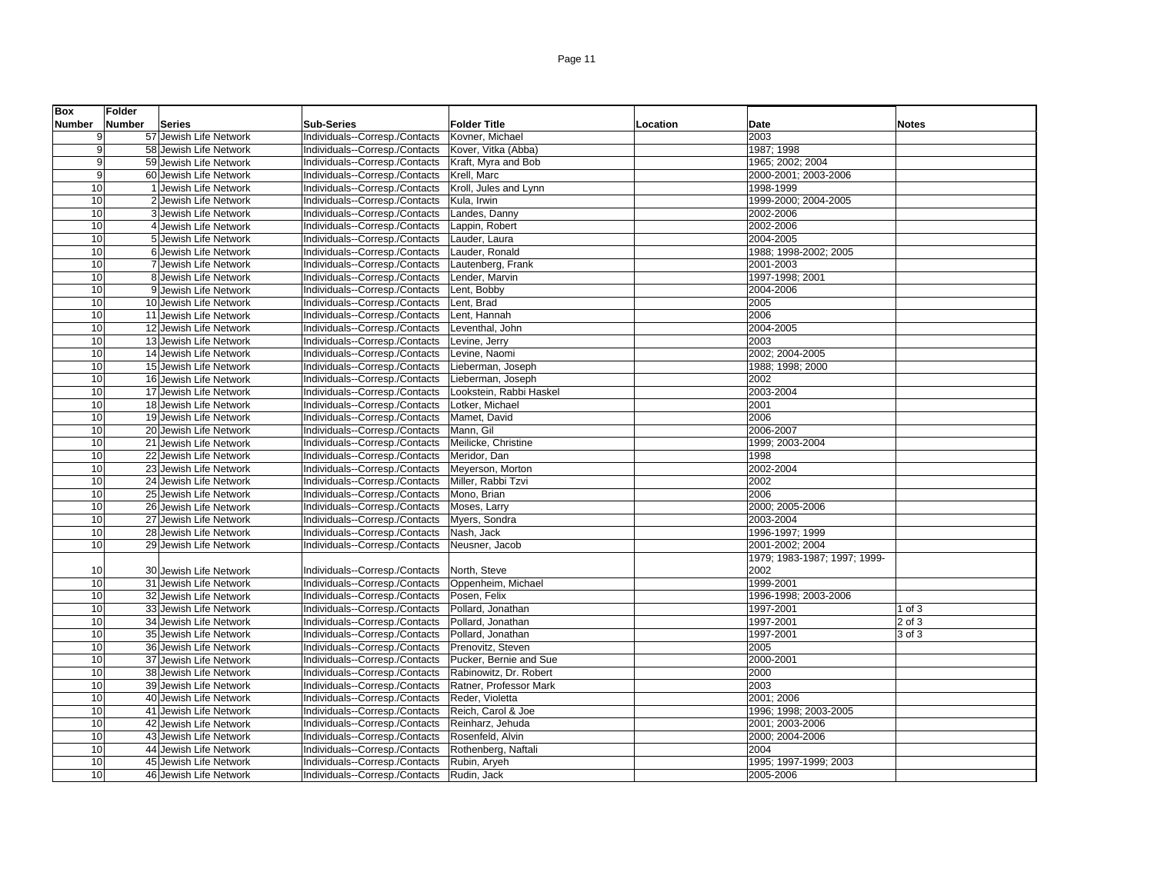| <b>Box</b>     | Folder |                        |                                |                         |          |                              |              |
|----------------|--------|------------------------|--------------------------------|-------------------------|----------|------------------------------|--------------|
| <b>Number</b>  | Number | <b>Series</b>          | <b>Sub-Series</b>              | <b>Folder Title</b>     | Location | Date                         | <b>Notes</b> |
| 9              |        | 57 Jewish Life Network | Individuals--Corresp./Contacts | Kovner, Michael         |          | 2003                         |              |
| 9              |        | 58 Jewish Life Network | Individuals--Corresp./Contacts | Kover, Vitka (Abba)     |          | 1987; 1998                   |              |
| $\overline{9}$ |        | 59 Jewish Life Network | Individuals--Corresp./Contacts | Kraft, Myra and Bob     |          | 1965; 2002; 2004             |              |
| 9              |        | 60 Jewish Life Network | Individuals--Corresp./Contacts | Krell, Marc             |          | 2000-2001; 2003-2006         |              |
| 10             |        | 1 Jewish Life Network  | Individuals--Corresp./Contacts | Kroll, Jules and Lynn   |          | 1998-1999                    |              |
| 10             |        | 2 Jewish Life Network  | Individuals--Corresp./Contacts | Kula, Irwin             |          | 1999-2000; 2004-2005         |              |
| 10             |        | 3 Jewish Life Network  | Individuals--Corresp./Contacts | Landes, Danny           |          | 2002-2006                    |              |
| 10             |        | 4 Jewish Life Network  | Individuals--Corresp./Contacts | Lappin, Robert          |          | 2002-2006                    |              |
| 10             |        | 5 Jewish Life Network  | Individuals--Corresp./Contacts | Lauder, Laura           |          | 2004-2005                    |              |
| 10             |        | 6 Jewish Life Network  | Individuals--Corresp./Contacts | Lauder, Ronald          |          | 1988; 1998-2002; 2005        |              |
| 10             |        | 7 Jewish Life Network  | Individuals--Corresp./Contacts | Lautenberg, Frank       |          | 2001-2003                    |              |
| 10             |        | 8 Jewish Life Network  | Individuals--Corresp./Contacts | Lender, Marvin          |          | 1997-1998; 2001              |              |
| 10             |        | 9 Jewish Life Network  | Individuals--Corresp./Contacts | Lent, Bobby             |          | 2004-2006                    |              |
| 10             |        | 10 Jewish Life Network | Individuals--Corresp./Contacts | Lent, Brad              |          | 2005                         |              |
| 10             |        | 11 Jewish Life Network | Individuals--Corresp./Contacts | Lent, Hannah            |          | 2006                         |              |
| 10             |        | 12 Jewish Life Network | Individuals--Corresp./Contacts | Leventhal, John         |          | 2004-2005                    |              |
| 10             |        | 13 Jewish Life Network | Individuals--Corresp./Contacts | Levine, Jerry           |          | 2003                         |              |
| 10             |        | 14 Jewish Life Network | Individuals--Corresp./Contacts | Levine, Naomi           |          | 2002; 2004-2005              |              |
| 10             |        | 15 Jewish Life Network | Individuals--Corresp./Contacts | Lieberman, Joseph       |          | 1988; 1998; 2000             |              |
| 10             |        | 16 Jewish Life Network | Individuals--Corresp./Contacts | Lieberman, Joseph       |          | 2002                         |              |
| 10             |        | 17 Jewish Life Network | Individuals--Corresp./Contacts | Lookstein, Rabbi Haskel |          | 2003-2004                    |              |
| 10             |        | 18 Jewish Life Network | Individuals--Corresp./Contacts | Lotker, Michael         |          | 2001                         |              |
| 10             |        | 19 Jewish Life Network | Individuals--Corresp./Contacts | Mamet, David            |          | 2006                         |              |
| 10             |        | 20 Jewish Life Network | Individuals--Corresp./Contacts | Mann, Gil               |          | 2006-2007                    |              |
| 10             |        | 21 Jewish Life Network | Individuals--Corresp./Contacts | Meilicke, Christine     |          | 1999; 2003-2004              |              |
| 10             |        | 22 Jewish Life Network | Individuals--Corresp./Contacts | Meridor, Dan            |          | 1998                         |              |
| 10             |        | 23 Jewish Life Network | Individuals--Corresp./Contacts | Meyerson, Morton        |          | 2002-2004                    |              |
| 10             |        | 24 Jewish Life Network | Individuals--Corresp./Contacts | Miller, Rabbi Tzvi      |          | 2002                         |              |
| 10             |        | 25 Jewish Life Network | Individuals--Corresp./Contacts | Mono, Brian             |          | 2006                         |              |
| 10             |        | 26 Jewish Life Network | Individuals--Corresp./Contacts | Moses, Larry            |          | 2000; 2005-2006              |              |
| 10             |        | 27 Jewish Life Network | Individuals--Corresp./Contacts | Myers, Sondra           |          | 2003-2004                    |              |
| 10             |        | 28 Jewish Life Network | Individuals--Corresp./Contacts | Nash, Jack              |          | 1996-1997; 1999              |              |
| 10             |        | 29 Jewish Life Network | Individuals--Corresp./Contacts | Neusner, Jacob          |          | 2001-2002: 2004              |              |
|                |        |                        |                                |                         |          | 1979; 1983-1987; 1997; 1999- |              |
| 10             |        | 30 Jewish Life Network | Individuals--Corresp./Contacts | North, Steve            |          | 2002                         |              |
| 10             |        | 31 Jewish Life Network | Individuals--Corresp./Contacts | Oppenheim, Michael      |          | 1999-2001                    |              |
| 10             |        | 32 Jewish Life Network | Individuals--Corresp./Contacts | Posen, Felix            |          | 1996-1998; 2003-2006         |              |
| 10             |        | 33 Jewish Life Network | Individuals--Corresp./Contacts | Pollard, Jonathan       |          | 1997-2001                    | 1 of $3$     |
| 10             |        | 34 Jewish Life Network | Individuals--Corresp./Contacts | Pollard, Jonathan       |          | 1997-2001                    | 2 of 3       |
| 10             |        | 35 Jewish Life Network | Individuals--Corresp./Contacts | Pollard, Jonathan       |          | 1997-2001                    | 3 of 3       |
| 10             |        | 36 Jewish Life Network | Individuals--Corresp./Contacts | Prenovitz, Steven       |          | 2005                         |              |
| 10             |        | 37 Jewish Life Network | Individuals--Corresp./Contacts | Pucker, Bernie and Sue  |          | 2000-2001                    |              |
| 10             |        | 38 Jewish Life Network | Individuals--Corresp./Contacts | Rabinowitz, Dr. Robert  |          | 2000                         |              |
| 10             |        | 39 Jewish Life Network | Individuals--Corresp./Contacts | Ratner, Professor Mark  |          | 2003                         |              |
| 10             |        | 40 Jewish Life Network | Individuals--Corresp./Contacts | Reder, Violetta         |          | 2001; 2006                   |              |
| 10             |        | 41 Jewish Life Network | Individuals--Corresp./Contacts | Reich, Carol & Joe      |          | 1996; 1998; 2003-2005        |              |
| 10             |        | 42 Jewish Life Network | Individuals--Corresp./Contacts | Reinharz, Jehuda        |          | 2001; 2003-2006              |              |
| 10             |        | 43 Jewish Life Network | Individuals--Corresp./Contacts | Rosenfeld, Alvin        |          | 2000; 2004-2006              |              |
| 10             |        | 44 Jewish Life Network | Individuals--Corresp./Contacts | Rothenberg, Naftali     |          | 2004                         |              |
| 10             |        | 45 Jewish Life Network | Individuals--Corresp./Contacts | Rubin, Aryeh            |          | 1995; 1997-1999; 2003        |              |
| 10             |        | 46 Jewish Life Network | Individuals--Corresp./Contacts | Rudin, Jack             |          | 2005-2006                    |              |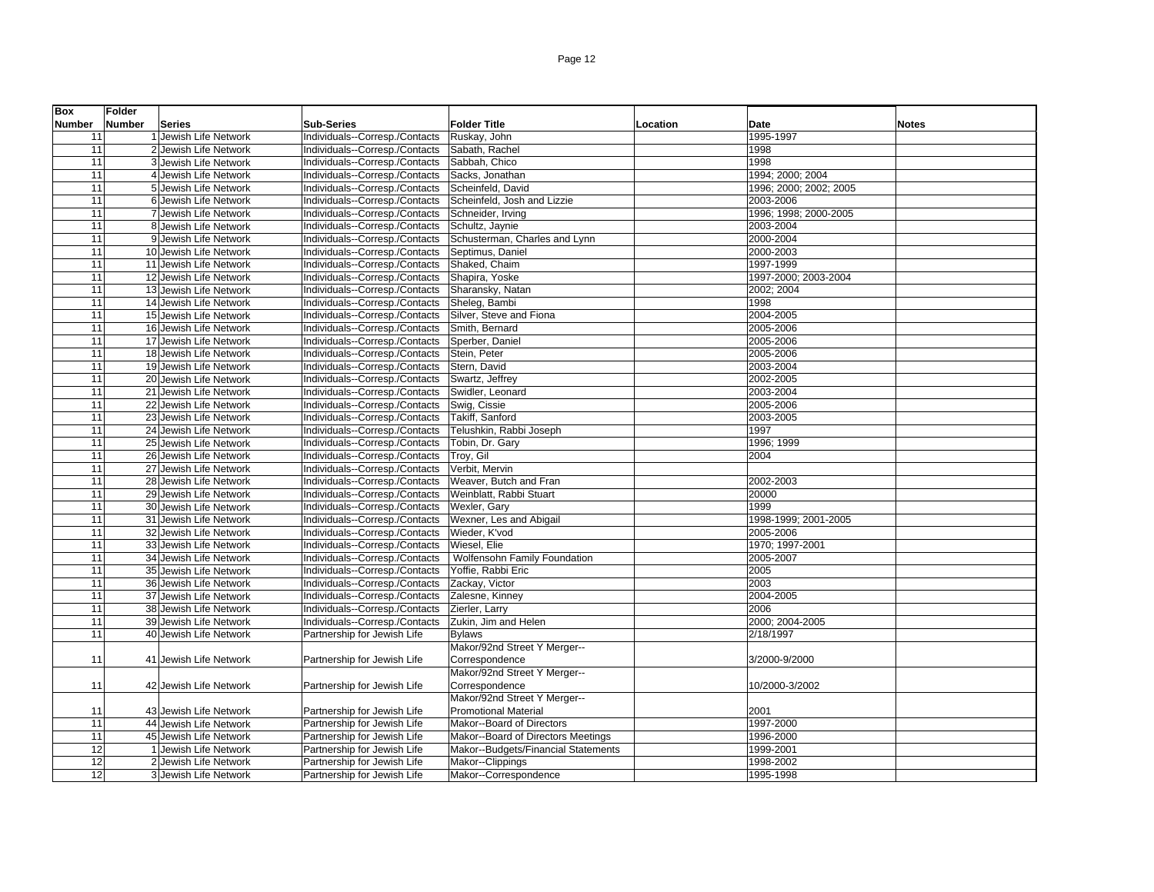| Box             | Folder |                        |                                |                                     |          |                        |              |
|-----------------|--------|------------------------|--------------------------------|-------------------------------------|----------|------------------------|--------------|
| <b>Number</b>   | Number | Series                 | <b>Sub-Series</b>              | <b>Folder Title</b>                 | Location | Date                   | <b>Notes</b> |
| 11              |        | 1 Jewish Life Network  | Individuals--Corresp./Contacts | Ruskay, John                        |          | 1995-1997              |              |
| 11              |        | 2 Jewish Life Network  | Individuals--Corresp./Contacts | Sabath, Rachel                      |          | 1998                   |              |
| 11              |        | 3 Jewish Life Network  | Individuals--Corresp./Contacts | Sabbah, Chico                       |          | 1998                   |              |
| 11              |        | 4 Jewish Life Network  | Individuals--Corresp./Contacts | Sacks, Jonathan                     |          | 1994; 2000; 2004       |              |
| 11              |        | 5 Jewish Life Network  | Individuals--Corresp./Contacts | Scheinfeld, David                   |          | 1996; 2000; 2002; 2005 |              |
| 11              |        | 6 Jewish Life Network  | Individuals--Corresp./Contacts | Scheinfeld, Josh and Lizzie         |          | 2003-2006              |              |
| 11              |        | 7 Jewish Life Network  | Individuals--Corresp./Contacts | Schneider, Irving                   |          | 1996; 1998; 2000-2005  |              |
| 11              |        | 8 Jewish Life Network  | Individuals--Corresp./Contacts | Schultz, Jaynie                     |          | 2003-2004              |              |
| 11              |        | 9 Jewish Life Network  | Individuals--Corresp./Contacts | Schusterman, Charles and Lynn       |          | 2000-2004              |              |
| 11              |        | 10 Jewish Life Network | Individuals--Corresp./Contacts | Septimus, Daniel                    |          | 2000-2003              |              |
| 11              |        | 11 Jewish Life Network | Individuals--Corresp./Contacts | Shaked, Chaim                       |          | 1997-1999              |              |
| 11              |        | 12 Jewish Life Network | Individuals--Corresp./Contacts | Shapira, Yoske                      |          | 1997-2000; 2003-2004   |              |
| 11              |        | 13 Jewish Life Network | Individuals--Corresp./Contacts | Sharansky, Natan                    |          | 2002; 2004             |              |
| 11              |        | 14 Jewish Life Network | Individuals--Corresp./Contacts | Sheleg, Bambi                       |          | 1998                   |              |
| 11              |        | 15 Jewish Life Network | Individuals--Corresp./Contacts | Silver, Steve and Fiona             |          | 2004-2005              |              |
| 11              |        | 16 Jewish Life Network | Individuals--Corresp./Contacts | Smith, Bernard                      |          | 2005-2006              |              |
| 11              |        | 17 Jewish Life Network | Individuals--Corresp./Contacts | Sperber, Daniel                     |          | 2005-2006              |              |
| 11              |        | 18 Jewish Life Network | Individuals--Corresp./Contacts | Stein, Peter                        |          | 2005-2006              |              |
| 11              |        | 19 Jewish Life Network | Individuals--Corresp./Contacts | Stern. David                        |          | 2003-2004              |              |
| 11              |        | 20 Jewish Life Network | Individuals--Corresp./Contacts | Swartz, Jeffrey                     |          | 2002-2005              |              |
| 11              |        | 21 Jewish Life Network | Individuals--Corresp./Contacts | Swidler, Leonard                    |          | 2003-2004              |              |
| 11              |        | 22 Jewish Life Network | Individuals--Corresp./Contacts | Swig, Cissie                        |          | 2005-2006              |              |
| 11              |        | 23 Jewish Life Network | Individuals--Corresp./Contacts | Takiff, Sanford                     |          | 2003-2005              |              |
| 11              |        | 24 Jewish Life Network | Individuals--Corresp./Contacts | Telushkin, Rabbi Joseph             |          | 1997                   |              |
| 11              |        | 25 Jewish Life Network | Individuals--Corresp./Contacts | Tobin, Dr. Gary                     |          | 1996; 1999             |              |
| 11              |        | 26 Jewish Life Network | Individuals--Corresp./Contacts | Troy, Gil                           |          | 2004                   |              |
| 11              |        | 27 Jewish Life Network | Individuals--Corresp./Contacts | Verbit, Mervin                      |          |                        |              |
| 11              |        | 28 Jewish Life Network | Individuals--Corresp./Contacts | Weaver, Butch and Fran              |          | 2002-2003              |              |
| 11              |        | 29 Jewish Life Network | Individuals--Corresp./Contacts | Weinblatt, Rabbi Stuart             |          | 20000                  |              |
| 11              |        | 30 Jewish Life Network | Individuals--Corresp./Contacts | Wexler, Gary                        |          | 1999                   |              |
| 11              |        | 31 Jewish Life Network | Individuals--Corresp./Contacts | Wexner, Les and Abigail             |          | 1998-1999; 2001-2005   |              |
| 11              |        | 32 Jewish Life Network | Individuals--Corresp./Contacts | Wieder, K'vod                       |          | 2005-2006              |              |
| 11              |        | 33 Jewish Life Network | Individuals--Corresp./Contacts | Wiesel, Elie                        |          | 1970; 1997-2001        |              |
| 11              |        | 34 Jewish Life Network | Individuals--Corresp./Contacts | Wolfensohn Family Foundation        |          | 2005-2007              |              |
| 11              |        | 35 Jewish Life Network | Individuals--Corresp./Contacts | Yoffie, Rabbi Eric                  |          | 2005                   |              |
| 11              |        | 36 Jewish Life Network | Individuals--Corresp./Contacts | Zackay, Victor                      |          | 2003                   |              |
| 11              |        | 37 Jewish Life Network | Individuals--Corresp./Contacts | Zalesne, Kinney                     |          | 2004-2005              |              |
| 11              |        | 38 Jewish Life Network | Individuals--Corresp./Contacts | Zierler, Larry                      |          | 2006                   |              |
| 11              |        | 39 Jewish Life Network | Individuals--Corresp./Contacts | Zukin, Jim and Helen                |          | 2000; 2004-2005        |              |
| 11              |        | 40 Jewish Life Network | Partnership for Jewish Life    | <b>Bylaws</b>                       |          | 2/18/1997              |              |
|                 |        |                        |                                | Makor/92nd Street Y Merger--        |          |                        |              |
| 11              |        | 41 Jewish Life Network | Partnership for Jewish Life    | Correspondence                      |          | 3/2000-9/2000          |              |
|                 |        |                        |                                | Makor/92nd Street Y Merger--        |          |                        |              |
| 11              |        | 42 Jewish Life Network | Partnership for Jewish Life    | Correspondence                      |          | 10/2000-3/2002         |              |
|                 |        |                        |                                | Makor/92nd Street Y Merger--        |          |                        |              |
| 11              |        | 43 Jewish Life Network | Partnership for Jewish Life    | <b>Promotional Material</b>         |          | 2001                   |              |
| 11              |        | 44 Jewish Life Network | Partnership for Jewish Life    | Makor--Board of Directors           |          | 1997-2000              |              |
| 11              |        | 45 Jewish Life Network | Partnership for Jewish Life    | Makor--Board of Directors Meetings  |          | 1996-2000              |              |
| $\overline{12}$ |        | 1 Jewish Life Network  | Partnership for Jewish Life    | Makor--Budgets/Financial Statements |          | 1999-2001              |              |
| 12              |        | 2 Jewish Life Network  | Partnership for Jewish Life    | Makor--Clippings                    |          | 1998-2002              |              |
| 12              |        | 3 Jewish Life Network  | Partnership for Jewish Life    | Makor--Correspondence               |          | 1995-1998              |              |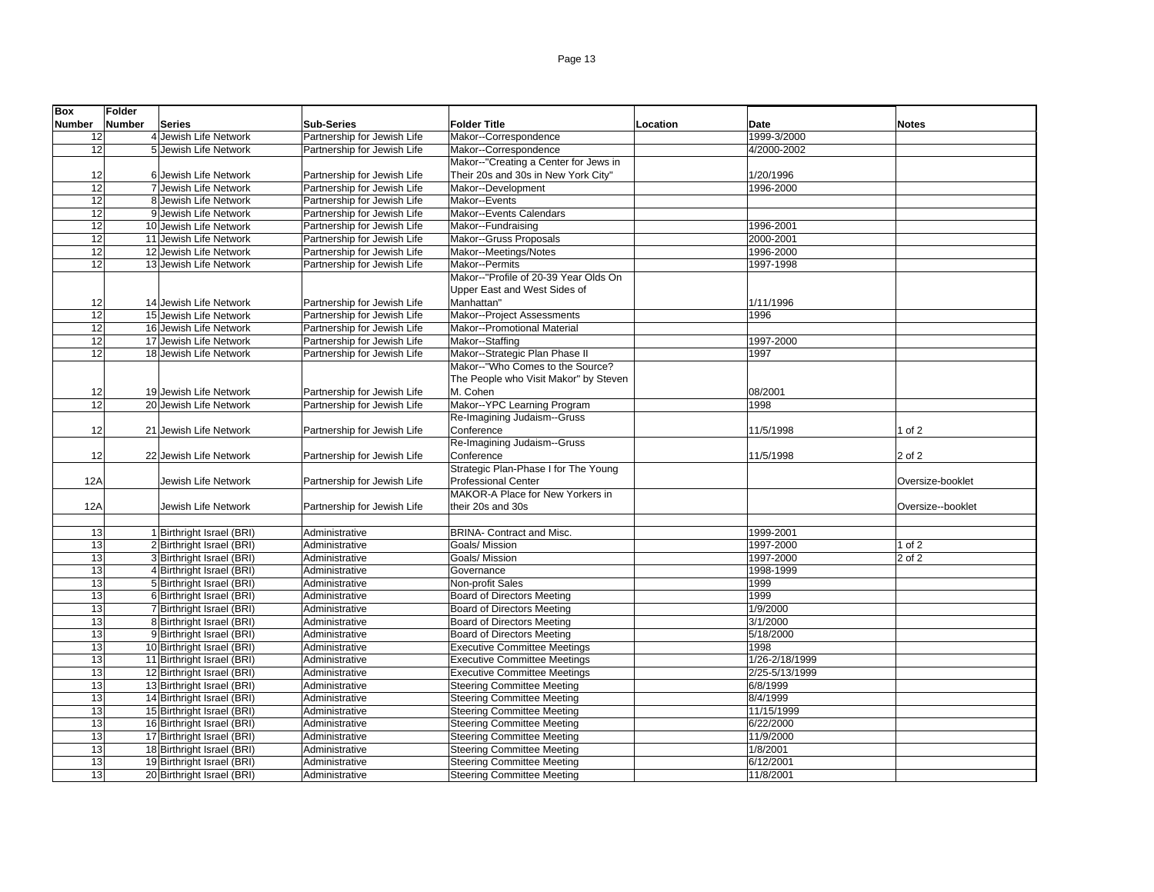| <b>Box</b>    | <b>Folder</b> |                            |                             |                                       |          |                |                   |
|---------------|---------------|----------------------------|-----------------------------|---------------------------------------|----------|----------------|-------------------|
| <b>Number</b> | Number        | <b>Series</b>              | <b>Sub-Series</b>           | <b>Folder Title</b>                   | Location | Date           | <b>Notes</b>      |
| 12            |               | 4 Jewish Life Network      | Partnership for Jewish Life | Makor--Correspondence                 |          | 1999-3/2000    |                   |
| 12            |               | 5 Jewish Life Network      | Partnership for Jewish Life | Makor--Correspondence                 |          | 4/2000-2002    |                   |
|               |               |                            |                             | Makor--"Creating a Center for Jews in |          |                |                   |
| 12            |               | 6 Jewish Life Network      | Partnership for Jewish Life | Their 20s and 30s in New York City"   |          | 1/20/1996      |                   |
| 12            |               | 7 Jewish Life Network      | Partnership for Jewish Life | Makor--Development                    |          | 1996-2000      |                   |
| 12            |               | 8 Jewish Life Network      | Partnership for Jewish Life | Makor--Events                         |          |                |                   |
| 12            |               | 9 Jewish Life Network      | Partnership for Jewish Life | Makor--Events Calendars               |          |                |                   |
| 12            |               | 10 Jewish Life Network     | Partnership for Jewish Life | Makor--Fundraising                    |          | 1996-2001      |                   |
| 12            |               | 11 Jewish Life Network     | Partnership for Jewish Life | Makor--Gruss Proposals                |          | 2000-2001      |                   |
| 12            |               | 12 Jewish Life Network     | Partnership for Jewish Life | Makor--Meetings/Notes                 |          | 1996-2000      |                   |
| 12            |               | 13 Jewish Life Network     | Partnership for Jewish Life | Makor--Permits                        |          | 1997-1998      |                   |
|               |               |                            |                             | Makor--"Profile of 20-39 Year Olds On |          |                |                   |
|               |               |                            |                             |                                       |          |                |                   |
|               |               |                            |                             | Upper East and West Sides of          |          |                |                   |
| 12            |               | 14 Jewish Life Network     | Partnership for Jewish Life | Manhattan"                            |          | 1/11/1996      |                   |
| 12            |               | 15 Jewish Life Network     | Partnership for Jewish Life | Makor--Project Assessments            |          | 1996           |                   |
| 12            |               | 16 Jewish Life Network     | Partnership for Jewish Life | Makor--Promotional Material           |          |                |                   |
| 12            |               | 17 Jewish Life Network     | Partnership for Jewish Life | Makor--Staffing                       |          | 1997-2000      |                   |
| 12            |               | 18 Jewish Life Network     | Partnership for Jewish Life | Makor--Strategic Plan Phase II        |          | 1997           |                   |
|               |               |                            |                             | Makor--"Who Comes to the Source?      |          |                |                   |
|               |               |                            |                             | The People who Visit Makor" by Steven |          |                |                   |
| 12            |               | 19 Jewish Life Network     | Partnership for Jewish Life | M. Cohen                              |          | 08/2001        |                   |
| 12            |               | 20 Jewish Life Network     | Partnership for Jewish Life | Makor--YPC Learning Program           |          | 1998           |                   |
|               |               |                            |                             | Re-Imagining Judaism--Gruss           |          |                |                   |
| 12            |               | 21 Jewish Life Network     | Partnership for Jewish Life | Conference                            |          | 11/5/1998      | 1 of $2$          |
|               |               |                            |                             | Re-Imagining Judaism--Gruss           |          |                |                   |
| 12            |               | 22 Jewish Life Network     | Partnership for Jewish Life | Conference                            |          | 11/5/1998      | 2 of 2            |
|               |               |                            |                             | Strategic Plan-Phase I for The Young  |          |                |                   |
| 12A           |               | Jewish Life Network        | Partnership for Jewish Life | <b>Professional Center</b>            |          |                | Oversize-booklet  |
|               |               |                            |                             | MAKOR-A Place for New Yorkers in      |          |                |                   |
| 12A           |               | Jewish Life Network        | Partnership for Jewish Life | their 20s and 30s                     |          |                | Oversize--booklet |
|               |               |                            |                             |                                       |          |                |                   |
| 13            |               | 1 Birthright Israel (BRI)  | Administrative              | <b>BRINA- Contract and Misc.</b>      |          | 1999-2001      |                   |
| 13            |               | 2 Birthright Israel (BRI)  | Administrative              | Goals/ Mission                        |          | 1997-2000      | 1 of 2            |
| 13            |               | 3 Birthright Israel (BRI)  | Administrative              | Goals/ Mission                        |          | 1997-2000      | 2 of 2            |
| 13            |               | 4 Birthright Israel (BRI)  | Administrative              | Governance                            |          | 1998-1999      |                   |
| 13            |               | 5 Birthright Israel (BRI)  | Administrative              | Non-profit Sales                      |          | 1999           |                   |
| 13            |               | 6 Birthright Israel (BRI)  | Administrative              | <b>Board of Directors Meeting</b>     |          | 1999           |                   |
| 13            |               | 7 Birthright Israel (BRI)  | Administrative              | <b>Board of Directors Meeting</b>     |          | 1/9/2000       |                   |
| 13            |               | 8 Birthright Israel (BRI)  | Administrative              | Board of Directors Meeting            |          | 3/1/2000       |                   |
| 13            |               | 9 Birthright Israel (BRI)  | Administrative              | <b>Board of Directors Meeting</b>     |          | 5/18/2000      |                   |
| 13            |               | 10 Birthright Israel (BRI) | Administrative              | <b>Executive Committee Meetings</b>   |          | 1998           |                   |
| 13            |               | 11 Birthright Israel (BRI) | Administrative              | <b>Executive Committee Meetings</b>   |          | 1/26-2/18/1999 |                   |
| 13            |               | 12 Birthright Israel (BRI) | Administrative              | <b>Executive Committee Meetings</b>   |          | 2/25-5/13/1999 |                   |
| 13            |               | 13 Birthright Israel (BRI) | Administrative              | <b>Steering Committee Meeting</b>     |          | 6/8/1999       |                   |
| 13            |               | 14 Birthright Israel (BRI) | Administrative              | <b>Steering Committee Meeting</b>     |          | 8/4/1999       |                   |
| 13            |               | 15 Birthright Israel (BRI) | Administrative              | <b>Steering Committee Meeting</b>     |          | 11/15/1999     |                   |
| 13            |               | 16 Birthright Israel (BRI) | Administrative              | <b>Steering Committee Meeting</b>     |          | 6/22/2000      |                   |
| 13            |               | 17 Birthright Israel (BRI) | Administrative              | <b>Steering Committee Meeting</b>     |          | 11/9/2000      |                   |
| 13            |               | 18 Birthright Israel (BRI) | Administrative              | <b>Steering Committee Meeting</b>     |          | 1/8/2001       |                   |
| 13            |               | 19 Birthright Israel (BRI) | Administrative              | <b>Steering Committee Meeting</b>     |          | 6/12/2001      |                   |
| 13            |               | 20 Birthright Israel (BRI) | Administrative              | <b>Steering Committee Meeting</b>     |          | 11/8/2001      |                   |
|               |               |                            |                             |                                       |          |                |                   |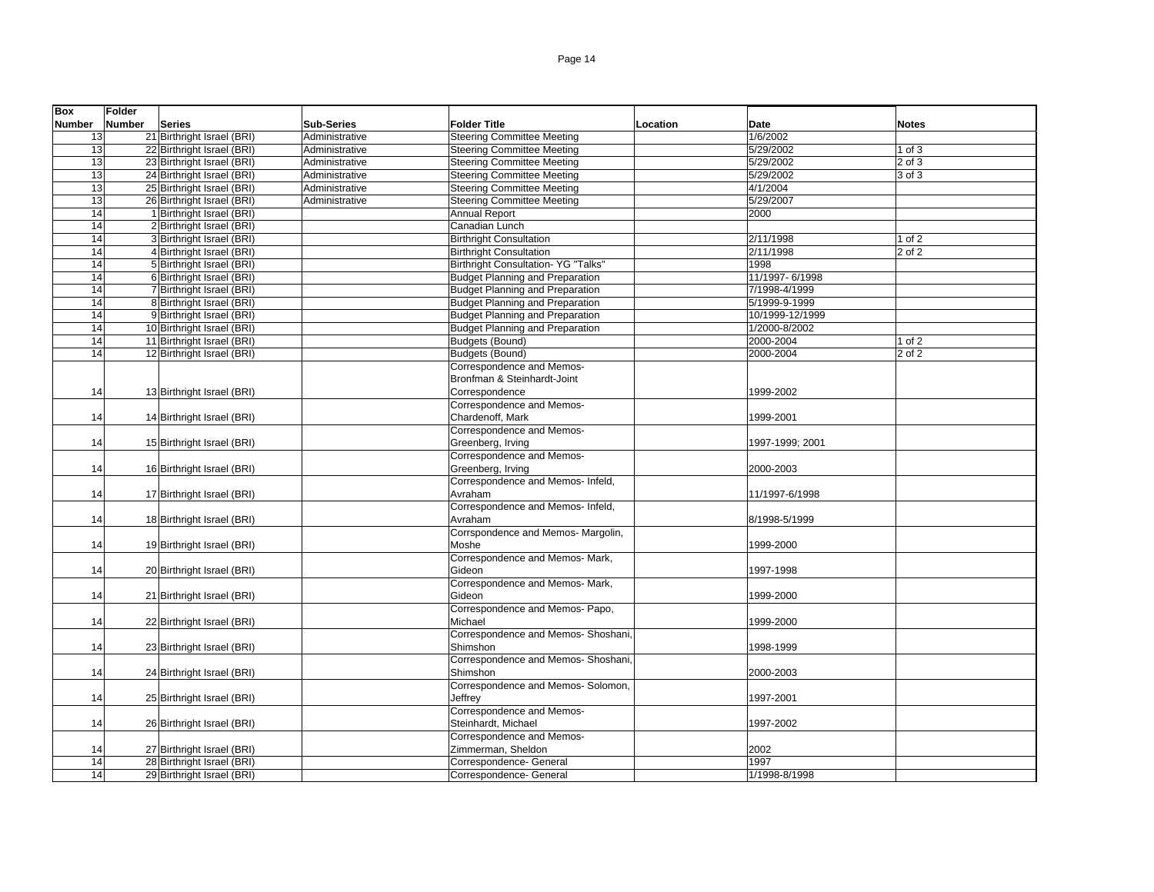| <b>Box</b>    | <b>Folder</b>                  |                   |                                        |          |                 |              |
|---------------|--------------------------------|-------------------|----------------------------------------|----------|-----------------|--------------|
| <b>Number</b> | <b>Number</b><br><b>Series</b> | <b>Sub-Series</b> | <b>Folder Title</b>                    | Location | Date            | <b>Notes</b> |
| 13            | 21 Birthright Israel (BRI)     | Administrative    | <b>Steering Committee Meeting</b>      |          | 1/6/2002        |              |
| 13            | 22 Birthright Israel (BRI)     | Administrative    | <b>Steering Committee Meeting</b>      |          | 5/29/2002       | $1$ of $3$   |
| 13            | 23 Birthright Israel (BRI)     | Administrative    | <b>Steering Committee Meeting</b>      |          | 5/29/2002       | $2$ of $3$   |
| 13            | 24 Birthright Israel (BRI)     | Administrative    | <b>Steering Committee Meeting</b>      |          | 5/29/2002       | 3 of 3       |
| 13            | 25 Birthright Israel (BRI)     | Administrative    | <b>Steering Committee Meeting</b>      |          | 4/1/2004        |              |
| 13            | 26 Birthright Israel (BRI)     | Administrative    | <b>Steering Committee Meeting</b>      |          | 5/29/2007       |              |
| 14            | 1 Birthright Israel (BRI)      |                   | <b>Annual Report</b>                   |          | 2000            |              |
| 14            | 2 Birthright Israel (BRI)      |                   | Canadian Lunch                         |          |                 |              |
| 14            | 3 Birthright Israel (BRI)      |                   | <b>Birthright Consultation</b>         |          | 2/11/1998       | $1$ of $2$   |
| 14            | 4 Birthright Israel (BRI)      |                   | <b>Birthright Consultation</b>         |          | 2/11/1998       | 2 of 2       |
| 14            | 5 Birthright Israel (BRI)      |                   | Birthright Consultation- YG "Talks"    |          | 1998            |              |
| 14            | 6 Birthright Israel (BRI)      |                   | <b>Budget Planning and Preparation</b> |          | 11/1997-6/1998  |              |
| 14            | 7 Birthright Israel (BRI)      |                   | <b>Budget Planning and Preparation</b> |          | 7/1998-4/1999   |              |
| 14            | 8 Birthright Israel (BRI)      |                   | <b>Budget Planning and Preparation</b> |          | 5/1999-9-1999   |              |
| 14            | 9 Birthright Israel (BRI)      |                   | <b>Budget Planning and Preparation</b> |          | 10/1999-12/1999 |              |
| 14            | 10 Birthright Israel (BRI)     |                   | <b>Budget Planning and Preparation</b> |          | 1/2000-8/2002   |              |
| 14            | 11 Birthright Israel (BRI)     |                   | Budgets (Bound)                        |          | 2000-2004       | $1$ of $2$   |
| 14            | 12 Birthright Israel (BRI)     |                   | Budgets (Bound)                        |          | 2000-2004       | $2$ of $2$   |
|               |                                |                   | Correspondence and Memos-              |          |                 |              |
|               |                                |                   | Bronfman & Steinhardt-Joint            |          |                 |              |
| 14            | 13 Birthright Israel (BRI)     |                   | Correspondence                         |          | 1999-2002       |              |
|               |                                |                   | Correspondence and Memos-              |          |                 |              |
| 14            | 14 Birthright Israel (BRI)     |                   | Chardenoff, Mark                       |          | 1999-2001       |              |
|               |                                |                   | Correspondence and Memos-              |          |                 |              |
| 14            | 15 Birthright Israel (BRI)     |                   | Greenberg, Irving                      |          | 1997-1999; 2001 |              |
|               |                                |                   | Correspondence and Memos-              |          |                 |              |
| 14            | 16 Birthright Israel (BRI)     |                   | Greenberg, Irving                      |          | 2000-2003       |              |
|               |                                |                   | Correspondence and Memos- Infeld,      |          |                 |              |
| 14            | 17 Birthright Israel (BRI)     |                   | Avraham                                |          | 11/1997-6/1998  |              |
|               |                                |                   | Correspondence and Memos- Infeld,      |          |                 |              |
| 14            | 18 Birthright Israel (BRI)     |                   | Avraham                                |          | 8/1998-5/1999   |              |
|               |                                |                   | Corrspondence and Memos- Margolin,     |          |                 |              |
| 14            | 19 Birthright Israel (BRI)     |                   | Moshe                                  |          | 1999-2000       |              |
|               |                                |                   | Correspondence and Memos- Mark,        |          |                 |              |
| 14            | 20 Birthright Israel (BRI)     |                   | Gideon                                 |          | 1997-1998       |              |
|               |                                |                   | Correspondence and Memos- Mark,        |          |                 |              |
| 14            | 21 Birthright Israel (BRI)     |                   | Gideon                                 |          | 1999-2000       |              |
|               |                                |                   | Correspondence and Memos- Papo,        |          |                 |              |
| 14            | 22 Birthright Israel (BRI)     |                   | Michael                                |          | 1999-2000       |              |
|               |                                |                   | Correspondence and Memos- Shoshani,    |          |                 |              |
| 14            | 23 Birthright Israel (BRI)     |                   | Shimshon                               |          | 1998-1999       |              |
|               |                                |                   | Correspondence and Memos- Shoshani,    |          |                 |              |
| 14            | 24 Birthright Israel (BRI)     |                   | Shimshon                               |          | 2000-2003       |              |
|               |                                |                   | Correspondence and Memos-Solomon,      |          |                 |              |
| 14            | 25 Birthright Israel (BRI)     |                   | Jeffrey                                |          | 1997-2001       |              |
|               |                                |                   | Correspondence and Memos-              |          |                 |              |
| 14            | 26 Birthright Israel (BRI)     |                   | Steinhardt. Michael                    |          | 1997-2002       |              |
|               |                                |                   | Correspondence and Memos-              |          |                 |              |
| 14            | 27 Birthright Israel (BRI)     |                   | Zimmerman, Sheldon                     |          | 2002            |              |
| 14            | 28 Birthright Israel (BRI)     |                   | Correspondence- General                |          | 1997            |              |
| 14            | 29 Birthright Israel (BRI)     |                   | Correspondence- General                |          | 1/1998-8/1998   |              |
|               |                                |                   |                                        |          |                 |              |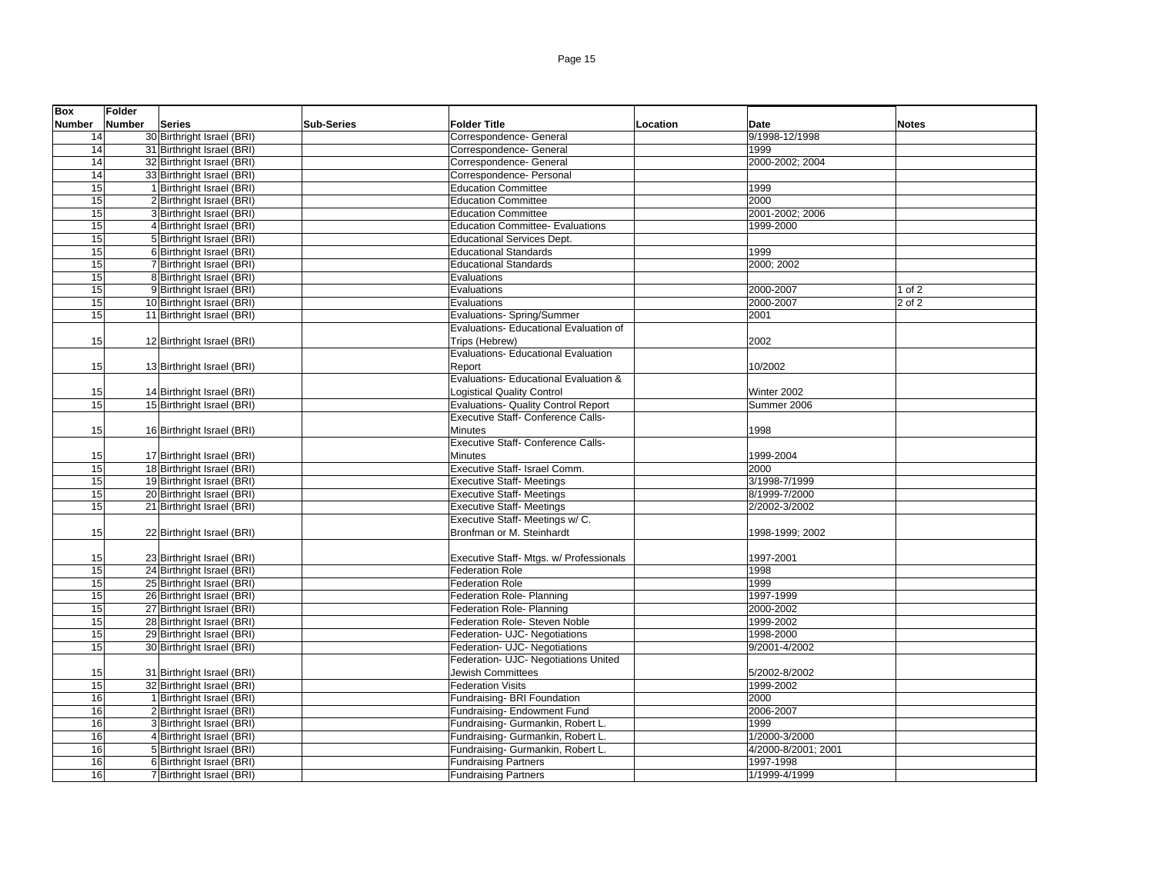| <b>Box</b> | <b>Folder</b> |                            |                   |                                            |          |                     |              |
|------------|---------------|----------------------------|-------------------|--------------------------------------------|----------|---------------------|--------------|
| Number     | <b>Number</b> | <b>Series</b>              | <b>Sub-Series</b> | <b>Folder Title</b>                        | Location | Date                | <b>Notes</b> |
| 14         |               | 30 Birthright Israel (BRI) |                   | Correspondence- General                    |          | 9/1998-12/1998      |              |
| 14         |               | 31 Birthright Israel (BRI) |                   | Correspondence- General                    |          | 1999                |              |
| 14         |               | 32 Birthright Israel (BRI) |                   | Correspondence- General                    |          | 2000-2002; 2004     |              |
| 14         |               | 33 Birthright Israel (BRI) |                   | Correspondence- Personal                   |          |                     |              |
| 15         |               | 1 Birthright Israel (BRI)  |                   | <b>Education Committee</b>                 |          | 1999                |              |
| 15         |               | 2 Birthright Israel (BRI)  |                   | <b>Education Committee</b>                 |          | 2000                |              |
| 15         |               | 3 Birthright Israel (BRI)  |                   | <b>Education Committee</b>                 |          | 2001-2002; 2006     |              |
| 15         |               | 4 Birthright Israel (BRI)  |                   | <b>Education Committee- Evaluations</b>    |          | 1999-2000           |              |
| 15         |               | 5 Birthright Israel (BRI)  |                   | <b>Educational Services Dept.</b>          |          |                     |              |
| 15         |               | 6 Birthright Israel (BRI)  |                   | <b>Educational Standards</b>               |          | 1999                |              |
| 15         |               | 7 Birthright Israel (BRI)  |                   | <b>Educational Standards</b>               |          | 2000; 2002          |              |
| 15         |               | 8 Birthright Israel (BRI)  |                   | Evaluations                                |          |                     |              |
| 15         |               | 9 Birthright Israel (BRI)  |                   | Evaluations                                |          | 2000-2007           | $1$ of $2$   |
| 15         |               | 10 Birthright Israel (BRI) |                   | Evaluations                                |          | 2000-2007           | $2$ of $2$   |
| 15         |               | 11 Birthright Israel (BRI) |                   | <b>Evaluations- Spring/Summer</b>          |          | 2001                |              |
|            |               |                            |                   | Evaluations- Educational Evaluation of     |          |                     |              |
| 15         |               | 12 Birthright Israel (BRI) |                   | Trips (Hebrew)                             |          | 2002                |              |
|            |               |                            |                   | <b>Evaluations- Educational Evaluation</b> |          |                     |              |
| 15         |               | 13 Birthright Israel (BRI) |                   | Report                                     |          | 10/2002             |              |
|            |               |                            |                   | Evaluations- Educational Evaluation &      |          |                     |              |
| 15         |               | 14 Birthright Israel (BRI) |                   | <b>Logistical Quality Control</b>          |          | Winter 2002         |              |
| 15         |               | 15 Birthright Israel (BRI) |                   | <b>Evaluations- Quality Control Report</b> |          | Summer 2006         |              |
|            |               |                            |                   | Executive Staff- Conference Calls-         |          |                     |              |
| 15         |               | 16 Birthright Israel (BRI) |                   | Minutes                                    |          | 1998                |              |
|            |               |                            |                   | <b>Executive Staff- Conference Calls-</b>  |          |                     |              |
| 15         |               | 17 Birthright Israel (BRI) |                   | <b>Minutes</b>                             |          | 1999-2004           |              |
| 15         |               | 18 Birthright Israel (BRI) |                   | Executive Staff- Israel Comm.              |          | 2000                |              |
| 15         |               | 19 Birthright Israel (BRI) |                   | <b>Executive Staff- Meetings</b>           |          | 3/1998-7/1999       |              |
| 15         |               | 20 Birthright Israel (BRI) |                   | <b>Executive Staff- Meetings</b>           |          | 8/1999-7/2000       |              |
| 15         |               | 21 Birthright Israel (BRI) |                   | <b>Executive Staff- Meetings</b>           |          | 2/2002-3/2002       |              |
|            |               |                            |                   | Executive Staff- Meetings w/ C.            |          |                     |              |
| 15         |               | 22 Birthright Israel (BRI) |                   | Bronfman or M. Steinhardt                  |          | 1998-1999; 2002     |              |
|            |               |                            |                   |                                            |          |                     |              |
| 15         |               | 23 Birthright Israel (BRI) |                   | Executive Staff- Mtgs. w/ Professionals    |          | 1997-2001           |              |
| 15         |               | 24 Birthright Israel (BRI) |                   | <b>Federation Role</b>                     |          | 1998                |              |
| 15         |               | 25 Birthright Israel (BRI) |                   | <b>Federation Role</b>                     |          | 1999                |              |
| 15         |               | 26 Birthright Israel (BRI) |                   | Federation Role- Planning                  |          | 1997-1999           |              |
| 15         |               | 27 Birthright Israel (BRI) |                   | Federation Role- Planning                  |          | 2000-2002           |              |
| 15         |               | 28 Birthright Israel (BRI) |                   | Federation Role- Steven Noble              |          | 1999-2002           |              |
| 15         |               | 29 Birthright Israel (BRI) |                   | Federation- UJC- Negotiations              |          | 1998-2000           |              |
| 15         |               | 30 Birthright Israel (BRI) |                   | Federation- UJC- Negotiations              |          | 9/2001-4/2002       |              |
|            |               |                            |                   | Federation- UJC- Negotiations United       |          |                     |              |
| 15         |               | 31 Birthright Israel (BRI) |                   | Jewish Committees                          |          | 5/2002-8/2002       |              |
| 15         |               | 32 Birthright Israel (BRI) |                   | <b>Federation Visits</b>                   |          | 1999-2002           |              |
| 16         |               | 1 Birthright Israel (BRI)  |                   | Fundraising- BRI Foundation                |          | 2000                |              |
| 16         |               | 2 Birthright Israel (BRI)  |                   | Fundraising- Endowment Fund                |          | 2006-2007           |              |
| 16         |               | 3 Birthright Israel (BRI)  |                   | Fundraising- Gurmankin, Robert L.          |          | 1999                |              |
| 16         |               | 4 Birthright Israel (BRI)  |                   | Fundraising- Gurmankin, Robert L.          |          | 1/2000-3/2000       |              |
| 16         |               | 5 Birthright Israel (BRI)  |                   | Fundraising- Gurmankin, Robert L.          |          | 4/2000-8/2001; 2001 |              |
| 16         |               | 6 Birthright Israel (BRI)  |                   | <b>Fundraising Partners</b>                |          | 1997-1998           |              |
| 16         |               | 7 Birthright Israel (BRI)  |                   | <b>Fundraising Partners</b>                |          | 1/1999-4/1999       |              |
|            |               |                            |                   |                                            |          |                     |              |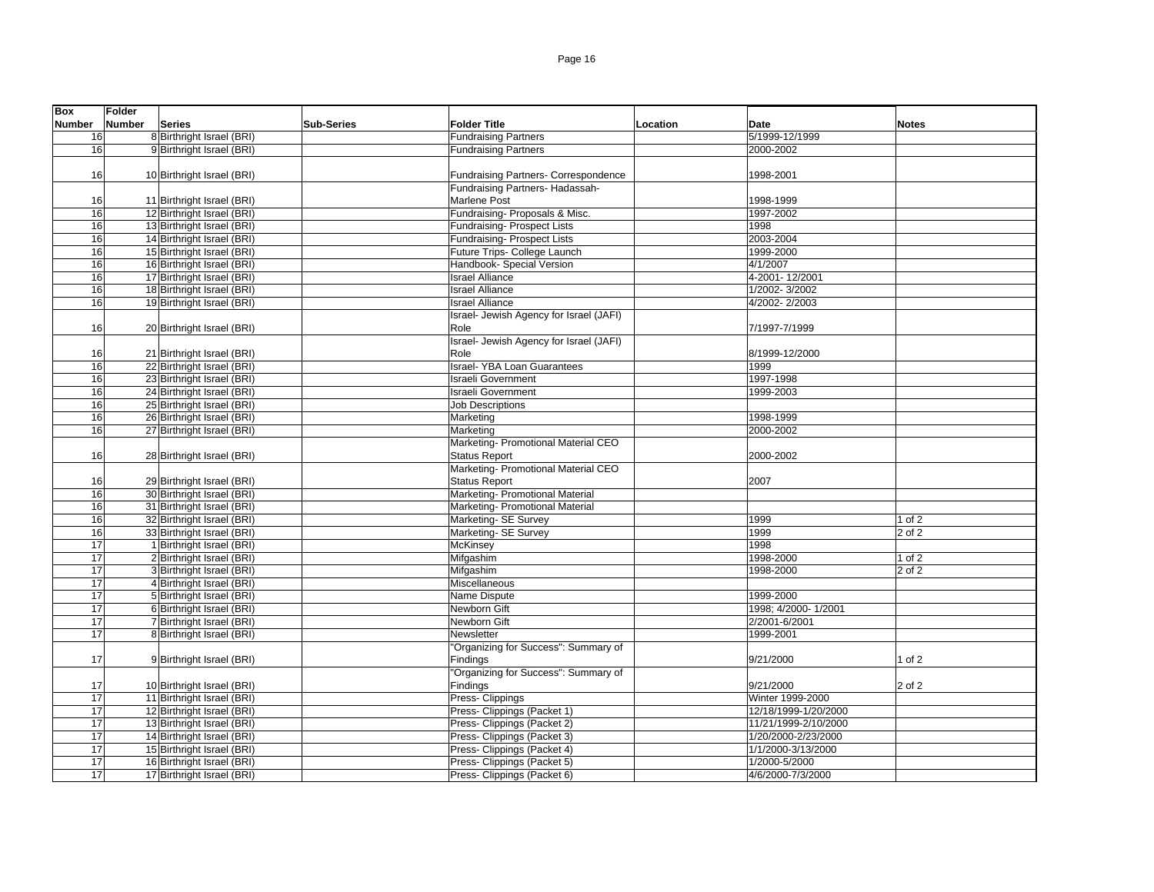| <b>Box</b>    | Folder        |                            |                   |                                         |          |                      |              |
|---------------|---------------|----------------------------|-------------------|-----------------------------------------|----------|----------------------|--------------|
| <b>Number</b> | <b>Number</b> | <b>Series</b>              | <b>Sub-Series</b> | Folder Title                            | Location | Date                 | <b>Notes</b> |
| 16            |               | 8 Birthright Israel (BRI)  |                   | <b>Fundraising Partners</b>             |          | 5/1999-12/1999       |              |
| 16            |               | 9 Birthright Israel (BRI)  |                   | <b>Fundraising Partners</b>             |          | 2000-2002            |              |
|               |               |                            |                   |                                         |          |                      |              |
| 16            |               | 10 Birthright Israel (BRI) |                   | Fundraising Partners- Correspondence    |          | 1998-2001            |              |
|               |               |                            |                   | Fundraising Partners- Hadassah-         |          |                      |              |
| 16            |               | 11 Birthright Israel (BRI) |                   | Marlene Post                            |          | 1998-1999            |              |
| 16            |               | 12 Birthright Israel (BRI) |                   | Fundraising- Proposals & Misc.          |          | 1997-2002            |              |
| 16            |               | 13 Birthright Israel (BRI) |                   | Fundraising- Prospect Lists             |          | 1998                 |              |
| 16            |               | 14 Birthright Israel (BRI) |                   | Fundraising- Prospect Lists             |          | 2003-2004            |              |
| 16            |               | 15 Birthright Israel (BRI) |                   | Future Trips- College Launch            |          | 1999-2000            |              |
| 16            |               | 16 Birthright Israel (BRI) |                   | Handbook- Special Version               |          | 4/1/2007             |              |
| 16            |               | 17 Birthright Israel (BRI) |                   | <b>Israel Alliance</b>                  |          | 4-2001-12/2001       |              |
| 16            |               | 18 Birthright Israel (BRI) |                   | <b>Israel Alliance</b>                  |          | 1/2002-3/2002        |              |
| 16            |               | 19 Birthright Israel (BRI) |                   | <b>Israel Alliance</b>                  |          | 4/2002-2/2003        |              |
|               |               |                            |                   | Israel- Jewish Agency for Israel (JAFI) |          |                      |              |
|               |               |                            |                   |                                         |          |                      |              |
| 16            |               | 20 Birthright Israel (BRI) |                   | Role                                    |          | 7/1997-7/1999        |              |
|               |               |                            |                   | Israel- Jewish Agency for Israel (JAFI) |          |                      |              |
| 16            |               | 21 Birthright Israel (BRI) |                   | Role                                    |          | 8/1999-12/2000       |              |
| 16            |               | 22 Birthright Israel (BRI) |                   | <b>Israel-YBA Loan Guarantees</b>       |          | 1999                 |              |
| 16            |               | 23 Birthright Israel (BRI) |                   | <b>Israeli Government</b>               |          | 1997-1998            |              |
| 16            |               | 24 Birthright Israel (BRI) |                   | <b>Israeli Government</b>               |          | 1999-2003            |              |
| 16            |               | 25 Birthright Israel (BRI) |                   | <b>Job Descriptions</b>                 |          |                      |              |
| 16            |               | 26 Birthright Israel (BRI) |                   | Marketing                               |          | 1998-1999            |              |
| 16            |               | 27 Birthright Israel (BRI) |                   | Marketing                               |          | 2000-2002            |              |
|               |               |                            |                   | Marketing- Promotional Material CEO     |          |                      |              |
| 16            |               | 28 Birthright Israel (BRI) |                   | <b>Status Report</b>                    |          | 2000-2002            |              |
|               |               |                            |                   | Marketing- Promotional Material CEO     |          |                      |              |
| 16            |               | 29 Birthright Israel (BRI) |                   | <b>Status Report</b>                    |          | 2007                 |              |
| 16            |               | 30 Birthright Israel (BRI) |                   | Marketing- Promotional Material         |          |                      |              |
| 16            |               | 31 Birthright Israel (BRI) |                   | Marketing- Promotional Material         |          |                      |              |
| 16            |               | 32 Birthright Israel (BRI) |                   | Marketing- SE Survey                    |          | 1999                 | 1 of $2$     |
| 16            |               | 33 Birthright Israel (BRI) |                   | Marketing- SE Survey                    |          | 1999                 | 2 of 2       |
| 17            |               | 1 Birthright Israel (BRI)  |                   | McKinsey                                |          | 1998                 |              |
| 17            |               | 2 Birthright Israel (BRI)  |                   | Mifgashim                               |          | 1998-2000            | $1$ of $2$   |
| 17            |               | 3 Birthright Israel (BRI)  |                   | Mifgashim                               |          | 1998-2000            | 2 of 2       |
| 17            |               | 4 Birthright Israel (BRI)  |                   | Miscellaneous                           |          |                      |              |
| 17            |               | 5 Birthright Israel (BRI)  |                   | Name Dispute                            |          | 1999-2000            |              |
| 17            |               | 6 Birthright Israel (BRI)  |                   | Newborn Gift                            |          | 1998; 4/2000-1/2001  |              |
| 17            |               | 7 Birthright Israel (BRI)  |                   | Newborn Gift                            |          | 2/2001-6/2001        |              |
| 17            |               | 8 Birthright Israel (BRI)  |                   | Newsletter                              |          | 1999-2001            |              |
|               |               |                            |                   | "Organizing for Success": Summary of    |          |                      |              |
| 17            |               | 9 Birthright Israel (BRI)  |                   | Findings                                |          | 9/21/2000            | of 2         |
|               |               |                            |                   | "Organizing for Success": Summary of    |          |                      |              |
| 17            |               | 10 Birthright Israel (BRI) |                   | Findings                                |          | 9/21/2000            | 2 of 2       |
| 17            |               | 11 Birthright Israel (BRI) |                   | Press- Clippings                        |          | Winter 1999-2000     |              |
| 17            |               | 12 Birthright Israel (BRI) |                   | Press- Clippings (Packet 1)             |          | 12/18/1999-1/20/2000 |              |
| 17            |               | 13 Birthright Israel (BRI) |                   | Press- Clippings (Packet 2)             |          | 11/21/1999-2/10/2000 |              |
| 17            |               | 14 Birthright Israel (BRI) |                   | Press- Clippings (Packet 3)             |          | 1/20/2000-2/23/2000  |              |
| 17            |               | 15 Birthright Israel (BRI) |                   | Press- Clippings (Packet 4)             |          | 1/1/2000-3/13/2000   |              |
| 17            |               | 16 Birthright Israel (BRI) |                   | Press- Clippings (Packet 5)             |          | 1/2000-5/2000        |              |
| 17            |               |                            |                   |                                         |          |                      |              |
|               |               | 17 Birthright Israel (BRI) |                   | Press- Clippings (Packet 6)             |          | 4/6/2000-7/3/2000    |              |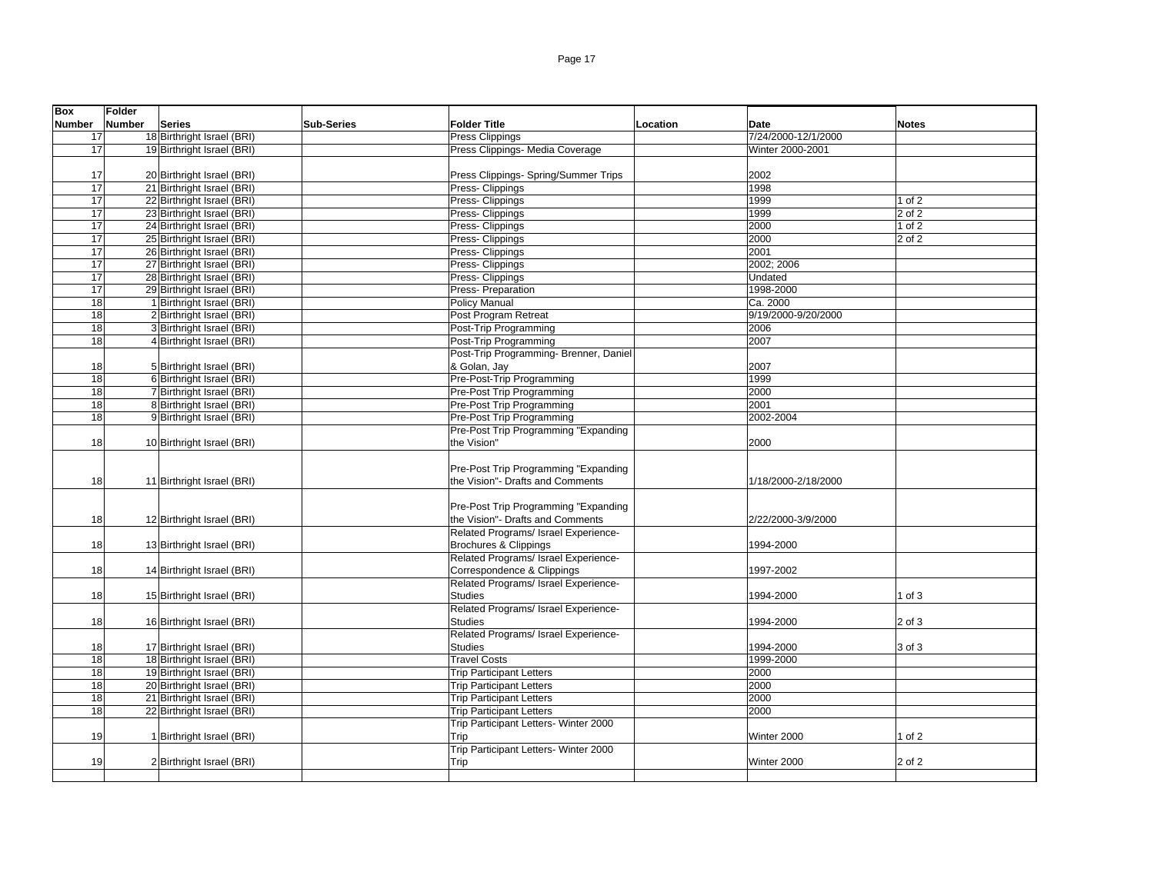| <b>Box</b> | Folder |                            |                   |                                        |          |                     |              |
|------------|--------|----------------------------|-------------------|----------------------------------------|----------|---------------------|--------------|
| Number     | Number | <b>Series</b>              | <b>Sub-Series</b> | <b>Folder Title</b>                    | Location | Date                | <b>Notes</b> |
| 17         |        | 18 Birthright Israel (BRI) |                   | <b>Press Clippings</b>                 |          | 7/24/2000-12/1/2000 |              |
| 17         |        | 19 Birthright Israel (BRI) |                   | Press Clippings- Media Coverage        |          | Winter 2000-2001    |              |
|            |        |                            |                   |                                        |          |                     |              |
| 17         |        | 20 Birthright Israel (BRI) |                   | Press Clippings- Spring/Summer Trips   |          | 2002                |              |
| 17         |        | 21 Birthright Israel (BRI) |                   | Press- Clippings                       |          | 1998                |              |
| 17         |        | 22 Birthright Israel (BRI) |                   | Press- Clippings                       |          | 1999                | 1 of 2       |
| 17         |        | 23 Birthright Israel (BRI) |                   | Press- Clippings                       |          | 1999                | 2 of 2       |
| 17         |        | 24 Birthright Israel (BRI) |                   | Press- Clippings                       |          | 2000                | $1$ of $2$   |
|            |        | 25 Birthright Israel (BRI) |                   |                                        |          |                     |              |
| 17         |        |                            |                   | Press- Clippings                       |          | 2000                | 2 of 2       |
| 17         |        | 26 Birthright Israel (BRI) |                   | Press- Clippings                       |          | 2001                |              |
| 17         |        | 27 Birthright Israel (BRI) |                   | Press- Clippings                       |          | 2002; 2006          |              |
| 17         |        | 28 Birthright Israel (BRI) |                   | Press- Clippings                       |          | Undated             |              |
| 17         |        | 29 Birthright Israel (BRI) |                   | Press- Preparation                     |          | 1998-2000           |              |
| 18         |        | 1 Birthright Israel (BRI)  |                   | <b>Policy Manual</b>                   |          | Ca. 2000            |              |
| 18         |        | 2 Birthright Israel (BRI)  |                   | Post Program Retreat                   |          | 9/19/2000-9/20/2000 |              |
| 18         |        | 3 Birthright Israel (BRI)  |                   | Post-Trip Programming                  |          | 2006                |              |
| 18         |        | 4 Birthright Israel (BRI)  |                   | Post-Trip Programming                  |          | 2007                |              |
|            |        |                            |                   | Post-Trip Programming- Brenner, Daniel |          |                     |              |
| 18         |        | 5 Birthright Israel (BRI)  |                   | & Golan, Jay                           |          | 2007                |              |
| 18         |        | 6 Birthright Israel (BRI)  |                   | Pre-Post-Trip Programming              |          | 1999                |              |
| 18         |        | 7 Birthright Israel (BRI)  |                   | Pre-Post Trip Programming              |          | 2000                |              |
| 18         |        | 8 Birthright Israel (BRI)  |                   | Pre-Post Trip Programming              |          | 2001                |              |
| 18         |        | 9 Birthright Israel (BRI)  |                   | <b>Pre-Post Trip Programming</b>       |          | 2002-2004           |              |
|            |        |                            |                   | Pre-Post Trip Programming "Expanding   |          |                     |              |
| 18         |        | 10 Birthright Israel (BRI) |                   | the Vision"                            |          | 2000                |              |
|            |        |                            |                   |                                        |          |                     |              |
|            |        |                            |                   | Pre-Post Trip Programming "Expanding   |          |                     |              |
| 18         |        | 11 Birthright Israel (BRI) |                   | the Vision"- Drafts and Comments       |          | 1/18/2000-2/18/2000 |              |
|            |        |                            |                   |                                        |          |                     |              |
|            |        |                            |                   | Pre-Post Trip Programming "Expanding   |          |                     |              |
| 18         |        | 12 Birthright Israel (BRI) |                   | the Vision"- Drafts and Comments       |          | 2/22/2000-3/9/2000  |              |
|            |        |                            |                   | Related Programs/ Israel Experience-   |          |                     |              |
|            |        |                            |                   |                                        |          |                     |              |
| 18         |        | 13 Birthright Israel (BRI) |                   | <b>Brochures &amp; Clippings</b>       |          | 1994-2000           |              |
|            |        |                            |                   | Related Programs/ Israel Experience-   |          |                     |              |
| 18         |        | 14 Birthright Israel (BRI) |                   | Correspondence & Clippings             |          | 1997-2002           |              |
|            |        |                            |                   | Related Programs/ Israel Experience-   |          |                     |              |
| 18         |        | 15 Birthright Israel (BRI) |                   | <b>Studies</b>                         |          | 1994-2000           | 1 of $3$     |
|            |        |                            |                   | Related Programs/ Israel Experience-   |          |                     |              |
| 18         |        | 16 Birthright Israel (BRI) |                   | <b>Studies</b>                         |          | 1994-2000           | 2 of 3       |
|            |        |                            |                   | Related Programs/ Israel Experience-   |          |                     |              |
| 18         |        | 17 Birthright Israel (BRI) |                   | <b>Studies</b>                         |          | 1994-2000           | 3 of 3       |
| 18         |        | 18 Birthright Israel (BRI) |                   | <b>Travel Costs</b>                    |          | 1999-2000           |              |
| 18         |        | 19 Birthright Israel (BRI) |                   | <b>Trip Participant Letters</b>        |          | 2000                |              |
| 18         |        | 20 Birthright Israel (BRI) |                   | <b>Trip Participant Letters</b>        |          | 2000                |              |
| 18         |        | 21 Birthright Israel (BRI) |                   | <b>Trip Participant Letters</b>        |          | 2000                |              |
| 18         |        | 22 Birthright Israel (BRI) |                   | <b>Trip Participant Letters</b>        |          | 2000                |              |
|            |        |                            |                   | Trip Participant Letters- Winter 2000  |          |                     |              |
| 19         |        | 1 Birthright Israel (BRI)  |                   | Trip                                   |          | Winter 2000         | 1 of $2$     |
|            |        |                            |                   | Trip Participant Letters- Winter 2000  |          |                     |              |
| 19         |        | 2 Birthright Israel (BRI)  |                   | Trip                                   |          | Winter 2000         | 2 of 2       |
|            |        |                            |                   |                                        |          |                     |              |
|            |        |                            |                   |                                        |          |                     |              |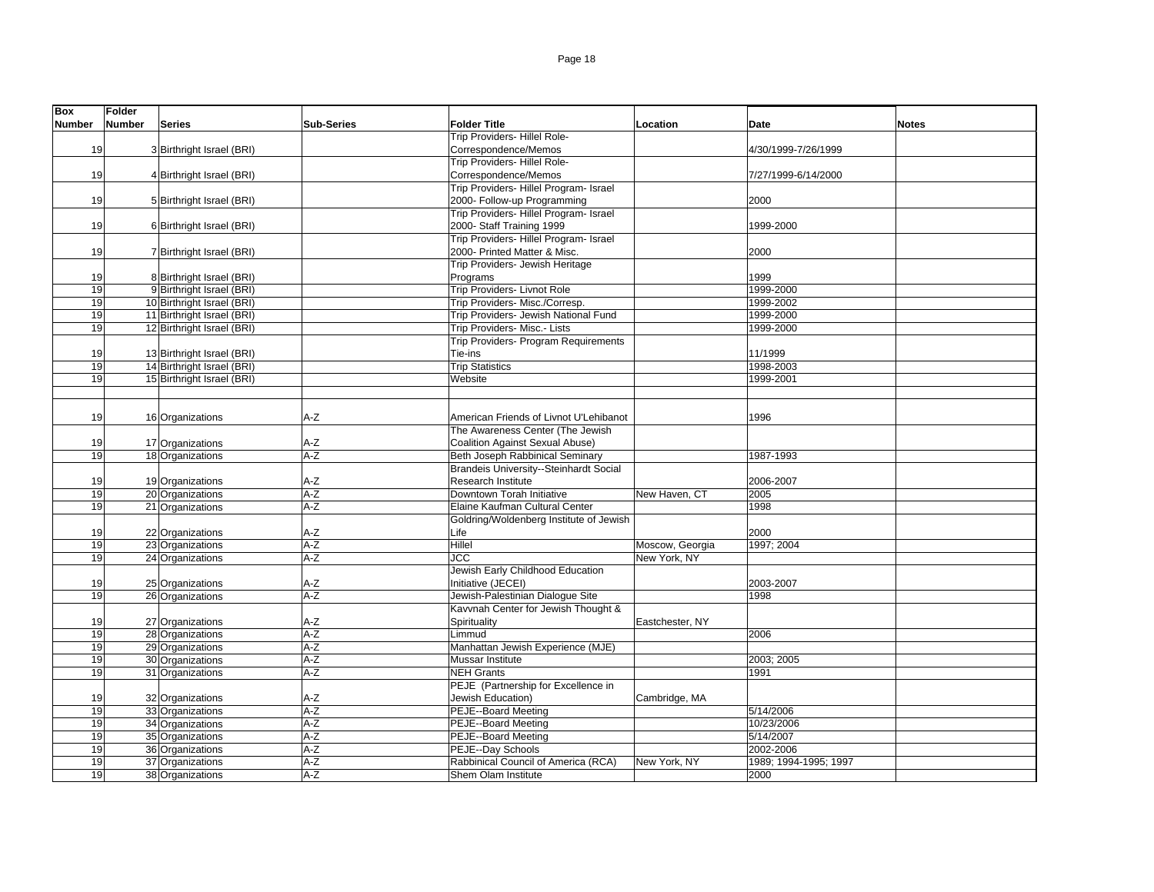| <b>Box</b>    | Folder |                            |                   |                                                 |                 |                       |              |
|---------------|--------|----------------------------|-------------------|-------------------------------------------------|-----------------|-----------------------|--------------|
| <b>Number</b> | Number | <b>Series</b>              | <b>Sub-Series</b> | <b>Folder Title</b>                             | Location        | Date                  | <b>Notes</b> |
|               |        |                            |                   | Trip Providers- Hillel Role-                    |                 |                       |              |
| 19            |        | 3 Birthright Israel (BRI)  |                   | Correspondence/Memos                            |                 | 4/30/1999-7/26/1999   |              |
|               |        |                            |                   | Trip Providers- Hillel Role-                    |                 |                       |              |
| 19            |        | 4 Birthright Israel (BRI)  |                   | Correspondence/Memos                            |                 | 7/27/1999-6/14/2000   |              |
|               |        |                            |                   | Trip Providers- Hillel Program- Israel          |                 |                       |              |
| 19            |        | 5 Birthright Israel (BRI)  |                   | 2000- Follow-up Programming                     |                 | 2000                  |              |
|               |        |                            |                   | Trip Providers- Hillel Program- Israel          |                 |                       |              |
| 19            |        | 6 Birthright Israel (BRI)  |                   | 2000- Staff Training 1999                       |                 | 1999-2000             |              |
|               |        |                            |                   | Trip Providers- Hillel Program- Israel          |                 |                       |              |
| 19            |        | 7 Birthright Israel (BRI)  |                   | 2000- Printed Matter & Misc.                    |                 | 2000                  |              |
|               |        |                            |                   | Trip Providers- Jewish Heritage                 |                 |                       |              |
| 19            |        | 8 Birthright Israel (BRI)  |                   | Programs                                        |                 | 1999                  |              |
| 19            |        | 9 Birthright Israel (BRI)  |                   | Trip Providers- Livnot Role                     |                 | 1999-2000             |              |
| 19            |        | 10 Birthright Israel (BRI) |                   | Trip Providers- Misc./Corresp.                  |                 | 1999-2002             |              |
| 19            |        | 11 Birthright Israel (BRI) |                   | Trip Providers- Jewish National Fund            |                 | 1999-2000             |              |
| 19            |        | 12 Birthright Israel (BRI) |                   | Trip Providers- Misc.- Lists                    |                 | 1999-2000             |              |
|               |        |                            |                   | Trip Providers- Program Requirements            |                 |                       |              |
| 19            |        | 13 Birthright Israel (BRI) |                   | Tie-ins                                         |                 | 11/1999               |              |
| 19            |        | 14 Birthright Israel (BRI) |                   | <b>Trip Statistics</b>                          |                 | 1998-2003             |              |
| 19            |        | 15 Birthright Israel (BRI) |                   | Website                                         |                 | 1999-2001             |              |
|               |        |                            |                   |                                                 |                 |                       |              |
|               |        |                            |                   |                                                 |                 |                       |              |
| 19            |        | 16 Organizations           | A-Z               | American Friends of Livnot U'Lehibanot          |                 | 1996                  |              |
|               |        |                            |                   | The Awareness Center (The Jewish                |                 |                       |              |
| 19            |        | 17 Organizations           | A-Z               | Coalition Against Sexual Abuse)                 |                 |                       |              |
| 19            |        | 18 Organizations           | $A-Z$             | Beth Joseph Rabbinical Seminary                 |                 | 1987-1993             |              |
|               |        |                            |                   | Brandeis University--Steinhardt Social          |                 |                       |              |
| 19<br>19      |        | 19 Organizations           | $A-Z$<br>$A-Z$    | Research Institute<br>Downtown Torah Initiative | New Haven, CT   | 2006-2007             |              |
| 19            |        | 20 Organizations           | $A-Z$             | Elaine Kaufman Cultural Center                  |                 | 2005<br>1998          |              |
|               |        | 21 Organizations           |                   | Goldring/Woldenberg Institute of Jewish         |                 |                       |              |
| 19            |        | 22 Organizations           | $A-Z$             | Life                                            |                 | 2000                  |              |
| 19            |        | 23 Organizations           | $A-Z$             | Hillel                                          | Moscow, Georgia | 1997: 2004            |              |
| 19            |        | 24 Organizations           | $A-Z$             | JCC                                             | New York, NY    |                       |              |
|               |        |                            |                   | Jewish Early Childhood Education                |                 |                       |              |
| 19            |        | 25 Organizations           | $A-Z$             | Initiative (JECEI)                              |                 | 2003-2007             |              |
| 19            |        | 26 Organizations           | $A-Z$             | Jewish-Palestinian Dialoque Site                |                 | 1998                  |              |
|               |        |                            |                   | Kavvnah Center for Jewish Thought &             |                 |                       |              |
| 19            |        | 27 Organizations           | $A-Z$             | Spirituality                                    | Eastchester, NY |                       |              |
| 19            |        | 28 Organizations           | $A-Z$             | Limmud                                          |                 | 2006                  |              |
| 19            |        | 29 Organizations           | $A-Z$             | Manhattan Jewish Experience (MJE)               |                 |                       |              |
| 19            |        | 30 Organizations           | $A-Z$             | Mussar Institute                                |                 | 2003; 2005            |              |
| 19            |        | 31 Organizations           | $A-Z$             | <b>NEH Grants</b>                               |                 | 1991                  |              |
|               |        |                            |                   | PEJE (Partnership for Excellence in             |                 |                       |              |
| 19            |        | 32 Organizations           | A-Z               | Jewish Education)                               | Cambridge, MA   |                       |              |
| 19            |        | 33 Organizations           | $A-Z$             | PEJE--Board Meeting                             |                 | 5/14/2006             |              |
| 19            |        | 34 Organizations           | $A-Z$             | <b>PEJE--Board Meeting</b>                      |                 | 10/23/2006            |              |
| 19            |        | 35 Organizations           | $A-Z$             | <b>PEJE--Board Meeting</b>                      |                 | 5/14/2007             |              |
| 19            |        | 36 Organizations           | $A-Z$             | PEJE--Day Schools                               |                 | 2002-2006             |              |
| 19            |        | 37 Organizations           | $A-Z$             | Rabbinical Council of America (RCA)             | New York, NY    | 1989; 1994-1995; 1997 |              |
| 19            |        | 38 Organizations           | $A-Z$             | Shem Olam Institute                             |                 | 2000                  |              |
|               |        |                            |                   |                                                 |                 |                       |              |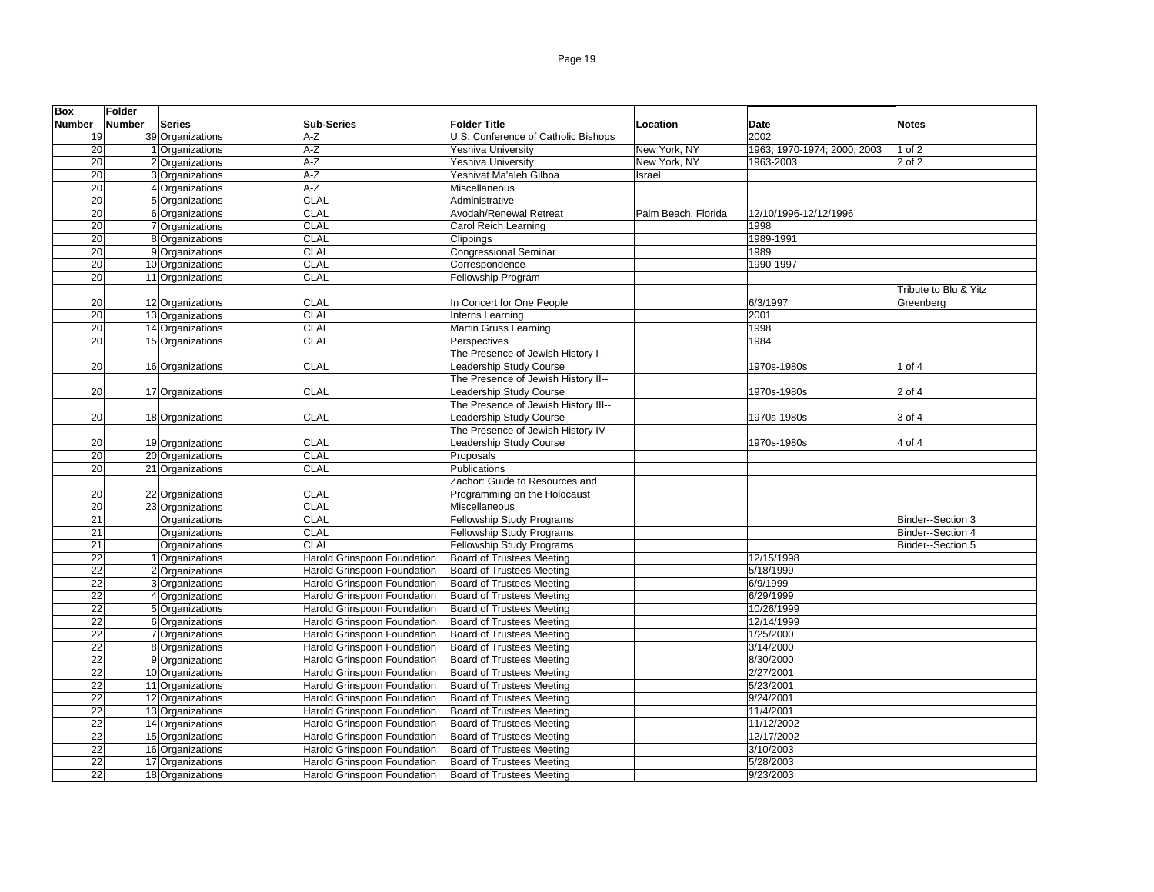| <b>Box</b>      | Folder |                                      |                                    |                                      |                     |                             |                       |
|-----------------|--------|--------------------------------------|------------------------------------|--------------------------------------|---------------------|-----------------------------|-----------------------|
| <b>Number</b>   | Number | <b>Series</b>                        | <b>Sub-Series</b>                  | <b>Folder Title</b>                  | Location            | <b>Date</b>                 | <b>Notes</b>          |
| 19              |        | 39 Organizations                     | $A-Z$                              | U.S. Conference of Catholic Bishops  |                     | 2002                        |                       |
| 20              |        | 1 Organizations                      | $A-Z$                              | Yeshiva University                   | New York, NY        | 1963; 1970-1974; 2000; 2003 | $1$ of $2$            |
| 20              |        | 2 Organizations                      | $A-Z$                              | Yeshiva University                   | New York, NY        | 1963-2003                   | 2 of 2                |
| 20              |        | 3 Organizations                      | $A-Z$                              | Yeshivat Ma'aleh Gilboa              | Israel              |                             |                       |
| 20              |        | 4 Organizations                      | $A-Z$                              | Miscellaneous                        |                     |                             |                       |
| $\overline{20}$ |        | 5 Organizations                      | CLAL                               | Administrative                       |                     |                             |                       |
| 20              |        | 6 Organizations                      | <b>CLAL</b>                        | Avodah/Renewal Retreat               | Palm Beach, Florida | 12/10/1996-12/12/1996       |                       |
| 20              |        | 7 Organizations                      | CLAL                               |                                      |                     | 1998                        |                       |
|                 |        |                                      |                                    | Carol Reich Learning                 |                     |                             |                       |
| 20              |        | 8 Organizations                      | CLAL                               | Clippings                            |                     | 1989-1991                   |                       |
| 20              |        | 9 Organizations                      | CLAL                               | <b>Congressional Seminar</b>         |                     | 1989                        |                       |
| $\overline{20}$ |        | 10 Organizations                     | <b>CLAL</b>                        | Correspondence                       |                     | 1990-1997                   |                       |
| 20              |        | 11 Organizations                     | <b>CLAL</b>                        | Fellowship Program                   |                     |                             |                       |
|                 |        |                                      |                                    |                                      |                     |                             | Tribute to Blu & Yitz |
| 20              |        | 12 Organizations                     | <b>CLAL</b>                        | In Concert for One People            |                     | 6/3/1997                    | Greenberg             |
| 20              |        | 13 Organizations                     | <b>CLAL</b>                        | Interns Learning                     |                     | 2001                        |                       |
| 20              |        | 14 Organizations                     | CLAL                               | Martin Gruss Learning                |                     | 1998                        |                       |
| 20              |        | 15 Organizations                     | CLAL                               | Perspectives                         |                     | 1984                        |                       |
|                 |        |                                      |                                    | The Presence of Jewish History I--   |                     |                             |                       |
| 20              |        | 16 Organizations                     | <b>CLAL</b>                        | Leadership Study Course              |                     | 1970s-1980s                 | 1 of 4                |
|                 |        |                                      |                                    | The Presence of Jewish History II--  |                     |                             |                       |
| 20              |        | 17 Organizations                     | CLAL                               | Leadership Study Course              |                     | 1970s-1980s                 | 2 of 4                |
|                 |        |                                      |                                    | The Presence of Jewish History III-- |                     |                             |                       |
| 20              |        | 18 Organizations                     | <b>CLAL</b>                        | Leadership Study Course              |                     | 1970s-1980s                 | 3 of 4                |
|                 |        |                                      |                                    | The Presence of Jewish History IV--  |                     |                             |                       |
| 20              |        | 19 Organizations                     | CLAL                               | Leadership Study Course              |                     | 1970s-1980s                 | 4 of 4                |
| 20              |        | 20 Organizations                     | <b>CLAL</b>                        | Proposals                            |                     |                             |                       |
| 20              |        | 21 Organizations                     | CLAL                               | Publications                         |                     |                             |                       |
|                 |        |                                      |                                    | Zachor: Guide to Resources and       |                     |                             |                       |
| 20              |        |                                      | <b>CLAL</b>                        | Programming on the Holocaust         |                     |                             |                       |
| 20              |        | 22 Organizations<br>23 Organizations | CLAL                               | Miscellaneous                        |                     |                             |                       |
| 21              |        | Organizations                        | <b>CLAL</b>                        | <b>Fellowship Study Programs</b>     |                     |                             |                       |
|                 |        |                                      |                                    |                                      |                     |                             | Binder--Section 3     |
| 21              |        | Organizations                        | <b>CLAL</b>                        | Fellowship Study Programs            |                     |                             | Binder--Section 4     |
| 21              |        | Organizations                        | <b>CLAL</b>                        | <b>Fellowship Study Programs</b>     |                     |                             | Binder--Section 5     |
| $\overline{22}$ |        | 1 Organizations                      | <b>Harold Grinspoon Foundation</b> | <b>Board of Trustees Meeting</b>     |                     | 12/15/1998                  |                       |
| 22              |        | 2 Organizations                      | Harold Grinspoon Foundation        | <b>Board of Trustees Meeting</b>     |                     | 5/18/1999                   |                       |
| $\overline{22}$ |        | 3 Organizations                      | Harold Grinspoon Foundation        | <b>Board of Trustees Meeting</b>     |                     | 6/9/1999                    |                       |
| $\overline{22}$ |        | 4 Organizations                      | Harold Grinspoon Foundation        | <b>Board of Trustees Meeting</b>     |                     | 6/29/1999                   |                       |
| 22              |        | 5 Organizations                      | Harold Grinspoon Foundation        | <b>Board of Trustees Meeting</b>     |                     | 10/26/1999                  |                       |
| $\overline{22}$ |        | 6 Organizations                      | Harold Grinspoon Foundation        | <b>Board of Trustees Meeting</b>     |                     | 12/14/1999                  |                       |
| 22              |        | 7 Organizations                      | Harold Grinspoon Foundation        | <b>Board of Trustees Meeting</b>     |                     | 1/25/2000                   |                       |
| 22              |        | 8 Organizations                      | Harold Grinspoon Foundation        | <b>Board of Trustees Meeting</b>     |                     | 3/14/2000                   |                       |
| $\overline{22}$ |        | 9 Organizations                      | Harold Grinspoon Foundation        | <b>Board of Trustees Meeting</b>     |                     | 8/30/2000                   |                       |
| $\overline{22}$ |        | 10 Organizations                     | Harold Grinspoon Foundation        | <b>Board of Trustees Meeting</b>     |                     | 2/27/2001                   |                       |
| $\overline{22}$ |        | 11 Organizations                     | Harold Grinspoon Foundation        | <b>Board of Trustees Meeting</b>     |                     | 5/23/2001                   |                       |
| 22              |        | 12 Organizations                     | Harold Grinspoon Foundation        | <b>Board of Trustees Meeting</b>     |                     | 9/24/2001                   |                       |
| $\overline{22}$ |        | 13 Organizations                     | Harold Grinspoon Foundation        | <b>Board of Trustees Meeting</b>     |                     | 11/4/2001                   |                       |
| 22              |        | 14 Organizations                     | <b>Harold Grinspoon Foundation</b> | <b>Board of Trustees Meeting</b>     |                     | 11/12/2002                  |                       |
| 22              |        | 15 Organizations                     | Harold Grinspoon Foundation        | <b>Board of Trustees Meeting</b>     |                     | 12/17/2002                  |                       |
| $\overline{22}$ |        | 16 Organizations                     | Harold Grinspoon Foundation        | <b>Board of Trustees Meeting</b>     |                     | 3/10/2003                   |                       |
| $\overline{22}$ |        | 17 Organizations                     | Harold Grinspoon Foundation        | <b>Board of Trustees Meeting</b>     |                     | 5/28/2003                   |                       |
| $\overline{22}$ |        | 18 Organizations                     | Harold Grinspoon Foundation        | <b>Board of Trustees Meeting</b>     |                     | 9/23/2003                   |                       |
|                 |        |                                      |                                    |                                      |                     |                             |                       |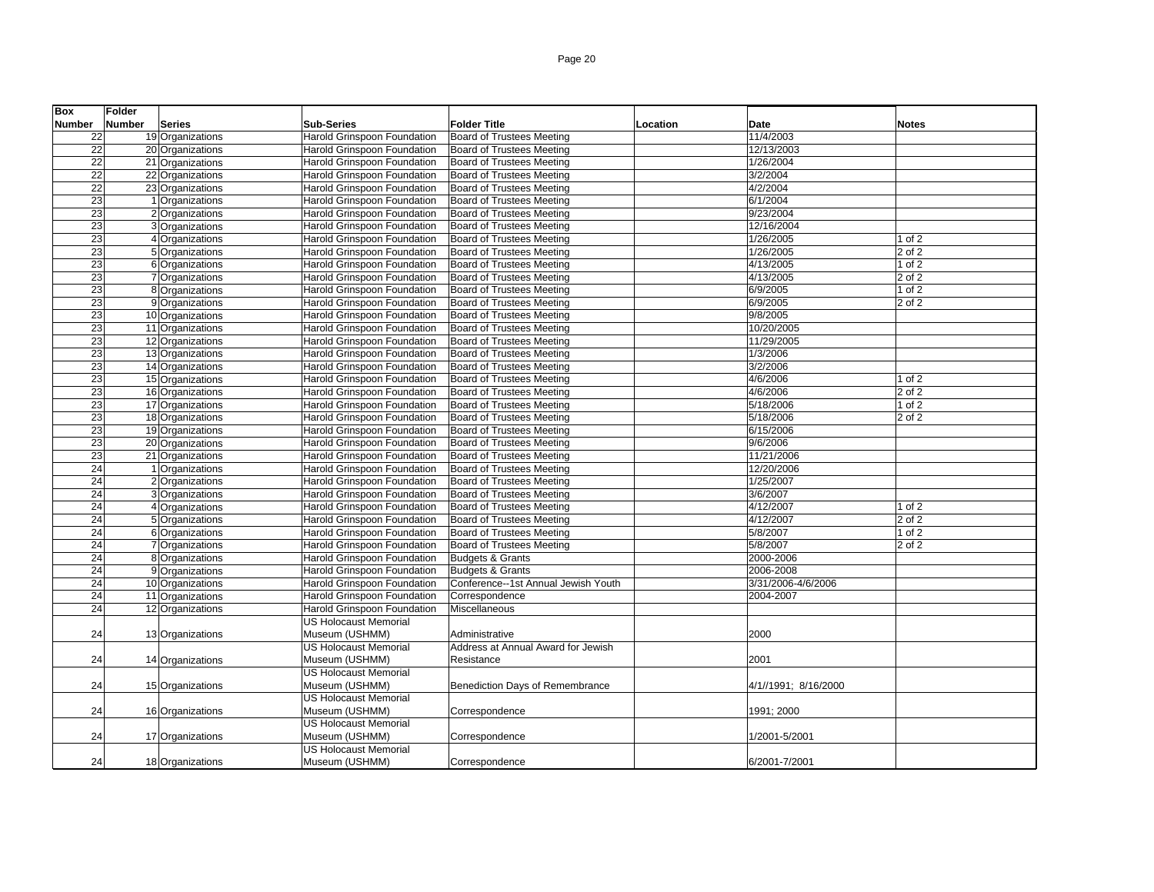| <b>Box</b>      | <b>Folder</b> |                  |                                    |                                     |          |                      |            |
|-----------------|---------------|------------------|------------------------------------|-------------------------------------|----------|----------------------|------------|
| <b>Number</b>   | <b>Number</b> | <b>Series</b>    | <b>Sub-Series</b>                  | <b>Folder Title</b>                 | Location | Date                 | Notes      |
| 22              |               | 19 Organizations | Harold Grinspoon Foundation        | Board of Trustees Meeting           |          | 11/4/2003            |            |
| 22              |               | 20 Organizations | Harold Grinspoon Foundation        | <b>Board of Trustees Meeting</b>    |          | 12/13/2003           |            |
| 22              |               | 21 Organizations | Harold Grinspoon Foundation        | <b>Board of Trustees Meeting</b>    |          | 1/26/2004            |            |
| 22              |               | 22 Organizations | Harold Grinspoon Foundation        | Board of Trustees Meeting           |          | 3/2/2004             |            |
| 22              |               | 23 Organizations | Harold Grinspoon Foundation        | Board of Trustees Meeting           |          | 4/2/2004             |            |
| 23              |               | 1 Organizations  | Harold Grinspoon Foundation        | Board of Trustees Meeting           |          | 6/1/2004             |            |
| 23              |               | 2 Organizations  | Harold Grinspoon Foundation        | <b>Board of Trustees Meeting</b>    |          | 9/23/2004            |            |
| 23              |               | 3 Organizations  | Harold Grinspoon Foundation        | <b>Board of Trustees Meeting</b>    |          | 12/16/2004           |            |
| 23              |               | 4 Organizations  | Harold Grinspoon Foundation        | <b>Board of Trustees Meeting</b>    |          | 1/26/2005            | 1 of 2     |
| 23              |               | 5 Organizations  | <b>Harold Grinspoon Foundation</b> | <b>Board of Trustees Meeting</b>    |          | 1/26/2005            | 2 of 2     |
| 23              |               | 6 Organizations  | Harold Grinspoon Foundation        | <b>Board of Trustees Meeting</b>    |          | 4/13/2005            | $1$ of $2$ |
| 23              |               | 7 Organizations  | Harold Grinspoon Foundation        | <b>Board of Trustees Meeting</b>    |          | 4/13/2005            | $2$ of $2$ |
| 23              |               | 8 Organizations  | Harold Grinspoon Foundation        | <b>Board of Trustees Meeting</b>    |          | 6/9/2005             | $1$ of $2$ |
| 23              |               | 9 Organizations  | Harold Grinspoon Foundation        | <b>Board of Trustees Meeting</b>    |          | 6/9/2005             | 2 of 2     |
| 23              |               | 10 Organizations | Harold Grinspoon Foundation        | <b>Board of Trustees Meeting</b>    |          | 9/8/2005             |            |
| 23              |               | 11 Organizations | Harold Grinspoon Foundation        | <b>Board of Trustees Meeting</b>    |          | 10/20/2005           |            |
| 23              |               | 12 Organizations | Harold Grinspoon Foundation        | <b>Board of Trustees Meeting</b>    |          | 11/29/2005           |            |
| 23              |               | 13 Organizations | Harold Grinspoon Foundation        | <b>Board of Trustees Meeting</b>    |          | 1/3/2006             |            |
| 23              |               | 14 Organizations | Harold Grinspoon Foundation        | Board of Trustees Meeting           |          | 3/2/2006             |            |
| 23              |               | 15 Organizations | Harold Grinspoon Foundation        | <b>Board of Trustees Meeting</b>    |          | 4/6/2006             | 1 of 2     |
| 23              |               | 16 Organizations | Harold Grinspoon Foundation        | <b>Board of Trustees Meeting</b>    |          | 4/6/2006             | $2$ of $2$ |
| 23              |               | 17 Organizations | Harold Grinspoon Foundation        | <b>Board of Trustees Meeting</b>    |          | 5/18/2006            | $1$ of $2$ |
| 23              |               | 18 Organizations | Harold Grinspoon Foundation        | <b>Board of Trustees Meeting</b>    |          | 5/18/2006            | 2 of 2     |
| 23              |               | 19 Organizations | Harold Grinspoon Foundation        | <b>Board of Trustees Meeting</b>    |          | 6/15/2006            |            |
| 23              |               | 20 Organizations | Harold Grinspoon Foundation        | <b>Board of Trustees Meeting</b>    |          | 9/6/2006             |            |
| 23              |               | 21 Organizations | Harold Grinspoon Foundation        | Board of Trustees Meeting           |          | 11/21/2006           |            |
| 24              |               | 1 Organizations  | Harold Grinspoon Foundation        | <b>Board of Trustees Meeting</b>    |          | 12/20/2006           |            |
| 24              |               | 2 Organizations  | Harold Grinspoon Foundation        | <b>Board of Trustees Meeting</b>    |          | 1/25/2007            |            |
| 24              |               | 3 Organizations  | Harold Grinspoon Foundation        | <b>Board of Trustees Meeting</b>    |          | 3/6/2007             |            |
| 24              |               | 4 Organizations  | Harold Grinspoon Foundation        | <b>Board of Trustees Meeting</b>    |          | 4/12/2007            | 1 of 2     |
| 24              |               | 5 Organizations  | Harold Grinspoon Foundation        | Board of Trustees Meeting           |          | 4/12/2007            | 2 of 2     |
| $\overline{24}$ |               | 6 Organizations  | Harold Grinspoon Foundation        | <b>Board of Trustees Meeting</b>    |          | 5/8/2007             | $1$ of $2$ |
| 24              |               | 7 Organizations  | Harold Grinspoon Foundation        | <b>Board of Trustees Meeting</b>    |          | 5/8/2007             | 2 of 2     |
| 24              |               | 8 Organizations  | Harold Grinspoon Foundation        | <b>Budgets &amp; Grants</b>         |          | 2000-2006            |            |
| 24              |               | 9 Organizations  | Harold Grinspoon Foundation        | <b>Budgets &amp; Grants</b>         |          | 2006-2008            |            |
| $\overline{24}$ |               | 10 Organizations | Harold Grinspoon Foundation        | Conference--1st Annual Jewish Youth |          | 3/31/2006-4/6/2006   |            |
| 24              |               | 11 Organizations | Harold Grinspoon Foundation        | Correspondence                      |          | 2004-2007            |            |
| 24              |               | 12 Organizations | Harold Grinspoon Foundation        | Miscellaneous                       |          |                      |            |
|                 |               |                  | <b>US Holocaust Memorial</b>       |                                     |          |                      |            |
| 24              |               | 13 Organizations | Museum (USHMM)                     | Administrative                      |          | 2000                 |            |
|                 |               |                  | <b>US Holocaust Memorial</b>       | Address at Annual Award for Jewish  |          |                      |            |
| 24              |               | 14 Organizations | Museum (USHMM)                     | Resistance                          |          | 2001                 |            |
|                 |               |                  | <b>US Holocaust Memorial</b>       |                                     |          |                      |            |
| 24              |               | 15 Organizations | Museum (USHMM)                     | Benediction Days of Remembrance     |          | 4/1//1991; 8/16/2000 |            |
|                 |               |                  | <b>US Holocaust Memorial</b>       |                                     |          |                      |            |
| 24              |               | 16 Organizations | Museum (USHMM)                     | Correspondence                      |          | 1991; 2000           |            |
|                 |               |                  | <b>US Holocaust Memorial</b>       |                                     |          |                      |            |
| 24              |               | 17 Organizations | Museum (USHMM)                     | Correspondence                      |          | 1/2001-5/2001        |            |
|                 |               |                  | <b>US Holocaust Memorial</b>       |                                     |          |                      |            |
| 24              |               | 18 Organizations | Museum (USHMM)                     | Correspondence                      |          | 6/2001-7/2001        |            |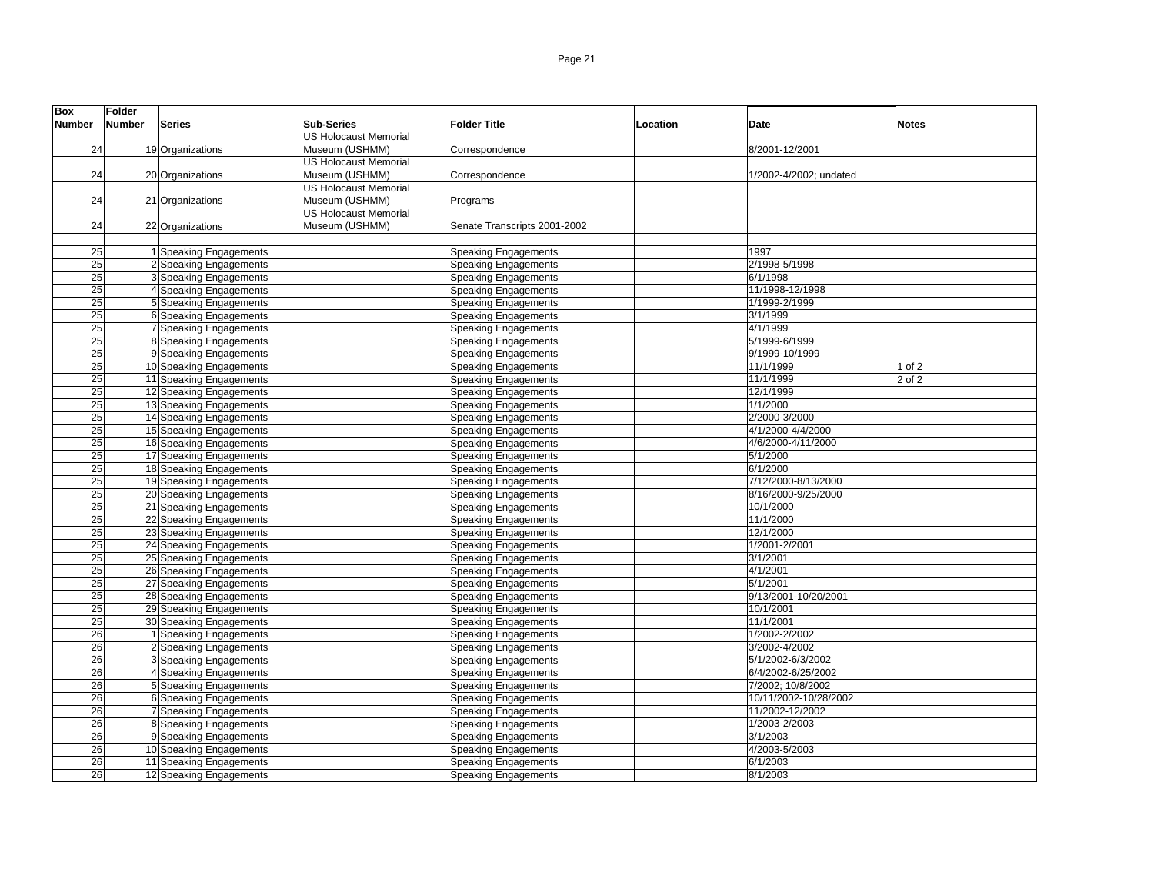| <b>Box</b>      | <b>Folder</b> |                         |                              |                              |          |                        |              |
|-----------------|---------------|-------------------------|------------------------------|------------------------------|----------|------------------------|--------------|
| <b>Number</b>   | Number        | <b>Series</b>           | <b>Sub-Series</b>            | <b>Folder Title</b>          | Location | Date                   | <b>Notes</b> |
|                 |               |                         | <b>US Holocaust Memorial</b> |                              |          |                        |              |
| 24              |               | 19 Organizations        | Museum (USHMM)               | Correspondence               |          | 8/2001-12/2001         |              |
|                 |               |                         | <b>US Holocaust Memorial</b> |                              |          |                        |              |
| 24              |               | 20 Organizations        | Museum (USHMM)               | Correspondence               |          | 1/2002-4/2002; undated |              |
|                 |               |                         | <b>US Holocaust Memorial</b> |                              |          |                        |              |
| 24              |               | 21 Organizations        | Museum (USHMM)               | Programs                     |          |                        |              |
|                 |               |                         | <b>US Holocaust Memorial</b> |                              |          |                        |              |
| 24              |               | 22 Organizations        | Museum (USHMM)               | Senate Transcripts 2001-2002 |          |                        |              |
|                 |               |                         |                              |                              |          |                        |              |
| 25              |               | 1 Speaking Engagements  |                              | <b>Speaking Engagements</b>  |          | 1997                   |              |
| $\overline{25}$ |               | 2 Speaking Engagements  |                              | <b>Speaking Engagements</b>  |          | 2/1998-5/1998          |              |
| 25              |               | 3 Speaking Engagements  |                              | <b>Speaking Engagements</b>  |          | 6/1/1998               |              |
| 25              |               | 4 Speaking Engagements  |                              | <b>Speaking Engagements</b>  |          | 11/1998-12/1998        |              |
| $\overline{25}$ |               | 5 Speaking Engagements  |                              | <b>Speaking Engagements</b>  |          | 1/1999-2/1999          |              |
| 25              |               | 6 Speaking Engagements  |                              | <b>Speaking Engagements</b>  |          | 3/1/1999               |              |
| 25              |               | 7 Speaking Engagements  |                              | Speaking Engagements         |          | 4/1/1999               |              |
| 25              |               | 8 Speaking Engagements  |                              | <b>Speaking Engagements</b>  |          | 5/1999-6/1999          |              |
| 25              |               | 9 Speaking Engagements  |                              | <b>Speaking Engagements</b>  |          | 9/1999-10/1999         |              |
| 25              |               | 10 Speaking Engagements |                              | <b>Speaking Engagements</b>  |          | 11/1/1999              | $1$ of $2$   |
| 25              |               | 11 Speaking Engagements |                              | <b>Speaking Engagements</b>  |          | 11/1/1999              | 2 of 2       |
| $\overline{25}$ |               | 12 Speaking Engagements |                              | <b>Speaking Engagements</b>  |          | 12/1/1999              |              |
| $\overline{25}$ |               | 13 Speaking Engagements |                              | <b>Speaking Engagements</b>  |          | 1/1/2000               |              |
| $\overline{25}$ |               | 14 Speaking Engagements |                              | <b>Speaking Engagements</b>  |          | 2/2000-3/2000          |              |
| 25              |               | 15 Speaking Engagements |                              | <b>Speaking Engagements</b>  |          | 4/1/2000-4/4/2000      |              |
| 25              |               | 16 Speaking Engagements |                              | <b>Speaking Engagements</b>  |          | 4/6/2000-4/11/2000     |              |
| $\overline{25}$ |               | 17 Speaking Engagements |                              | <b>Speaking Engagements</b>  |          | 5/1/2000               |              |
| 25              |               | 18 Speaking Engagements |                              | <b>Speaking Engagements</b>  |          | 6/1/2000               |              |
| $\overline{25}$ |               | 19 Speaking Engagements |                              | <b>Speaking Engagements</b>  |          | 7/12/2000-8/13/2000    |              |
| 25              |               | 20 Speaking Engagements |                              | <b>Speaking Engagements</b>  |          | 8/16/2000-9/25/2000    |              |
| 25              |               | 21 Speaking Engagements |                              | <b>Speaking Engagements</b>  |          | 10/1/2000              |              |
| 25              |               | 22 Speaking Engagements |                              | <b>Speaking Engagements</b>  |          | 11/1/2000              |              |
| 25              |               | 23 Speaking Engagements |                              | <b>Speaking Engagements</b>  |          | 12/1/2000              |              |
| 25              |               | 24 Speaking Engagements |                              | <b>Speaking Engagements</b>  |          | 1/2001-2/2001          |              |
| $\overline{25}$ |               | 25 Speaking Engagements |                              | <b>Speaking Engagements</b>  |          | 3/1/2001               |              |
| 25              |               | 26 Speaking Engagements |                              | <b>Speaking Engagements</b>  |          | 4/1/2001               |              |
| 25              |               | 27 Speaking Engagements |                              | <b>Speaking Engagements</b>  |          | 5/1/2001               |              |
| 25              |               | 28 Speaking Engagements |                              | <b>Speaking Engagements</b>  |          | 9/13/2001-10/20/2001   |              |
| 25              |               | 29 Speaking Engagements |                              | <b>Speaking Engagements</b>  |          | 10/1/2001              |              |
| $\overline{25}$ |               | 30 Speaking Engagements |                              | <b>Speaking Engagements</b>  |          | 11/1/2001              |              |
| 26              |               | 1 Speaking Engagements  |                              |                              |          | 1/2002-2/2002          |              |
| 26              |               | 2 Speaking Engagements  |                              | <b>Speaking Engagements</b>  |          | 3/2002-4/2002          |              |
|                 |               |                         |                              | <b>Speaking Engagements</b>  |          | 5/1/2002-6/3/2002      |              |
| 26              |               | 3 Speaking Engagements  |                              | <b>Speaking Engagements</b>  |          |                        |              |
| 26              |               | 4 Speaking Engagements  |                              | <b>Speaking Engagements</b>  |          | 6/4/2002-6/25/2002     |              |
| 26              |               | 5 Speaking Engagements  |                              | <b>Speaking Engagements</b>  |          | 7/2002; 10/8/2002      |              |
| 26              |               | 6 Speaking Engagements  |                              | Speaking Engagements         |          | 10/11/2002-10/28/2002  |              |
| 26              |               | 7 Speaking Engagements  |                              | Speaking Engagements         |          | 11/2002-12/2002        |              |
| 26              |               | 8 Speaking Engagements  |                              | <b>Speaking Engagements</b>  |          | 1/2003-2/2003          |              |
| 26              |               | 9 Speaking Engagements  |                              | <b>Speaking Engagements</b>  |          | 3/1/2003               |              |
| 26              |               | 10 Speaking Engagements |                              | <b>Speaking Engagements</b>  |          | 4/2003-5/2003          |              |
| 26              |               | 11 Speaking Engagements |                              | <b>Speaking Engagements</b>  |          | 6/1/2003               |              |
| 26              |               | 12 Speaking Engagements |                              | <b>Speaking Engagements</b>  |          | 8/1/2003               |              |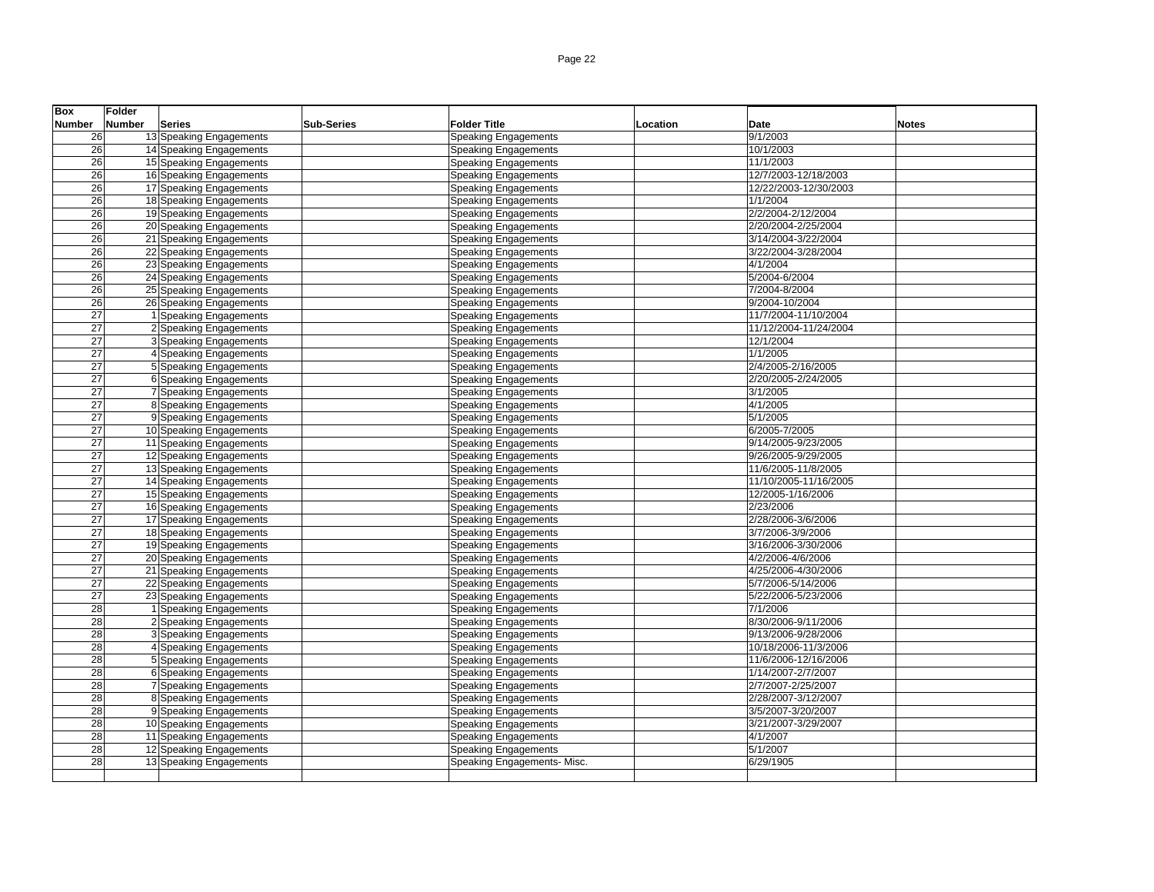| <b>Box</b>      | Folder        |                         |                   |                             |          |                       |              |
|-----------------|---------------|-------------------------|-------------------|-----------------------------|----------|-----------------------|--------------|
| Number          | <b>Number</b> | <b>Series</b>           | <b>Sub-Series</b> | <b>Folder Title</b>         | Location | Date                  | <b>Notes</b> |
| 26              |               | 13 Speaking Engagements |                   | <b>Speaking Engagements</b> |          | 9/1/2003              |              |
| 26              |               | 14 Speaking Engagements |                   | <b>Speaking Engagements</b> |          | 10/1/2003             |              |
| 26              |               | 15 Speaking Engagements |                   | <b>Speaking Engagements</b> |          | 11/1/2003             |              |
| 26              |               | 16 Speaking Engagements |                   | <b>Speaking Engagements</b> |          | 12/7/2003-12/18/2003  |              |
| 26              |               | 17 Speaking Engagements |                   | <b>Speaking Engagements</b> |          | 12/22/2003-12/30/2003 |              |
| $\overline{26}$ |               | 18 Speaking Engagements |                   | Speaking Engagements        |          | 1/1/2004              |              |
| 26              |               | 19 Speaking Engagements |                   | <b>Speaking Engagements</b> |          | 2/2/2004-2/12/2004    |              |
| 26              |               | 20 Speaking Engagements |                   | Speaking Engagements        |          | 2/20/2004-2/25/2004   |              |
| 26              |               | 21 Speaking Engagements |                   | <b>Speaking Engagements</b> |          | 3/14/2004-3/22/2004   |              |
| 26              |               | 22 Speaking Engagements |                   | <b>Speaking Engagements</b> |          | 3/22/2004-3/28/2004   |              |
| 26              |               | 23 Speaking Engagements |                   | <b>Speaking Engagements</b> |          | 4/1/2004              |              |
| 26              |               | 24 Speaking Engagements |                   | <b>Speaking Engagements</b> |          | 5/2004-6/2004         |              |
| 26              |               | 25 Speaking Engagements |                   | <b>Speaking Engagements</b> |          | 7/2004-8/2004         |              |
| 26              |               | 26 Speaking Engagements |                   | <b>Speaking Engagements</b> |          | 9/2004-10/2004        |              |
| 27              |               | 1 Speaking Engagements  |                   | <b>Speaking Engagements</b> |          | 11/7/2004-11/10/2004  |              |
| 27              |               | 2 Speaking Engagements  |                   | <b>Speaking Engagements</b> |          | 11/12/2004-11/24/2004 |              |
| 27              |               | 3 Speaking Engagements  |                   | <b>Speaking Engagements</b> |          | 12/1/2004             |              |
| $\overline{27}$ |               | 4 Speaking Engagements  |                   | <b>Speaking Engagements</b> |          | 1/1/2005              |              |
| 27              |               | 5 Speaking Engagements  |                   | Speaking Engagements        |          | 2/4/2005-2/16/2005    |              |
| 27              |               | 6 Speaking Engagements  |                   | <b>Speaking Engagements</b> |          | 2/20/2005-2/24/2005   |              |
| $\overline{27}$ |               | 7 Speaking Engagements  |                   | Speaking Engagements        |          | 3/1/2005              |              |
| 27              |               | 8 Speaking Engagements  |                   | <b>Speaking Engagements</b> |          | 4/1/2005              |              |
| $\overline{27}$ |               | 9 Speaking Engagements  |                   | <b>Speaking Engagements</b> |          | 5/1/2005              |              |
| $\overline{27}$ |               | 10 Speaking Engagements |                   | <b>Speaking Engagements</b> |          | 6/2005-7/2005         |              |
| 27              |               | 11 Speaking Engagements |                   | <b>Speaking Engagements</b> |          | 9/14/2005-9/23/2005   |              |
| 27              |               | 12 Speaking Engagements |                   | <b>Speaking Engagements</b> |          | 9/26/2005-9/29/2005   |              |
| 27              |               | 13 Speaking Engagements |                   | <b>Speaking Engagements</b> |          | 11/6/2005-11/8/2005   |              |
| 27              |               | 14 Speaking Engagements |                   | <b>Speaking Engagements</b> |          | 11/10/2005-11/16/2005 |              |
| $\overline{27}$ |               | 15 Speaking Engagements |                   | <b>Speaking Engagements</b> |          | 12/2005-1/16/2006     |              |
| 27              |               | 16 Speaking Engagements |                   | Speaking Engagements        |          | 2/23/2006             |              |
| 27              |               | 17 Speaking Engagements |                   | <b>Speaking Engagements</b> |          | 2/28/2006-3/6/2006    |              |
| 27              |               | 18 Speaking Engagements |                   | <b>Speaking Engagements</b> |          | 3/7/2006-3/9/2006     |              |
| $\overline{27}$ |               | 19 Speaking Engagements |                   | <b>Speaking Engagements</b> |          | 3/16/2006-3/30/2006   |              |
| 27              |               | 20 Speaking Engagements |                   | <b>Speaking Engagements</b> |          | 4/2/2006-4/6/2006     |              |
| $\overline{27}$ |               | 21 Speaking Engagements |                   | <b>Speaking Engagements</b> |          | 4/25/2006-4/30/2006   |              |
| 27              |               | 22 Speaking Engagements |                   | <b>Speaking Engagements</b> |          | 5/7/2006-5/14/2006    |              |
| 27              |               | 23 Speaking Engagements |                   | <b>Speaking Engagements</b> |          | 5/22/2006-5/23/2006   |              |
| 28              |               | 1 Speaking Engagements  |                   | <b>Speaking Engagements</b> |          | 7/1/2006              |              |
| 28              |               | 2 Speaking Engagements  |                   | <b>Speaking Engagements</b> |          | 8/30/2006-9/11/2006   |              |
| 28              |               | 3 Speaking Engagements  |                   | Speaking Engagements        |          | 9/13/2006-9/28/2006   |              |
| 28              |               | 4 Speaking Engagements  |                   | <b>Speaking Engagements</b> |          | 10/18/2006-11/3/2006  |              |
| 28              |               | 5 Speaking Engagements  |                   | <b>Speaking Engagements</b> |          | 11/6/2006-12/16/2006  |              |
| $\overline{28}$ |               | 6 Speaking Engagements  |                   | <b>Speaking Engagements</b> |          | 1/14/2007-2/7/2007    |              |
| 28              |               | 7 Speaking Engagements  |                   | <b>Speaking Engagements</b> |          | 2/7/2007-2/25/2007    |              |
| 28              |               | 8 Speaking Engagements  |                   | <b>Speaking Engagements</b> |          | 2/28/2007-3/12/2007   |              |
| $\overline{28}$ |               | 9 Speaking Engagements  |                   | <b>Speaking Engagements</b> |          | 3/5/2007-3/20/2007    |              |
| $\overline{28}$ |               | 10 Speaking Engagements |                   | <b>Speaking Engagements</b> |          | 3/21/2007-3/29/2007   |              |
| 28              |               | 11 Speaking Engagements |                   | <b>Speaking Engagements</b> |          | 4/1/2007              |              |
| 28              |               | 12 Speaking Engagements |                   | Speaking Engagements        |          | 5/1/2007              |              |
| 28              |               | 13 Speaking Engagements |                   | Speaking Engagements- Misc. |          | 6/29/1905             |              |
|                 |               |                         |                   |                             |          |                       |              |
|                 |               |                         |                   |                             |          |                       |              |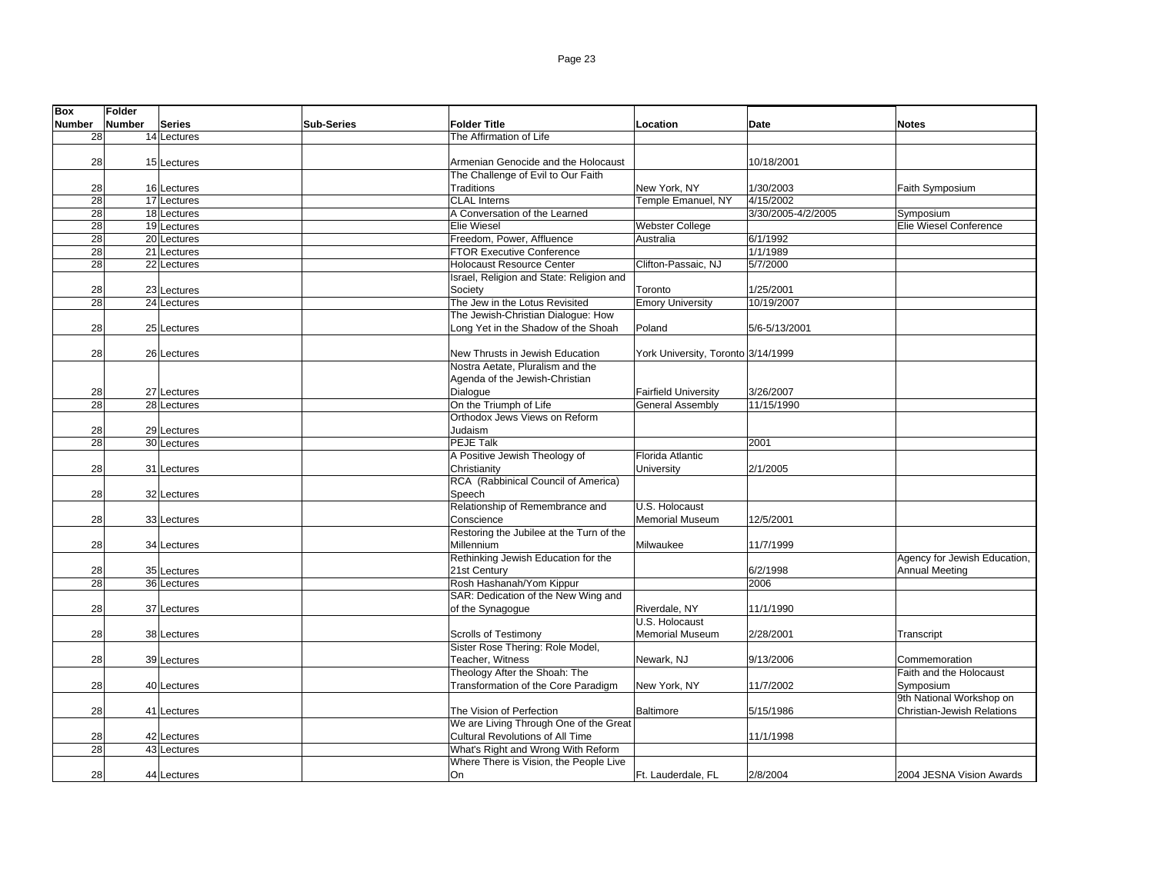| <b>Box</b>      | Folder        |               |                   |                                          |                                    |                    |                                       |
|-----------------|---------------|---------------|-------------------|------------------------------------------|------------------------------------|--------------------|---------------------------------------|
| <b>Number</b>   | <b>Number</b> | <b>Series</b> | <b>Sub-Series</b> | <b>Folder Title</b>                      | Location                           | Date               | <b>Notes</b>                          |
| 28              |               | 14 Lectures   |                   | The Affirmation of Life                  |                                    |                    |                                       |
|                 |               |               |                   |                                          |                                    |                    |                                       |
| 28              |               | 15 Lectures   |                   | Armenian Genocide and the Holocaust      |                                    | 10/18/2001         |                                       |
|                 |               |               |                   | The Challenge of Evil to Our Faith       |                                    |                    |                                       |
| 28              |               | 16 Lectures   |                   | Traditions                               | New York, NY                       | 1/30/2003          | Faith Symposium                       |
| 28              |               | 17 Lectures   |                   | <b>CLAL</b> Interns                      | Temple Emanuel, NY                 | 4/15/2002          |                                       |
| 28              |               | 18 Lectures   |                   | A Conversation of the Learned            |                                    | 3/30/2005-4/2/2005 | Symposium                             |
| $\overline{28}$ |               | 19 Lectures   |                   | <b>Elie Wiesel</b>                       | Webster College                    |                    | Elie Wiesel Conference                |
| 28              |               | 20 Lectures   |                   | Freedom, Power, Affluence                | Australia                          | 6/1/1992           |                                       |
| $\overline{28}$ |               | 21 Lectures   |                   | <b>FTOR Executive Conference</b>         |                                    | 1/1/1989           |                                       |
| 28              |               | 22 Lectures   |                   | <b>Holocaust Resource Center</b>         | Clifton-Passaic, NJ                | 5/7/2000           |                                       |
|                 |               |               |                   | Israel, Religion and State: Religion and |                                    |                    |                                       |
| 28              |               | 23 Lectures   |                   | Society                                  | Toronto                            | 1/25/2001          |                                       |
| 28              |               | 24 Lectures   |                   | The Jew in the Lotus Revisited           | <b>Emory University</b>            | 10/19/2007         |                                       |
|                 |               |               |                   | The Jewish-Christian Dialoque: How       |                                    |                    |                                       |
| 28              |               | 25 Lectures   |                   | Long Yet in the Shadow of the Shoah      | Poland                             | 5/6-5/13/2001      |                                       |
|                 |               |               |                   |                                          |                                    |                    |                                       |
| 28              |               | 26 Lectures   |                   | New Thrusts in Jewish Education          | York University, Toronto 3/14/1999 |                    |                                       |
|                 |               |               |                   | Nostra Aetate, Pluralism and the         |                                    |                    |                                       |
|                 |               |               |                   | Agenda of the Jewish-Christian           |                                    |                    |                                       |
| 28              |               | 27 Lectures   |                   | Dialogue                                 | <b>Fairfield University</b>        | 3/26/2007          |                                       |
| 28              |               | 28 Lectures   |                   | On the Triumph of Life                   | <b>General Assembly</b>            | 11/15/1990         |                                       |
|                 |               |               |                   | Orthodox Jews Views on Reform            |                                    |                    |                                       |
| 28              |               | 29 Lectures   |                   | Judaism                                  |                                    |                    |                                       |
| 28              |               | 30 Lectures   |                   | <b>PEJE Talk</b>                         |                                    | 2001               |                                       |
|                 |               |               |                   | A Positive Jewish Theology of            | Florida Atlantic                   |                    |                                       |
| 28              |               | 31 Lectures   |                   | Christianity                             | University                         | 2/1/2005           |                                       |
|                 |               |               |                   | RCA (Rabbinical Council of America)      |                                    |                    |                                       |
| 28              |               | 32 Lectures   |                   | Speech                                   |                                    |                    |                                       |
|                 |               |               |                   | Relationship of Remembrance and          | U.S. Holocaust                     |                    |                                       |
| 28              |               | 33 Lectures   |                   | Conscience                               | <b>Memorial Museum</b>             | 12/5/2001          |                                       |
|                 |               |               |                   | Restoring the Jubilee at the Turn of the |                                    |                    |                                       |
| 28              |               | 34 Lectures   |                   | Millennium                               | Milwaukee                          | 11/7/1999          |                                       |
|                 |               |               |                   | Rethinking Jewish Education for the      |                                    |                    | Agency for Jewish Education,          |
| 28              |               | 35 Lectures   |                   | 21st Century                             |                                    | 6/2/1998           | <b>Annual Meeting</b>                 |
| 28              |               | 36 Lectures   |                   | Rosh Hashanah/Yom Kippur                 |                                    | 2006               |                                       |
|                 |               |               |                   | SAR: Dedication of the New Wing and      |                                    |                    |                                       |
| 28              |               | 37 Lectures   |                   | of the Synagogue                         | Riverdale, NY                      | 11/1/1990          |                                       |
|                 |               |               |                   |                                          | U.S. Holocaust                     |                    |                                       |
| 28              |               | 38 Lectures   |                   | <b>Scrolls of Testimony</b>              | <b>Memorial Museum</b>             | 2/28/2001          | Transcript                            |
|                 |               |               |                   | Sister Rose Thering: Role Model,         |                                    |                    |                                       |
| 28              |               | 39 Lectures   |                   | Teacher, Witness                         | Newark, NJ                         | 9/13/2006          | Commemoration                         |
|                 |               |               |                   | Theology After the Shoah: The            |                                    |                    | Faith and the Holocaust               |
| 28              |               |               |                   |                                          | New York, NY                       | 11/7/2002          |                                       |
|                 |               | 40 Lectures   |                   | Transformation of the Core Paradigm      |                                    |                    | Symposium<br>9th National Workshop on |
| 28              |               |               |                   | The Vision of Perfection                 | <b>Baltimore</b>                   | 5/15/1986          | <b>Christian-Jewish Relations</b>     |
|                 |               | 41 Lectures   |                   | We are Living Through One of the Great   |                                    |                    |                                       |
| 28              |               |               |                   | Cultural Revolutions of All Time         |                                    |                    |                                       |
| 28              |               | 42 Lectures   |                   | What's Right and Wrong With Reform       |                                    | 11/1/1998          |                                       |
|                 |               | 43 Lectures   |                   | Where There is Vision, the People Live   |                                    |                    |                                       |
| 28              |               |               |                   | On                                       |                                    | 2/8/2004           | 2004 JESNA Vision Awards              |
|                 |               | 44 Lectures   |                   |                                          | Ft. Lauderdale, FL                 |                    |                                       |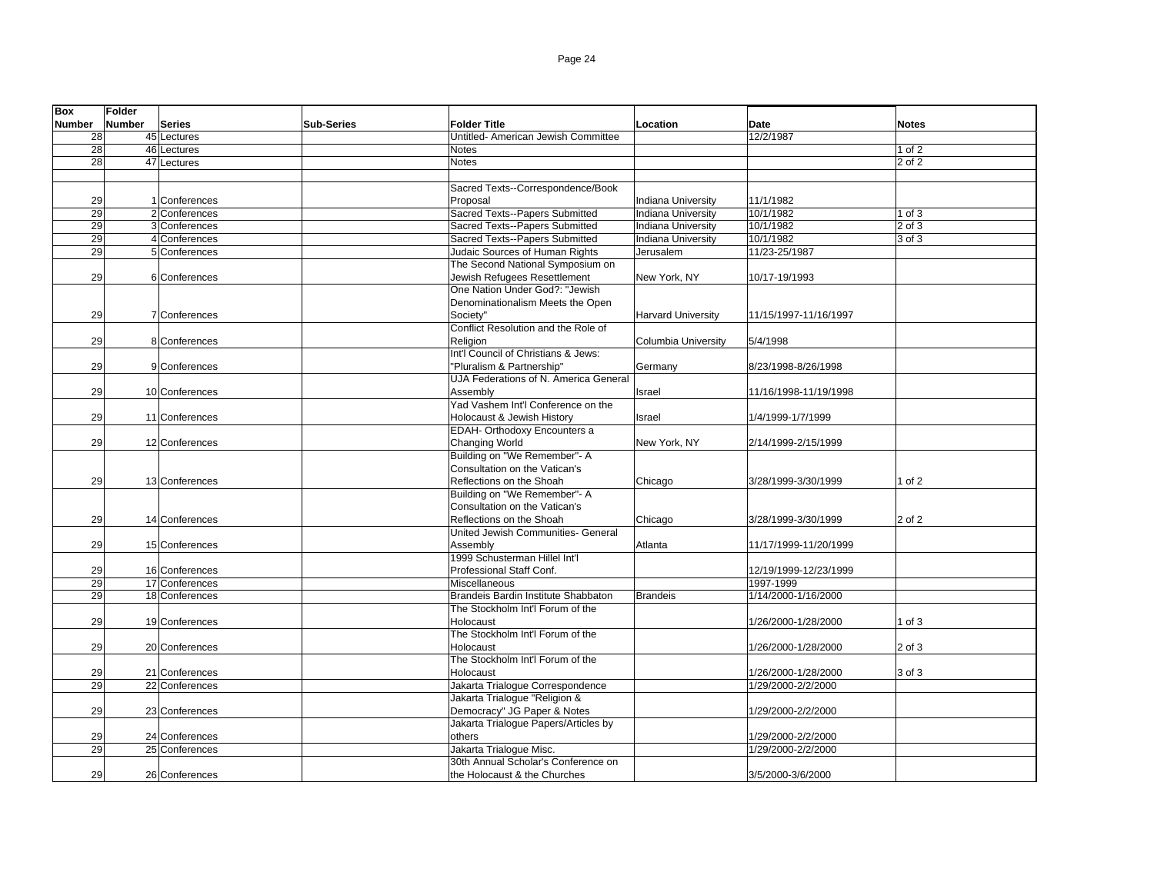| <b>Box</b>    | Folder |                                  |                   |                                       |                            |                                          |              |
|---------------|--------|----------------------------------|-------------------|---------------------------------------|----------------------------|------------------------------------------|--------------|
| <b>Number</b> | Number | <b>Series</b>                    | <b>Sub-Series</b> | <b>Folder Title</b>                   | Location                   | <b>Date</b>                              | <b>Notes</b> |
| 28            |        | 45 Lectures                      |                   | Untitled- American Jewish Committee   |                            | 12/2/1987                                |              |
| 28            |        | 46 Lectures                      |                   | Notes                                 |                            |                                          | $1$ of $2$   |
| 28            |        | 47 Lectures                      |                   | Notes                                 |                            |                                          | 2 of 2       |
|               |        |                                  |                   |                                       |                            |                                          |              |
|               |        |                                  |                   | Sacred Texts--Correspondence/Book     |                            |                                          |              |
| 29            |        | 1 Conferences                    |                   | Proposal                              | <b>Indiana University</b>  | 11/1/1982                                |              |
| 29            |        | 2 Conferences                    |                   | Sacred Texts--Papers Submitted        | <b>Indiana University</b>  | 10/1/1982                                | $1$ of $3$   |
| 29            |        | 3 Conferences                    |                   | Sacred Texts--Papers Submitted        | <b>Indiana University</b>  | 10/1/1982                                | $2$ of $3$   |
| 29            |        | 4 Conferences                    |                   | Sacred Texts--Papers Submitted        | <b>Indiana University</b>  | 10/1/1982                                | 3 of 3       |
| 29            |        | 5 Conferences                    |                   | Judaic Sources of Human Rights        | Jerusalem                  | 11/23-25/1987                            |              |
|               |        |                                  |                   | The Second National Symposium on      |                            |                                          |              |
| 29            |        | 6 Conferences                    |                   | Jewish Refugees Resettlement          | New York, NY               | 10/17-19/1993                            |              |
|               |        |                                  |                   | One Nation Under God?: "Jewish        |                            |                                          |              |
|               |        |                                  |                   | Denominationalism Meets the Open      |                            |                                          |              |
| 29            |        | 7 Conferences                    |                   | Society"                              | <b>Harvard University</b>  | 11/15/1997-11/16/1997                    |              |
|               |        |                                  |                   | Conflict Resolution and the Role of   |                            |                                          |              |
| 29            |        | 8 Conferences                    |                   | Religion                              | <b>Columbia University</b> | 5/4/1998                                 |              |
|               |        |                                  |                   | Int'l Council of Christians & Jews:   |                            |                                          |              |
| 29            |        | 9 Conferences                    |                   | "Pluralism & Partnership"             | Germany                    | 8/23/1998-8/26/1998                      |              |
|               |        |                                  |                   | UJA Federations of N. America General |                            |                                          |              |
| 29            |        | 10 Conferences                   |                   | Assemblv                              | Israel                     | 11/16/1998-11/19/1998                    |              |
|               |        |                                  |                   | Yad Vashem Int'l Conference on the    |                            |                                          |              |
| 29            |        | 11 Conferences                   |                   | Holocaust & Jewish History            | Israel                     | 1/4/1999-1/7/1999                        |              |
|               |        |                                  |                   | EDAH- Orthodoxy Encounters a          |                            |                                          |              |
| 29            |        | 12 Conferences                   |                   | Changing World                        | New York, NY               | 2/14/1999-2/15/1999                      |              |
|               |        |                                  |                   | Building on "We Remember"- A          |                            |                                          |              |
|               |        |                                  |                   | Consultation on the Vatican's         |                            |                                          |              |
| 29            |        | 13 Conferences                   |                   | Reflections on the Shoah              | Chicago                    | 3/28/1999-3/30/1999                      | 1 of 2       |
|               |        |                                  |                   | Building on "We Remember"- A          |                            |                                          |              |
|               |        |                                  |                   | Consultation on the Vatican's         |                            |                                          |              |
| 29            |        | 14 Conferences                   |                   | Reflections on the Shoah              | Chicago                    | 3/28/1999-3/30/1999                      | 2 of 2       |
|               |        |                                  |                   | United Jewish Communities- General    |                            |                                          |              |
| 29            |        | 15 Conferences                   |                   | Assembly                              | Atlanta                    | 11/17/1999-11/20/1999                    |              |
|               |        |                                  |                   | 1999 Schusterman Hillel Int'l         |                            |                                          |              |
| 29            |        | 16 Conferences                   |                   | Professional Staff Conf.              |                            | 12/19/1999-12/23/1999                    |              |
| 29            |        | 17 Conferences                   |                   | Miscellaneous                         |                            | 1997-1999                                |              |
| 29            |        | 18 Conferences                   |                   | Brandeis Bardin Institute Shabbaton   | <b>Brandeis</b>            | 1/14/2000-1/16/2000                      |              |
|               |        |                                  |                   | The Stockholm Int'l Forum of the      |                            |                                          |              |
| 29            |        | 19 Conferences                   |                   | Holocaust                             |                            | 1/26/2000-1/28/2000                      | $1$ of $3$   |
|               |        |                                  |                   | The Stockholm Int'l Forum of the      |                            |                                          |              |
| 29            |        | 20 Conferences                   |                   | Holocaust                             |                            | 1/26/2000-1/28/2000                      | 2 of 3       |
|               |        |                                  |                   | The Stockholm Int'l Forum of the      |                            |                                          |              |
| 29            |        | 21 Conferences                   |                   | Holocaust                             |                            | 1/26/2000-1/28/2000                      | 3 of 3       |
| 29            |        | 22 Conferences                   |                   | Jakarta Trialogue Correspondence      |                            | 1/29/2000-2/2/2000                       |              |
|               |        |                                  |                   | Jakarta Trialoque "Religion &         |                            |                                          |              |
| 29            |        | 23 Conferences                   |                   | Democracy" JG Paper & Notes           |                            | 1/29/2000-2/2/2000                       |              |
|               |        |                                  |                   | Jakarta Trialogue Papers/Articles by  |                            |                                          |              |
|               |        |                                  |                   |                                       |                            |                                          |              |
| 29<br>29      |        | 24 Conferences<br>25 Conferences |                   | others<br>Jakarta Trialogue Misc.     |                            | 1/29/2000-2/2/2000<br>1/29/2000-2/2/2000 |              |
|               |        |                                  |                   | 30th Annual Scholar's Conference on   |                            |                                          |              |
|               |        |                                  |                   |                                       |                            |                                          |              |
| 29            |        | 26 Conferences                   |                   | the Holocaust & the Churches          |                            | 3/5/2000-3/6/2000                        |              |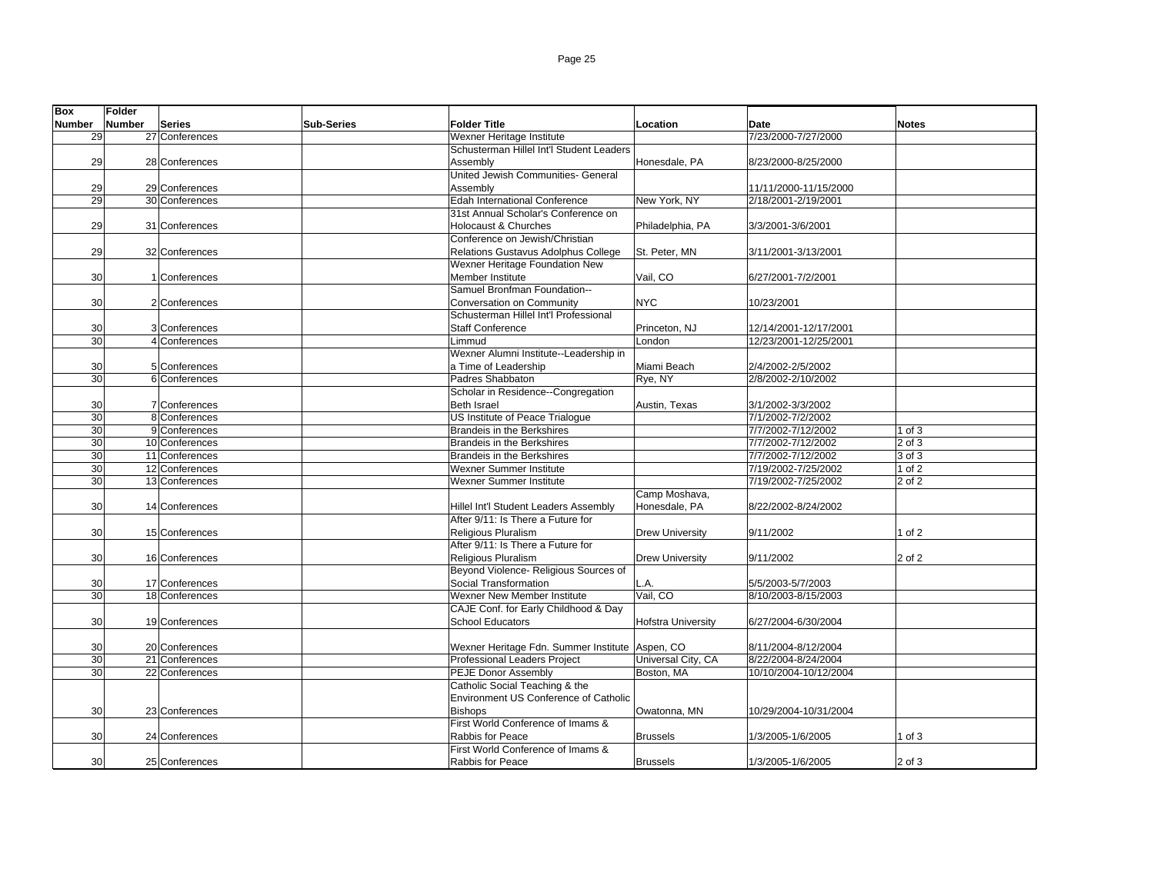| <b>Box</b>    | Folder |                |                   |                                                       |                           |                       |              |
|---------------|--------|----------------|-------------------|-------------------------------------------------------|---------------------------|-----------------------|--------------|
| <b>Number</b> | Number | Series         | <b>Sub-Series</b> | <b>Folder Title</b>                                   | Location                  | Date                  | <b>Notes</b> |
| 29            |        | 27 Conferences |                   | Wexner Heritage Institute                             |                           | 7/23/2000-7/27/2000   |              |
|               |        |                |                   | Schusterman Hillel Int'l Student Leaders              |                           |                       |              |
| 29            |        | 28 Conferences |                   | Assembly                                              | Honesdale, PA             | 8/23/2000-8/25/2000   |              |
|               |        |                |                   | United Jewish Communities- General                    |                           |                       |              |
| 29            |        | 29 Conferences |                   | Assembly                                              |                           | 11/11/2000-11/15/2000 |              |
| 29            |        | 30 Conferences |                   | <b>Edah International Conference</b>                  | New York, NY              | 2/18/2001-2/19/2001   |              |
|               |        |                |                   | 31st Annual Scholar's Conference on                   |                           |                       |              |
| 29            |        | 31 Conferences |                   | <b>Holocaust &amp; Churches</b>                       | Philadelphia, PA          | 3/3/2001-3/6/2001     |              |
|               |        |                |                   | Conference on Jewish/Christian                        |                           |                       |              |
| 29            |        | 32 Conferences |                   | Relations Gustavus Adolphus College                   | St. Peter. MN             | 3/11/2001-3/13/2001   |              |
|               |        |                |                   | Wexner Heritage Foundation New                        |                           |                       |              |
| 30            |        | 1 Conferences  |                   | Member Institute                                      | Vail, CO                  | 6/27/2001-7/2/2001    |              |
|               |        |                |                   | Samuel Bronfman Foundation--                          |                           |                       |              |
| 30            |        | 2 Conferences  |                   | Conversation on Community                             | <b>NYC</b>                | 10/23/2001            |              |
|               |        |                |                   | Schusterman Hillel Int'l Professional                 |                           |                       |              |
| 30            |        | 3 Conferences  |                   | <b>Staff Conference</b>                               | Princeton, NJ             | 12/14/2001-12/17/2001 |              |
| 30            |        | 4 Conferences  |                   | Limmud                                                | London                    | 12/23/2001-12/25/2001 |              |
|               |        |                |                   | Wexner Alumni Institute--Leadership in                |                           |                       |              |
| 30            |        | 5 Conferences  |                   | a Time of Leadership                                  | Miami Beach               | 2/4/2002-2/5/2002     |              |
| 30            |        | 6 Conferences  |                   | Padres Shabbaton                                      | Rye, NY                   | 2/8/2002-2/10/2002    |              |
|               |        |                |                   | Scholar in Residence--Congregation                    |                           |                       |              |
| 30            |        | 7 Conferences  |                   | <b>Beth Israel</b>                                    | Austin, Texas             | 3/1/2002-3/3/2002     |              |
| 30            |        | 8 Conferences  |                   | US Institute of Peace Trialogue                       |                           | 7/1/2002-7/2/2002     |              |
| 30            |        | 9 Conferences  |                   | <b>Brandeis in the Berkshires</b>                     |                           | 7/7/2002-7/12/2002    | 1 of $3$     |
| 30            |        | 10 Conferences |                   | <b>Brandeis in the Berkshires</b>                     |                           | 7/7/2002-7/12/2002    | 2 of 3       |
| 30            |        | 11 Conferences |                   | Brandeis in the Berkshires                            |                           | 7/7/2002-7/12/2002    | 3 of 3       |
| 30            |        | 12 Conferences |                   | Wexner Summer Institute                               |                           | 7/19/2002-7/25/2002   | 1 of 2       |
| 30            |        | 13 Conferences |                   | Wexner Summer Institute                               |                           | 7/19/2002-7/25/2002   | 2 of 2       |
|               |        |                |                   |                                                       | Camp Moshava,             |                       |              |
| 30            |        | 14 Conferences |                   | Hillel Int'l Student Leaders Assembly                 | Honesdale, PA             | 8/22/2002-8/24/2002   |              |
|               |        |                |                   | After 9/11: Is There a Future for                     |                           |                       |              |
| 30            |        | 15 Conferences |                   | Religious Pluralism                                   | <b>Drew University</b>    | 9/11/2002             | 1 of $2$     |
|               |        |                |                   | After 9/11: Is There a Future for                     |                           |                       |              |
| 30            |        | 16 Conferences |                   | Religious Pluralism                                   | Drew University           | 9/11/2002             | $2$ of 2     |
|               |        |                |                   | Beyond Violence- Religious Sources of                 |                           |                       |              |
| 30            |        | 17 Conferences |                   | Social Transformation                                 | L.A.                      | 5/5/2003-5/7/2003     |              |
| 30            |        | 18 Conferences |                   | Wexner New Member Institute                           | Vail, CO                  | 8/10/2003-8/15/2003   |              |
|               |        |                |                   | CAJE Conf. for Early Childhood & Day                  |                           |                       |              |
| 30            |        | 19 Conferences |                   | <b>School Educators</b>                               | <b>Hofstra University</b> | 6/27/2004-6/30/2004   |              |
|               |        |                |                   |                                                       |                           |                       |              |
| 30            |        | 20 Conferences |                   | Wexner Heritage Fdn. Summer Institute                 | Aspen, CO                 | 8/11/2004-8/12/2004   |              |
| 30            |        | 21 Conferences |                   | <b>Professional Leaders Project</b>                   | Universal City, CA        | 8/22/2004-8/24/2004   |              |
| 30            |        | 22 Conferences |                   | <b>PEJE Donor Assembly</b>                            | Boston, MA                | 10/10/2004-10/12/2004 |              |
|               |        |                |                   | Catholic Social Teaching & the                        |                           |                       |              |
|               |        |                |                   | Environment US Conference of Catholic                 |                           |                       |              |
| 30            |        | 23 Conferences |                   | <b>Bishops</b>                                        | Owatonna, MN              | 10/29/2004-10/31/2004 |              |
|               |        |                |                   | First World Conference of Imams &<br>Rabbis for Peace |                           |                       | 1 of $3$     |
| 30            |        | 24 Conferences |                   |                                                       | <b>Brussels</b>           | 1/3/2005-1/6/2005     |              |
|               |        |                |                   | First World Conference of Imams &                     |                           |                       |              |
| 30            |        | 25 Conferences |                   | Rabbis for Peace                                      | <b>Brussels</b>           | 1/3/2005-1/6/2005     | 2 of 3       |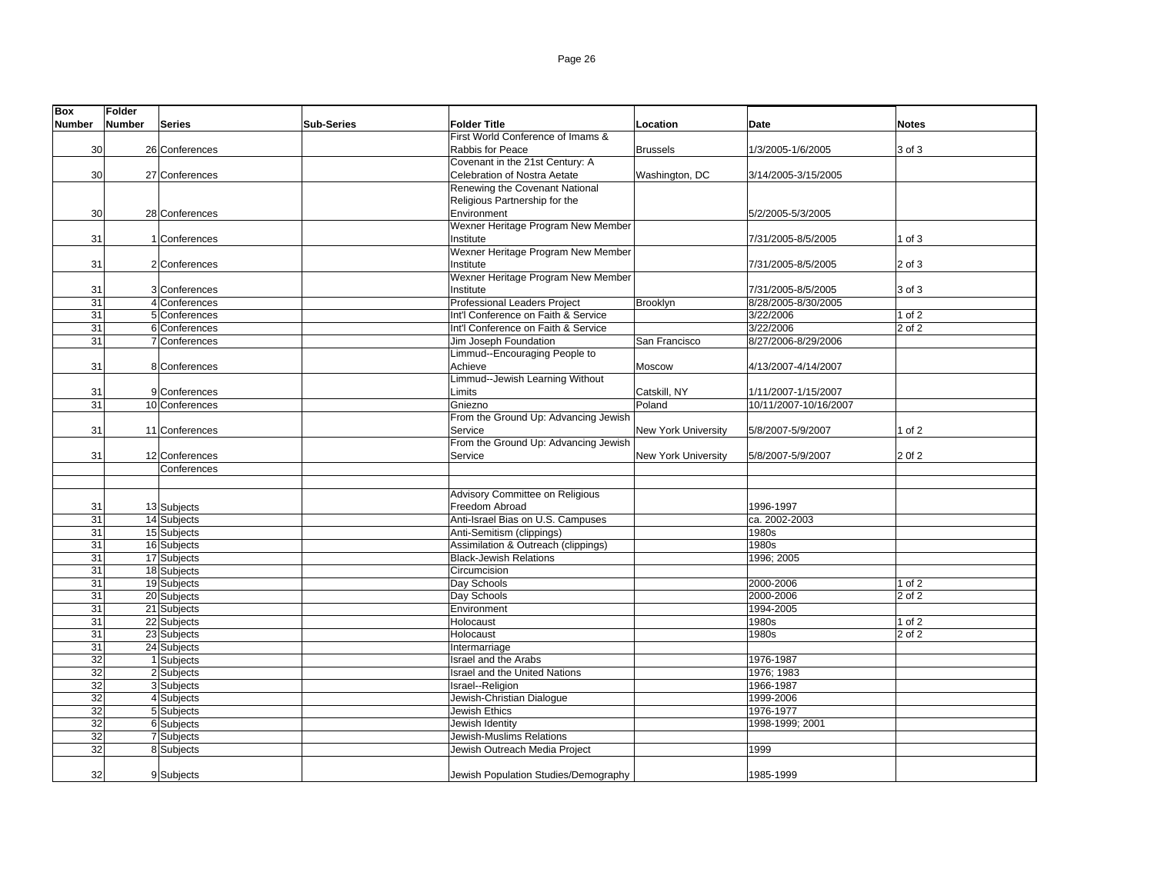| <b>Box</b>      | <b>Folder</b> |                |                   |                                      |                            |                       |                     |
|-----------------|---------------|----------------|-------------------|--------------------------------------|----------------------------|-----------------------|---------------------|
| <b>Number</b>   | Number        | <b>Series</b>  | <b>Sub-Series</b> | <b>Folder Title</b>                  | Location                   | Date                  | <b>Notes</b>        |
|                 |               |                |                   | First World Conference of Imams &    |                            |                       |                     |
| 30              |               | 26 Conferences |                   | Rabbis for Peace                     | <b>Brussels</b>            | 1/3/2005-1/6/2005     | 3 of 3              |
|                 |               |                |                   | Covenant in the 21st Century: A      |                            |                       |                     |
| 30              |               | 27 Conferences |                   | Celebration of Nostra Aetate         | Washington, DC             | 3/14/2005-3/15/2005   |                     |
|                 |               |                |                   | Renewing the Covenant National       |                            |                       |                     |
|                 |               |                |                   | Religious Partnership for the        |                            |                       |                     |
| 30              |               | 28 Conferences |                   | Environment                          |                            | 5/2/2005-5/3/2005     |                     |
|                 |               |                |                   | Wexner Heritage Program New Member   |                            |                       |                     |
| 31              |               | 1 Conferences  |                   | Institute                            |                            | 7/31/2005-8/5/2005    | 1 of $3$            |
|                 |               |                |                   | Wexner Heritage Program New Member   |                            |                       |                     |
| 31              |               | 2 Conferences  |                   | Institute                            |                            | 7/31/2005-8/5/2005    | 2 of 3              |
|                 |               |                |                   | Wexner Heritage Program New Member   |                            |                       |                     |
| 31              |               | 3 Conferences  |                   | Institute                            |                            | 7/31/2005-8/5/2005    | 3 of 3              |
| $\overline{31}$ |               | 4 Conferences  |                   | Professional Leaders Project         | Brooklyn                   | 8/28/2005-8/30/2005   |                     |
| 31              |               | 5 Conferences  |                   | Int'l Conference on Faith & Service  |                            | 3/22/2006             | 1 of 2              |
| 31              |               | 6 Conferences  |                   | Int'l Conference on Faith & Service  |                            | 3/22/2006             | 2 of 2              |
| 31              |               | 7 Conferences  |                   | Jim Joseph Foundation                | San Francisco              | 8/27/2006-8/29/2006   |                     |
|                 |               |                |                   | Limmud--Encouraging People to        |                            |                       |                     |
| 31              |               | 8 Conferences  |                   | Achieve                              | Moscow                     | 4/13/2007-4/14/2007   |                     |
|                 |               |                |                   | Limmud--Jewish Learning Without      |                            |                       |                     |
| 31              |               | 9 Conferences  |                   | Limits                               | Catskill, NY               | 1/11/2007-1/15/2007   |                     |
| 31              |               | 10 Conferences |                   | Gniezno                              | Poland                     | 10/11/2007-10/16/2007 |                     |
|                 |               |                |                   | From the Ground Up: Advancing Jewish |                            |                       |                     |
| 31              |               | 11 Conferences |                   | Service                              | <b>New York University</b> | 5/8/2007-5/9/2007     | 1 of $2$            |
|                 |               |                |                   | From the Ground Up: Advancing Jewish |                            |                       |                     |
| 31              |               | 12 Conferences |                   | Service                              | <b>New York University</b> | 5/8/2007-5/9/2007     | 2 Of 2              |
|                 |               | Conferences    |                   |                                      |                            |                       |                     |
|                 |               |                |                   |                                      |                            |                       |                     |
|                 |               |                |                   | Advisory Committee on Religious      |                            |                       |                     |
| 31              |               | 13 Subjects    |                   | Freedom Abroad                       |                            | 1996-1997             |                     |
| $\overline{31}$ |               | 14 Subjects    |                   | Anti-Israel Bias on U.S. Campuses    |                            | ca. 2002-2003         |                     |
| 31              |               | 15 Subjects    |                   | Anti-Semitism (clippings)            |                            | 1980s                 |                     |
| 31              |               | 16 Subjects    |                   | Assimilation & Outreach (clippings)  |                            | 1980s                 |                     |
| 31              |               | 17 Subjects    |                   | <b>Black-Jewish Relations</b>        |                            | 1996; 2005            |                     |
| 31              |               | 18 Subjects    |                   | Circumcision                         |                            |                       |                     |
| $\overline{31}$ |               | 19 Subjects    |                   | Day Schools                          |                            | 2000-2006             | $1$ of $2$          |
| 31              |               | 20 Subjects    |                   | Day Schools                          |                            | 2000-2006             | 2 of 2              |
| 31              |               | 21 Subjects    |                   | Environment                          |                            | 1994-2005             |                     |
| 31              |               | 22 Subjects    |                   | Holocaust                            |                            | 1980s                 | 1 of 2              |
| 31              |               | 23 Subjects    |                   | Holocaust                            |                            | 1980s                 | $\overline{2}$ of 2 |
| 31              |               | 24 Subjects    |                   | Intermarriage                        |                            |                       |                     |
| 32              |               | 1 Subjects     |                   | <b>Israel and the Arabs</b>          |                            | 1976-1987             |                     |
| $\overline{32}$ |               | 2 Subjects     |                   | Israel and the United Nations        |                            | 1976; 1983            |                     |
| $\overline{32}$ |               | 3 Subjects     |                   | Israel--Religion                     |                            | 1966-1987             |                     |
| 32              |               | 4 Subjects     |                   | Jewish-Christian Dialogue            |                            | 1999-2006             |                     |
| 32              |               | 5 Subjects     |                   | Jewish Ethics                        |                            | 1976-1977             |                     |
| 32              |               | 6 Subjects     |                   | Jewish Identity                      |                            | 1998-1999; 2001       |                     |
| 32              |               | 7 Subjects     |                   | Jewish-Muslims Relations             |                            |                       |                     |
| 32              |               | 8 Subjects     |                   | Jewish Outreach Media Project        |                            | 1999                  |                     |
|                 |               |                |                   |                                      |                            |                       |                     |
| 32              |               | 9 Subjects     |                   | Jewish Population Studies/Demography |                            | 1985-1999             |                     |
|                 |               |                |                   |                                      |                            |                       |                     |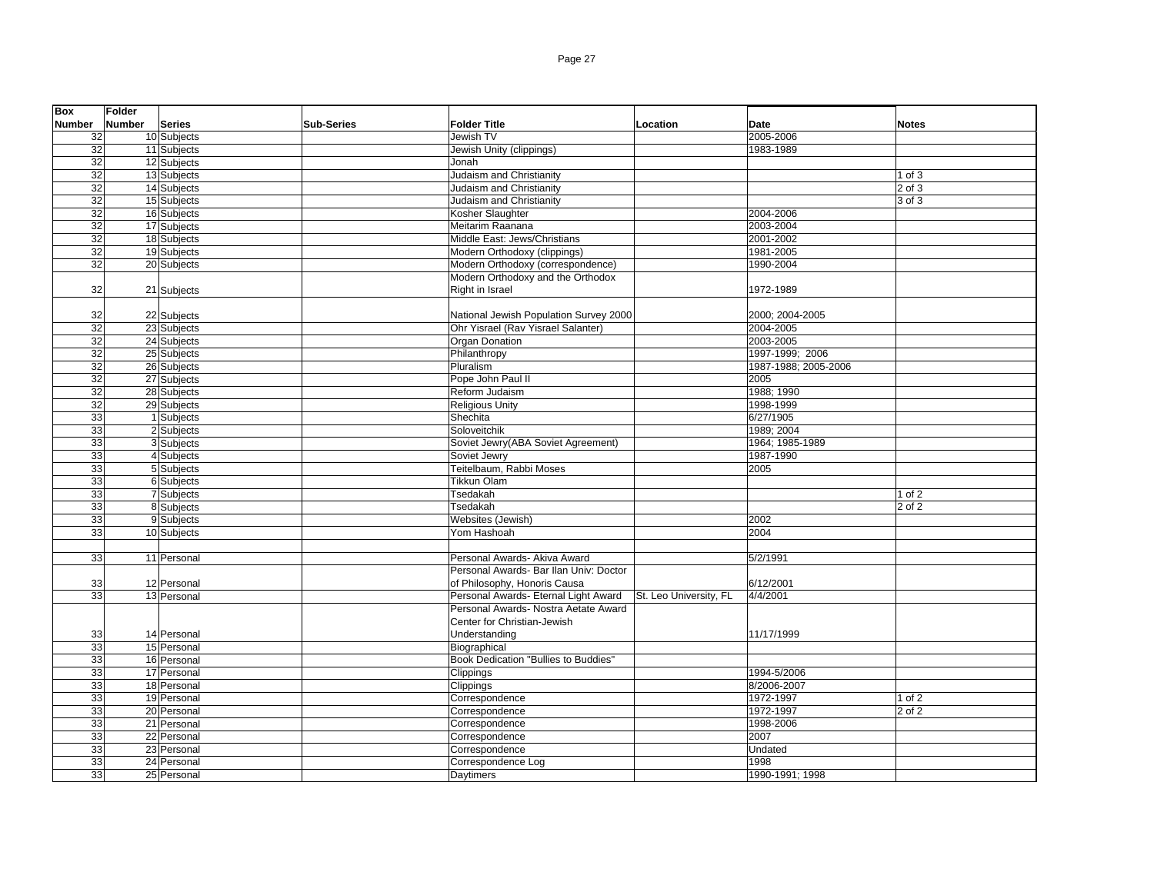| Box             | <b>Folder</b> |                          |                   |                                        |                        |                      |              |
|-----------------|---------------|--------------------------|-------------------|----------------------------------------|------------------------|----------------------|--------------|
| <b>Number</b>   | Number        | <b>Series</b>            | <b>Sub-Series</b> | <b>Folder Title</b>                    | Location               | Date                 | <b>Notes</b> |
| 32              |               | 10 Subjects              |                   | Jewish TV                              |                        | 2005-2006            |              |
| 32              |               | 11 Subjects              |                   | Jewish Unity (clippings)               |                        | 1983-1989            |              |
| $\overline{32}$ |               | 12 Subjects              |                   | Jonah                                  |                        |                      |              |
| 32              |               | 13 Subjects              |                   | Judaism and Christianity               |                        |                      | 1 of 3       |
| 32              |               | 14 Subjects              |                   | Judaism and Christianity               |                        |                      | $2$ of $3$   |
| 32              |               | 15 Subjects              |                   | Judaism and Christianity               |                        |                      | 3 of 3       |
| 32              |               | 16 Subjects              |                   | Kosher Slaughter                       |                        | 2004-2006            |              |
| $\overline{32}$ |               | 17 Subjects              |                   | Meitarim Raanana                       |                        | 2003-2004            |              |
| 32              |               | 18 Subjects              |                   | Middle East: Jews/Christians           |                        | 2001-2002            |              |
| 32              |               | 19 Subjects              |                   | Modern Orthodoxy (clippings)           |                        | 1981-2005            |              |
| $\overline{32}$ |               | 20 Subjects              |                   | Modern Orthodoxy (correspondence)      |                        | 1990-2004            |              |
|                 |               |                          |                   | Modern Orthodoxy and the Orthodox      |                        |                      |              |
| 32              |               | 21 Subjects              |                   | Right in Israel                        |                        | 1972-1989            |              |
|                 |               |                          |                   |                                        |                        |                      |              |
| 32              |               | 22 Subjects              |                   | National Jewish Population Survey 2000 |                        | 2000; 2004-2005      |              |
| 32              |               | 23 Subjects              |                   | Ohr Yisrael (Rav Yisrael Salanter)     |                        | 2004-2005            |              |
| 32              |               | 24 Subjects              |                   | Organ Donation                         |                        | 2003-2005            |              |
| $\overline{32}$ |               | 25 Subjects              |                   | Philanthropy                           |                        | 1997-1999; 2006      |              |
| 32              |               | 26 Subjects              |                   | Pluralism                              |                        | 1987-1988; 2005-2006 |              |
| 32              |               | 27 Subjects              |                   | Pope John Paul II                      |                        | 2005                 |              |
| $\overline{32}$ |               | 28 Subjects              |                   | Reform Judaism                         |                        | 1988; 1990           |              |
| 32              |               | 29 Subjects              |                   | <b>Religious Unity</b>                 |                        | 1998-1999            |              |
| $\overline{33}$ |               | 1 Subjects               |                   | Shechita                               |                        | 6/27/1905            |              |
| 33              |               | 2 Subjects               |                   | Soloveitchik                           |                        | 1989: 2004           |              |
| 33              |               | 3 Subjects               |                   | Soviet Jewry(ABA Soviet Agreement)     |                        | 1964; 1985-1989      |              |
| 33              |               | 4 Subjects               |                   | Soviet Jewry                           |                        | 1987-1990            |              |
| 33              |               | 5 Subjects               |                   | Teitelbaum, Rabbi Moses                |                        | 2005                 |              |
| $\overline{33}$ |               | 6 Subjects               |                   | <b>Tikkun Olam</b>                     |                        |                      |              |
| 33              |               | 7 Subjects               |                   | Tsedakah                               |                        |                      | $1$ of $2$   |
| 33              |               |                          |                   | Tsedakah                               |                        |                      | 2 of 2       |
| 33              |               | 8 Subjects<br>9 Subjects |                   |                                        |                        | 2002                 |              |
| 33              |               |                          |                   | Websites (Jewish)<br>Yom Hashoah       |                        | 2004                 |              |
|                 |               | 10 Subjects              |                   |                                        |                        |                      |              |
|                 |               |                          |                   |                                        |                        |                      |              |
| 33              |               | 11 Personal              |                   | Personal Awards- Akiva Award           |                        | 5/2/1991             |              |
|                 |               |                          |                   | Personal Awards- Bar Ilan Univ: Doctor |                        |                      |              |
| 33              |               | 12 Personal              |                   | of Philosophy, Honoris Causa           |                        | 6/12/2001            |              |
| 33              |               | 13 Personal              |                   | Personal Awards- Eternal Light Award   | St. Leo University, FL | 4/4/2001             |              |
|                 |               |                          |                   | Personal Awards- Nostra Aetate Award   |                        |                      |              |
|                 |               |                          |                   | Center for Christian-Jewish            |                        |                      |              |
| 33              |               | 14 Personal              |                   | Understanding                          |                        | 11/17/1999           |              |
| 33              |               | 15 Personal              |                   | Biographical                           |                        |                      |              |
| 33              |               | 16 Personal              |                   | Book Dedication "Bullies to Buddies"   |                        |                      |              |
| 33              |               | 17 Personal              |                   | Clippings                              |                        | 1994-5/2006          |              |
| 33              |               | 18 Personal              |                   | Clippings                              |                        | 8/2006-2007          |              |
| 33              |               | 19 Personal              |                   | Correspondence                         |                        | 1972-1997            | $1$ of $2$   |
| 33              |               | 20 Personal              |                   | Correspondence                         |                        | 1972-1997            | 2 of 2       |
| 33              |               | 21 Personal              |                   | Correspondence                         |                        | 1998-2006            |              |
| 33              |               | 22 Personal              |                   | Correspondence                         |                        | 2007                 |              |
| 33              |               | 23 Personal              |                   | Correspondence                         |                        | Undated              |              |
| 33              |               | 24 Personal              |                   | Correspondence Log                     |                        | 1998                 |              |
| 33              |               | 25 Personal              |                   | Daytimers                              |                        | 1990-1991; 1998      |              |